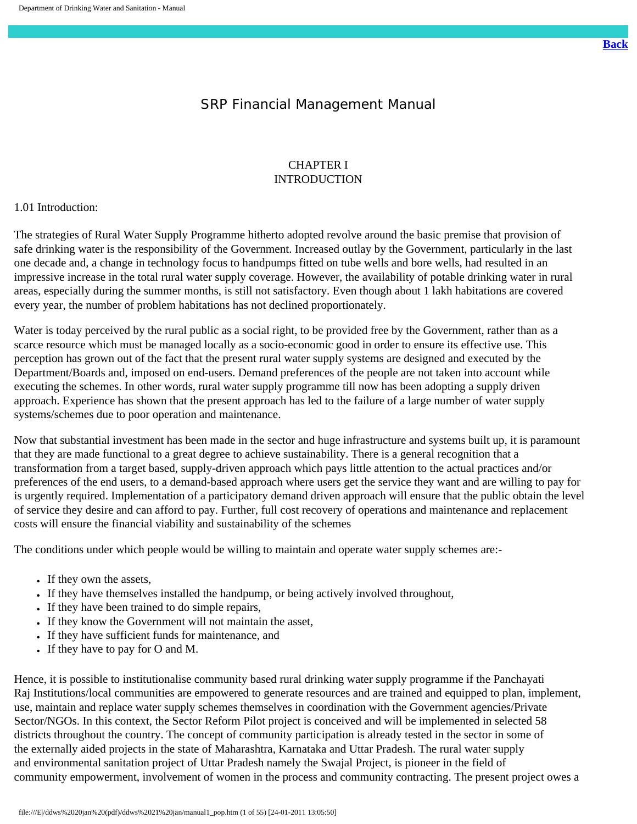# SRP Financial Management Manual

## CHAPTER I INTRODUCTION

#### 1.01 Introduction:

The strategies of Rural Water Supply Programme hitherto adopted revolve around the basic premise that provision of safe drinking water is the responsibility of the Government. Increased outlay by the Government, particularly in the last one decade and, a change in technology focus to handpumps fitted on tube wells and bore wells, had resulted in an impressive increase in the total rural water supply coverage. However, the availability of potable drinking water in rural areas, especially during the summer months, is still not satisfactory. Even though about 1 lakh habitations are covered every year, the number of problem habitations has not declined proportionately.

Water is today perceived by the rural public as a social right, to be provided free by the Government, rather than as a scarce resource which must be managed locally as a socio-economic good in order to ensure its effective use. This perception has grown out of the fact that the present rural water supply systems are designed and executed by the Department/Boards and, imposed on end-users. Demand preferences of the people are not taken into account while executing the schemes. In other words, rural water supply programme till now has been adopting a supply driven approach. Experience has shown that the present approach has led to the failure of a large number of water supply systems/schemes due to poor operation and maintenance.

Now that substantial investment has been made in the sector and huge infrastructure and systems built up, it is paramount that they are made functional to a great degree to achieve sustainability. There is a general recognition that a transformation from a target based, supply-driven approach which pays little attention to the actual practices and/or preferences of the end users, to a demand-based approach where users get the service they want and are willing to pay for is urgently required. Implementation of a participatory demand driven approach will ensure that the public obtain the level of service they desire and can afford to pay. Further, full cost recovery of operations and maintenance and replacement costs will ensure the financial viability and sustainability of the schemes

The conditions under which people would be willing to maintain and operate water supply schemes are:-

- If they own the assets,
- If they have themselves installed the handpump, or being actively involved throughout,
- If they have been trained to do simple repairs,
- If they know the Government will not maintain the asset,
- If they have sufficient funds for maintenance, and
- If they have to pay for O and M.

Hence, it is possible to institutionalise community based rural drinking water supply programme if the Panchayati Raj Institutions/local communities are empowered to generate resources and are trained and equipped to plan, implement, use, maintain and replace water supply schemes themselves in coordination with the Government agencies/Private Sector/NGOs. In this context, the Sector Reform Pilot project is conceived and will be implemented in selected 58 districts throughout the country. The concept of community participation is already tested in the sector in some of the externally aided projects in the state of Maharashtra, Karnataka and Uttar Pradesh. The rural water supply and environmental sanitation project of Uttar Pradesh namely the Swajal Project, is pioneer in the field of community empowerment, involvement of women in the process and community contracting. The present project owes a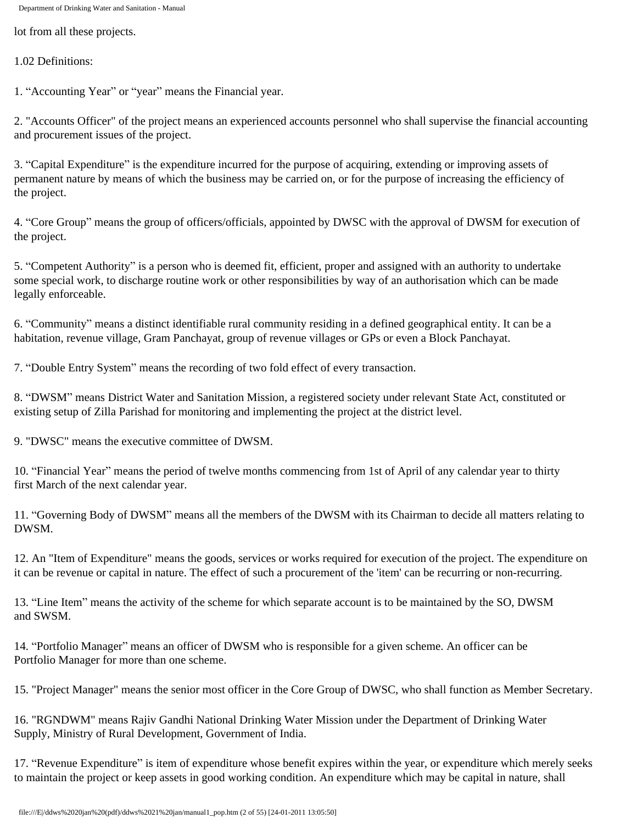lot from all these projects.

1.02 Definitions:

1. "Accounting Year" or "year" means the Financial year.

2. "Accounts Officer" of the project means an experienced accounts personnel who shall supervise the financial accounting and procurement issues of the project.

3. "Capital Expenditure" is the expenditure incurred for the purpose of acquiring, extending or improving assets of permanent nature by means of which the business may be carried on, or for the purpose of increasing the efficiency of the project.

4. "Core Group" means the group of officers/officials, appointed by DWSC with the approval of DWSM for execution of the project.

5. "Competent Authority" is a person who is deemed fit, efficient, proper and assigned with an authority to undertake some special work, to discharge routine work or other responsibilities by way of an authorisation which can be made legally enforceable.

6. "Community" means a distinct identifiable rural community residing in a defined geographical entity. It can be a habitation, revenue village, Gram Panchayat, group of revenue villages or GPs or even a Block Panchayat.

7. "Double Entry System" means the recording of two fold effect of every transaction.

8. "DWSM" means District Water and Sanitation Mission, a registered society under relevant State Act, constituted or existing setup of Zilla Parishad for monitoring and implementing the project at the district level.

9. "DWSC" means the executive committee of DWSM.

10. "Financial Year" means the period of twelve months commencing from 1st of April of any calendar year to thirty first March of the next calendar year.

11. "Governing Body of DWSM" means all the members of the DWSM with its Chairman to decide all matters relating to DWSM.

12. An "Item of Expenditure" means the goods, services or works required for execution of the project. The expenditure on it can be revenue or capital in nature. The effect of such a procurement of the 'item' can be recurring or non-recurring.

13. "Line Item" means the activity of the scheme for which separate account is to be maintained by the SO, DWSM and SWSM.

14. "Portfolio Manager" means an officer of DWSM who is responsible for a given scheme. An officer can be Portfolio Manager for more than one scheme.

15. "Project Manager" means the senior most officer in the Core Group of DWSC, who shall function as Member Secretary.

16. "RGNDWM" means Rajiv Gandhi National Drinking Water Mission under the Department of Drinking Water Supply, Ministry of Rural Development, Government of India.

17. "Revenue Expenditure" is item of expenditure whose benefit expires within the year, or expenditure which merely seeks to maintain the project or keep assets in good working condition. An expenditure which may be capital in nature, shall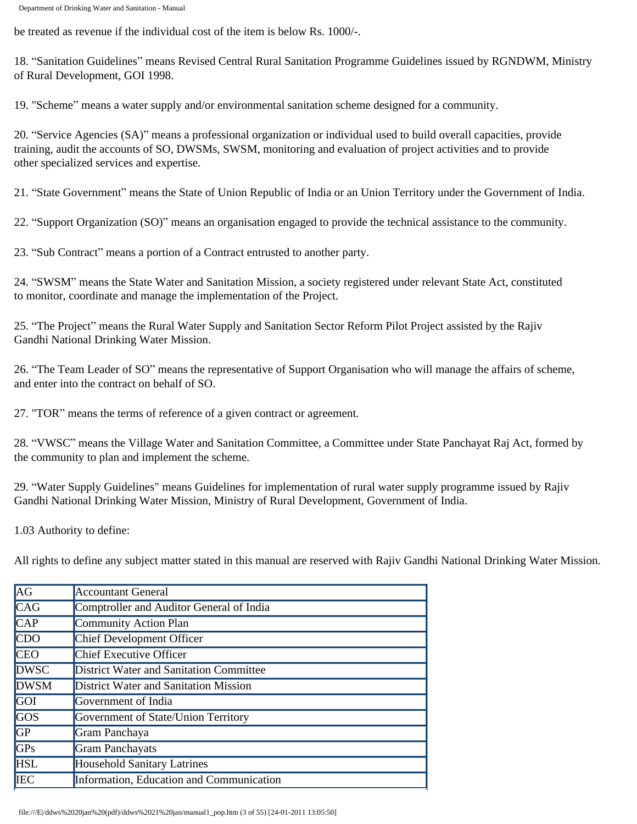be treated as revenue if the individual cost of the item is below Rs. 1000/-.

18. "Sanitation Guidelines" means Revised Central Rural Sanitation Programme Guidelines issued by RGNDWM, Ministry of Rural Development, GOI 1998.

19. "Scheme" means a water supply and/or environmental sanitation scheme designed for a community.

20. "Service Agencies (SA)" means a professional organization or individual used to build overall capacities, provide training, audit the accounts of SO, DWSMs, SWSM, monitoring and evaluation of project activities and to provide other specialized services and expertise.

21. "State Government" means the State of Union Republic of India or an Union Territory under the Government of India.

22. "Support Organization (SO)" means an organisation engaged to provide the technical assistance to the community.

23. "Sub Contract" means a portion of a Contract entrusted to another party.

24. "SWSM" means the State Water and Sanitation Mission, a society registered under relevant State Act, constituted to monitor, coordinate and manage the implementation of the Project.

25. "The Project" means the Rural Water Supply and Sanitation Sector Reform Pilot Project assisted by the Rajiv Gandhi National Drinking Water Mission.

26. "The Team Leader of SO" means the representative of Support Organisation who will manage the affairs of scheme, and enter into the contract on behalf of SO.

27. "TOR" means the terms of reference of a given contract or agreement.

28. "VWSC" means the Village Water and Sanitation Committee, a Committee under State Panchayat Raj Act, formed by the community to plan and implement the scheme.

29. "Water Supply Guidelines" means Guidelines for implementation of rural water supply programme issued by Rajiv Gandhi National Drinking Water Mission, Ministry of Rural Development, Government of India.

1.03 Authority to define:

All rights to define any subject matter stated in this manual are reserved with Rajiv Gandhi National Drinking Water Mission.

| $\overline{\rm AG}$     | <b>Accountant General</b>                |  |  |  |  |
|-------------------------|------------------------------------------|--|--|--|--|
| CAG                     | Comptroller and Auditor General of India |  |  |  |  |
| $\overline{\text{CAP}}$ | Community Action Plan                    |  |  |  |  |
| CDO                     | <b>Chief Development Officer</b>         |  |  |  |  |
| <b>CEO</b>              | Chief Executive Officer                  |  |  |  |  |
| <b>DWSC</b>             | District Water and Sanitation Committee  |  |  |  |  |
| <b>DWSM</b>             | District Water and Sanitation Mission    |  |  |  |  |
| <b>GOI</b>              | Government of India                      |  |  |  |  |
| GOS                     | Government of State/Union Territory      |  |  |  |  |
| GP                      | Gram Panchaya                            |  |  |  |  |
| GPS                     | <b>Gram Panchayats</b>                   |  |  |  |  |
| <b>HSL</b>              | <b>Household Sanitary Latrines</b>       |  |  |  |  |
| <b>IEC</b>              | Information, Education and Communication |  |  |  |  |
|                         |                                          |  |  |  |  |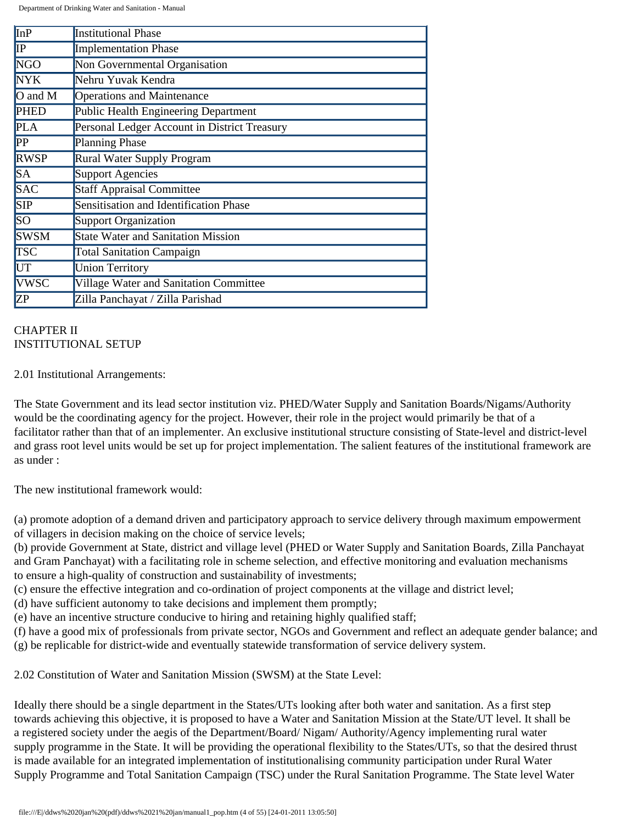| <b>InP</b>      | <b>Institutional Phase</b>                   |
|-----------------|----------------------------------------------|
| IP              | <b>Implementation Phase</b>                  |
| <b>NGO</b>      | Non Governmental Organisation                |
| NYK <sup></sup> | Nehru Yuvak Kendra                           |
| $O$ and M       | <b>Operations and Maintenance</b>            |
| <b>PHED</b>     | Public Health Engineering Department         |
| <b>PLA</b>      | Personal Ledger Account in District Treasury |
| PP              | Planning Phase                               |
| <b>RWSP</b>     | Rural Water Supply Program                   |
| SA              | Support Agencies                             |
| <b>SAC</b>      | <b>Staff Appraisal Committee</b>             |
| <b>SIP</b>      | Sensitisation and Identification Phase       |
| SO              | Support Organization                         |
| <b>SWSM</b>     | <b>State Water and Sanitation Mission</b>    |
| <b>TSC</b>      | <b>Total Sanitation Campaign</b>             |
| UT              | <b>Union Territory</b>                       |
| VWSC            | Village Water and Sanitation Committee       |
| ZP              | Zilla Panchayat / Zilla Parishad             |

# CHAPTER II INSTITUTIONAL SETUP

#### 2.01 Institutional Arrangements:

The State Government and its lead sector institution viz. PHED/Water Supply and Sanitation Boards/Nigams/Authority would be the coordinating agency for the project. However, their role in the project would primarily be that of a facilitator rather than that of an implementer. An exclusive institutional structure consisting of State-level and district-level and grass root level units would be set up for project implementation. The salient features of the institutional framework are as under :

The new institutional framework would:

(a) promote adoption of a demand driven and participatory approach to service delivery through maximum empowerment of villagers in decision making on the choice of service levels;

(b) provide Government at State, district and village level (PHED or Water Supply and Sanitation Boards, Zilla Panchayat and Gram Panchayat) with a facilitating role in scheme selection, and effective monitoring and evaluation mechanisms to ensure a high-quality of construction and sustainability of investments;

(c) ensure the effective integration and co-ordination of project components at the village and district level;

(d) have sufficient autonomy to take decisions and implement them promptly;

(e) have an incentive structure conducive to hiring and retaining highly qualified staff;

(f) have a good mix of professionals from private sector, NGOs and Government and reflect an adequate gender balance; and (g) be replicable for district-wide and eventually statewide transformation of service delivery system.

2.02 Constitution of Water and Sanitation Mission (SWSM) at the State Level:

Ideally there should be a single department in the States/UTs looking after both water and sanitation. As a first step towards achieving this objective, it is proposed to have a Water and Sanitation Mission at the State/UT level. It shall be a registered society under the aegis of the Department/Board/ Nigam/ Authority/Agency implementing rural water supply programme in the State. It will be providing the operational flexibility to the States/UTs, so that the desired thrust is made available for an integrated implementation of institutionalising community participation under Rural Water Supply Programme and Total Sanitation Campaign (TSC) under the Rural Sanitation Programme. The State level Water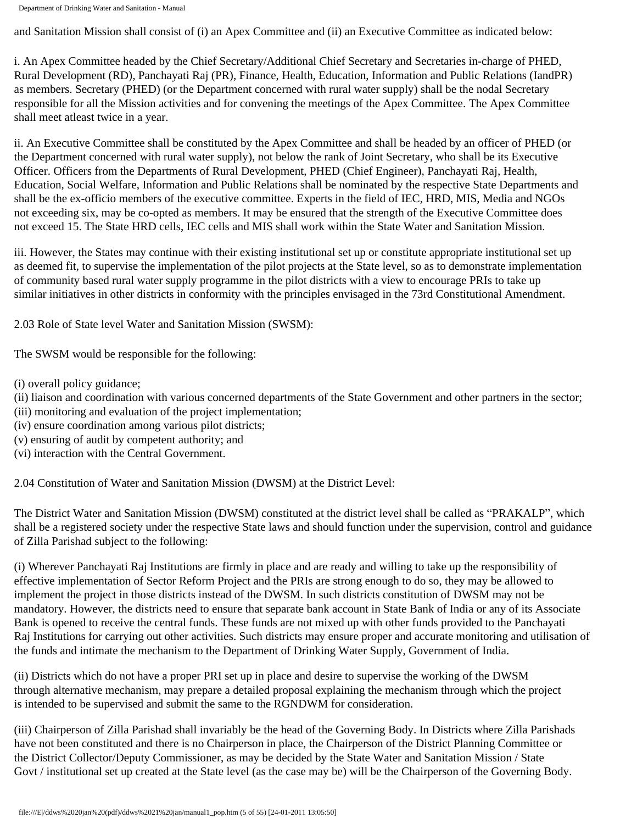and Sanitation Mission shall consist of (i) an Apex Committee and (ii) an Executive Committee as indicated below:

i. An Apex Committee headed by the Chief Secretary/Additional Chief Secretary and Secretaries in-charge of PHED, Rural Development (RD), Panchayati Raj (PR), Finance, Health, Education, Information and Public Relations (IandPR) as members. Secretary (PHED) (or the Department concerned with rural water supply) shall be the nodal Secretary responsible for all the Mission activities and for convening the meetings of the Apex Committee. The Apex Committee shall meet atleast twice in a year.

ii. An Executive Committee shall be constituted by the Apex Committee and shall be headed by an officer of PHED (or the Department concerned with rural water supply), not below the rank of Joint Secretary, who shall be its Executive Officer. Officers from the Departments of Rural Development, PHED (Chief Engineer), Panchayati Raj, Health, Education, Social Welfare, Information and Public Relations shall be nominated by the respective State Departments and shall be the ex-officio members of the executive committee. Experts in the field of IEC, HRD, MIS, Media and NGOs not exceeding six, may be co-opted as members. It may be ensured that the strength of the Executive Committee does not exceed 15. The State HRD cells, IEC cells and MIS shall work within the State Water and Sanitation Mission.

iii. However, the States may continue with their existing institutional set up or constitute appropriate institutional set up as deemed fit, to supervise the implementation of the pilot projects at the State level, so as to demonstrate implementation of community based rural water supply programme in the pilot districts with a view to encourage PRIs to take up similar initiatives in other districts in conformity with the principles envisaged in the 73rd Constitutional Amendment.

2.03 Role of State level Water and Sanitation Mission (SWSM):

The SWSM would be responsible for the following:

(i) overall policy guidance;

- (ii) liaison and coordination with various concerned departments of the State Government and other partners in the sector;
- (iii) monitoring and evaluation of the project implementation;
- (iv) ensure coordination among various pilot districts;
- (v) ensuring of audit by competent authority; and
- (vi) interaction with the Central Government.

2.04 Constitution of Water and Sanitation Mission (DWSM) at the District Level:

The District Water and Sanitation Mission (DWSM) constituted at the district level shall be called as "PRAKALP", which shall be a registered society under the respective State laws and should function under the supervision, control and guidance of Zilla Parishad subject to the following:

(i) Wherever Panchayati Raj Institutions are firmly in place and are ready and willing to take up the responsibility of effective implementation of Sector Reform Project and the PRIs are strong enough to do so, they may be allowed to implement the project in those districts instead of the DWSM. In such districts constitution of DWSM may not be mandatory. However, the districts need to ensure that separate bank account in State Bank of India or any of its Associate Bank is opened to receive the central funds. These funds are not mixed up with other funds provided to the Panchayati Raj Institutions for carrying out other activities. Such districts may ensure proper and accurate monitoring and utilisation of the funds and intimate the mechanism to the Department of Drinking Water Supply, Government of India.

(ii) Districts which do not have a proper PRI set up in place and desire to supervise the working of the DWSM through alternative mechanism, may prepare a detailed proposal explaining the mechanism through which the project is intended to be supervised and submit the same to the RGNDWM for consideration.

(iii) Chairperson of Zilla Parishad shall invariably be the head of the Governing Body. In Districts where Zilla Parishads have not been constituted and there is no Chairperson in place, the Chairperson of the District Planning Committee or the District Collector/Deputy Commissioner, as may be decided by the State Water and Sanitation Mission / State Govt / institutional set up created at the State level (as the case may be) will be the Chairperson of the Governing Body.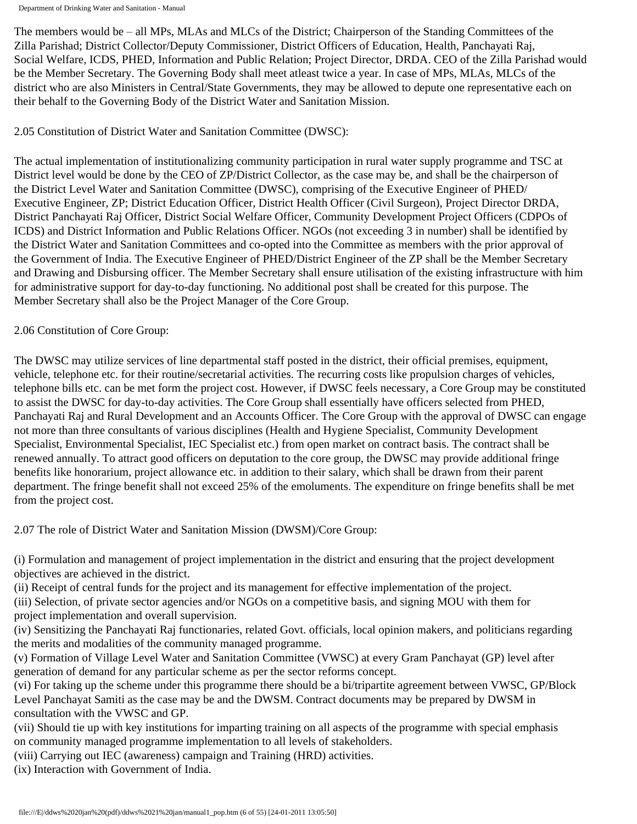The members would be – all MPs, MLAs and MLCs of the District; Chairperson of the Standing Committees of the Zilla Parishad; District Collector/Deputy Commissioner, District Officers of Education, Health, Panchayati Raj, Social Welfare, ICDS, PHED, Information and Public Relation; Project Director, DRDA. CEO of the Zilla Parishad would be the Member Secretary. The Governing Body shall meet atleast twice a year. In case of MPs, MLAs, MLCs of the district who are also Ministers in Central/State Governments, they may be allowed to depute one representative each on their behalf to the Governing Body of the District Water and Sanitation Mission.

## 2.05 Constitution of District Water and Sanitation Committee (DWSC):

The actual implementation of institutionalizing community participation in rural water supply programme and TSC at District level would be done by the CEO of ZP/District Collector, as the case may be, and shall be the chairperson of the District Level Water and Sanitation Committee (DWSC), comprising of the Executive Engineer of PHED/ Executive Engineer, ZP; District Education Officer, District Health Officer (Civil Surgeon), Project Director DRDA, District Panchayati Raj Officer, District Social Welfare Officer, Community Development Project Officers (CDPOs of ICDS) and District Information and Public Relations Officer. NGOs (not exceeding 3 in number) shall be identified by the District Water and Sanitation Committees and co-opted into the Committee as members with the prior approval of the Government of India. The Executive Engineer of PHED/District Engineer of the ZP shall be the Member Secretary and Drawing and Disbursing officer. The Member Secretary shall ensure utilisation of the existing infrastructure with him for administrative support for day-to-day functioning. No additional post shall be created for this purpose. The Member Secretary shall also be the Project Manager of the Core Group.

#### 2.06 Constitution of Core Group:

The DWSC may utilize services of line departmental staff posted in the district, their official premises, equipment, vehicle, telephone etc. for their routine/secretarial activities. The recurring costs like propulsion charges of vehicles, telephone bills etc. can be met form the project cost. However, if DWSC feels necessary, a Core Group may be constituted to assist the DWSC for day-to-day activities. The Core Group shall essentially have officers selected from PHED, Panchayati Raj and Rural Development and an Accounts Officer. The Core Group with the approval of DWSC can engage not more than three consultants of various disciplines (Health and Hygiene Specialist, Community Development Specialist, Environmental Specialist, IEC Specialist etc.) from open market on contract basis. The contract shall be renewed annually. To attract good officers on deputation to the core group, the DWSC may provide additional fringe benefits like honorarium, project allowance etc. in addition to their salary, which shall be drawn from their parent department. The fringe benefit shall not exceed 25% of the emoluments. The expenditure on fringe benefits shall be met from the project cost.

2.07 The role of District Water and Sanitation Mission (DWSM)/Core Group:

(i) Formulation and management of project implementation in the district and ensuring that the project development objectives are achieved in the district.

(ii) Receipt of central funds for the project and its management for effective implementation of the project. (iii) Selection, of private sector agencies and/or NGOs on a competitive basis, and signing MOU with them for project implementation and overall supervision.

(iv) Sensitizing the Panchayati Raj functionaries, related Govt. officials, local opinion makers, and politicians regarding the merits and modalities of the community managed programme.

(v) Formation of Village Level Water and Sanitation Committee (VWSC) at every Gram Panchayat (GP) level after generation of demand for any particular scheme as per the sector reforms concept.

(vi) For taking up the scheme under this programme there should be a bi/tripartite agreement between VWSC, GP/Block Level Panchayat Samiti as the case may be and the DWSM. Contract documents may be prepared by DWSM in consultation with the VWSC and GP.

(vii) Should tie up with key institutions for imparting training on all aspects of the programme with special emphasis on community managed programme implementation to all levels of stakeholders.

(viii) Carrying out IEC (awareness) campaign and Training (HRD) activities.

(ix) Interaction with Government of India.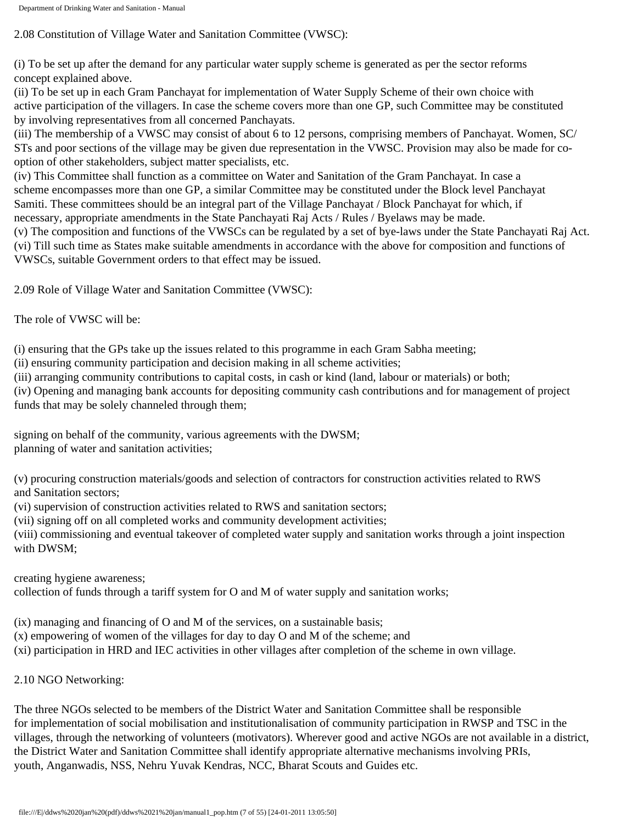2.08 Constitution of Village Water and Sanitation Committee (VWSC):

(i) To be set up after the demand for any particular water supply scheme is generated as per the sector reforms concept explained above.

(ii) To be set up in each Gram Panchayat for implementation of Water Supply Scheme of their own choice with active participation of the villagers. In case the scheme covers more than one GP, such Committee may be constituted by involving representatives from all concerned Panchayats.

(iii) The membership of a VWSC may consist of about 6 to 12 persons, comprising members of Panchayat. Women, SC/ STs and poor sections of the village may be given due representation in the VWSC. Provision may also be made for cooption of other stakeholders, subject matter specialists, etc.

(iv) This Committee shall function as a committee on Water and Sanitation of the Gram Panchayat. In case a scheme encompasses more than one GP, a similar Committee may be constituted under the Block level Panchayat Samiti. These committees should be an integral part of the Village Panchayat / Block Panchayat for which, if necessary, appropriate amendments in the State Panchayati Raj Acts / Rules / Byelaws may be made.

(v) The composition and functions of the VWSCs can be regulated by a set of bye-laws under the State Panchayati Raj Act. (vi) Till such time as States make suitable amendments in accordance with the above for composition and functions of VWSCs, suitable Government orders to that effect may be issued.

2.09 Role of Village Water and Sanitation Committee (VWSC):

The role of VWSC will be:

(i) ensuring that the GPs take up the issues related to this programme in each Gram Sabha meeting;

(ii) ensuring community participation and decision making in all scheme activities;

(iii) arranging community contributions to capital costs, in cash or kind (land, labour or materials) or both;

(iv) Opening and managing bank accounts for depositing community cash contributions and for management of project funds that may be solely channeled through them;

signing on behalf of the community, various agreements with the DWSM; planning of water and sanitation activities;

(v) procuring construction materials/goods and selection of contractors for construction activities related to RWS and Sanitation sectors;

(vi) supervision of construction activities related to RWS and sanitation sectors;

(vii) signing off on all completed works and community development activities;

(viii) commissioning and eventual takeover of completed water supply and sanitation works through a joint inspection with DWSM;

creating hygiene awareness;

collection of funds through a tariff system for O and M of water supply and sanitation works;

(ix) managing and financing of O and M of the services, on a sustainable basis;

(x) empowering of women of the villages for day to day O and M of the scheme; and

(xi) participation in HRD and IEC activities in other villages after completion of the scheme in own village.

2.10 NGO Networking:

The three NGOs selected to be members of the District Water and Sanitation Committee shall be responsible for implementation of social mobilisation and institutionalisation of community participation in RWSP and TSC in the villages, through the networking of volunteers (motivators). Wherever good and active NGOs are not available in a district, the District Water and Sanitation Committee shall identify appropriate alternative mechanisms involving PRIs, youth, Anganwadis, NSS, Nehru Yuvak Kendras, NCC, Bharat Scouts and Guides etc.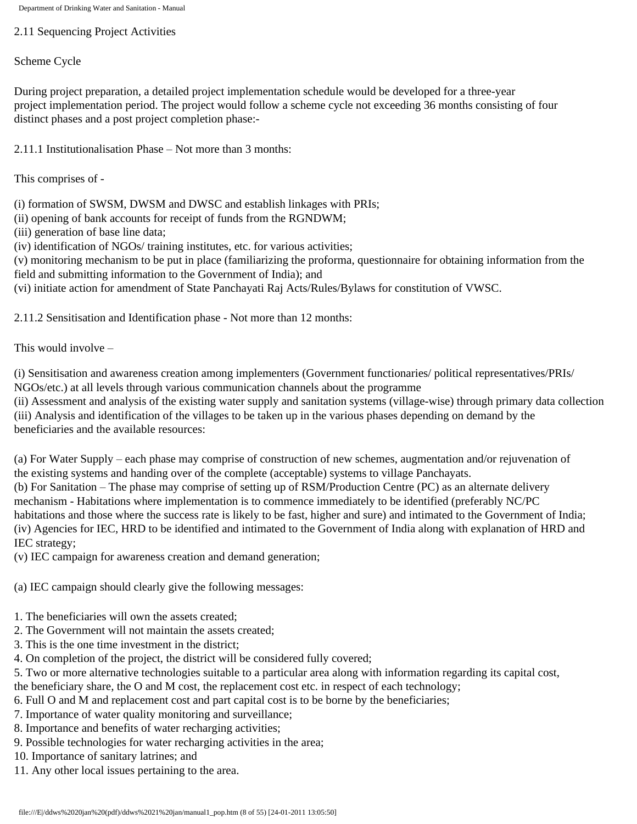2.11 Sequencing Project Activities

Scheme Cycle

During project preparation, a detailed project implementation schedule would be developed for a three-year project implementation period. The project would follow a scheme cycle not exceeding 36 months consisting of four distinct phases and a post project completion phase:-

2.11.1 Institutionalisation Phase – Not more than 3 months:

This comprises of -

(i) formation of SWSM, DWSM and DWSC and establish linkages with PRIs;

(ii) opening of bank accounts for receipt of funds from the RGNDWM;

(iii) generation of base line data;

(iv) identification of NGOs/ training institutes, etc. for various activities;

(v) monitoring mechanism to be put in place (familiarizing the proforma, questionnaire for obtaining information from the field and submitting information to the Government of India); and

(vi) initiate action for amendment of State Panchayati Raj Acts/Rules/Bylaws for constitution of VWSC.

2.11.2 Sensitisation and Identification phase - Not more than 12 months:

This would involve –

(i) Sensitisation and awareness creation among implementers (Government functionaries/ political representatives/PRIs/ NGOs/etc.) at all levels through various communication channels about the programme

(ii) Assessment and analysis of the existing water supply and sanitation systems (village-wise) through primary data collection (iii) Analysis and identification of the villages to be taken up in the various phases depending on demand by the beneficiaries and the available resources:

(a) For Water Supply – each phase may comprise of construction of new schemes, augmentation and/or rejuvenation of the existing systems and handing over of the complete (acceptable) systems to village Panchayats.

(b) For Sanitation – The phase may comprise of setting up of RSM/Production Centre (PC) as an alternate delivery mechanism - Habitations where implementation is to commence immediately to be identified (preferably NC/PC habitations and those where the success rate is likely to be fast, higher and sure) and intimated to the Government of India; (iv) Agencies for IEC, HRD to be identified and intimated to the Government of India along with explanation of HRD and IEC strategy;

(v) IEC campaign for awareness creation and demand generation;

(a) IEC campaign should clearly give the following messages:

- 1. The beneficiaries will own the assets created;
- 2. The Government will not maintain the assets created;
- 3. This is the one time investment in the district;
- 4. On completion of the project, the district will be considered fully covered;
- 5. Two or more alternative technologies suitable to a particular area along with information regarding its capital cost,

the beneficiary share, the O and M cost, the replacement cost etc. in respect of each technology;

- 6. Full O and M and replacement cost and part capital cost is to be borne by the beneficiaries;
- 7. Importance of water quality monitoring and surveillance;
- 8. Importance and benefits of water recharging activities;
- 9. Possible technologies for water recharging activities in the area;
- 10. Importance of sanitary latrines; and
- 11. Any other local issues pertaining to the area.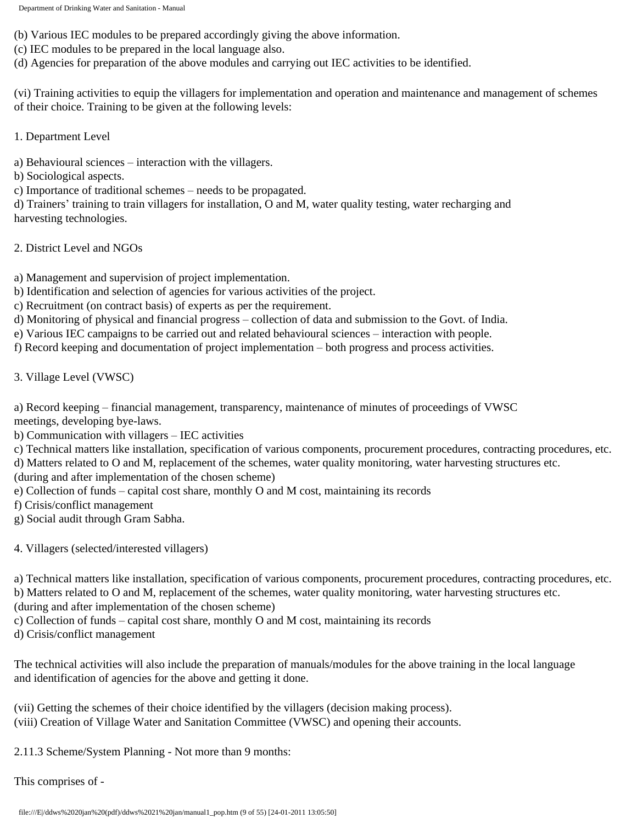(b) Various IEC modules to be prepared accordingly giving the above information.

- (c) IEC modules to be prepared in the local language also.
- (d) Agencies for preparation of the above modules and carrying out IEC activities to be identified.

(vi) Training activities to equip the villagers for implementation and operation and maintenance and management of schemes of their choice. Training to be given at the following levels:

1. Department Level

a) Behavioural sciences – interaction with the villagers.

b) Sociological aspects.

c) Importance of traditional schemes – needs to be propagated.

d) Trainers' training to train villagers for installation, O and M, water quality testing, water recharging and harvesting technologies.

## 2. District Level and NGOs

a) Management and supervision of project implementation.

b) Identification and selection of agencies for various activities of the project.

- c) Recruitment (on contract basis) of experts as per the requirement.
- d) Monitoring of physical and financial progress collection of data and submission to the Govt. of India.
- e) Various IEC campaigns to be carried out and related behavioural sciences interaction with people.

f) Record keeping and documentation of project implementation – both progress and process activities.

3. Village Level (VWSC)

a) Record keeping – financial management, transparency, maintenance of minutes of proceedings of VWSC meetings, developing bye-laws.

b) Communication with villagers – IEC activities

c) Technical matters like installation, specification of various components, procurement procedures, contracting procedures, etc.

d) Matters related to O and M, replacement of the schemes, water quality monitoring, water harvesting structures etc.

(during and after implementation of the chosen scheme)

- e) Collection of funds capital cost share, monthly O and M cost, maintaining its records
- f) Crisis/conflict management
- g) Social audit through Gram Sabha.
- 4. Villagers (selected/interested villagers)

a) Technical matters like installation, specification of various components, procurement procedures, contracting procedures, etc.

b) Matters related to O and M, replacement of the schemes, water quality monitoring, water harvesting structures etc.

(during and after implementation of the chosen scheme)

c) Collection of funds – capital cost share, monthly O and M cost, maintaining its records

d) Crisis/conflict management

The technical activities will also include the preparation of manuals/modules for the above training in the local language and identification of agencies for the above and getting it done.

(vii) Getting the schemes of their choice identified by the villagers (decision making process). (viii) Creation of Village Water and Sanitation Committee (VWSC) and opening their accounts.

2.11.3 Scheme/System Planning - Not more than 9 months:

This comprises of -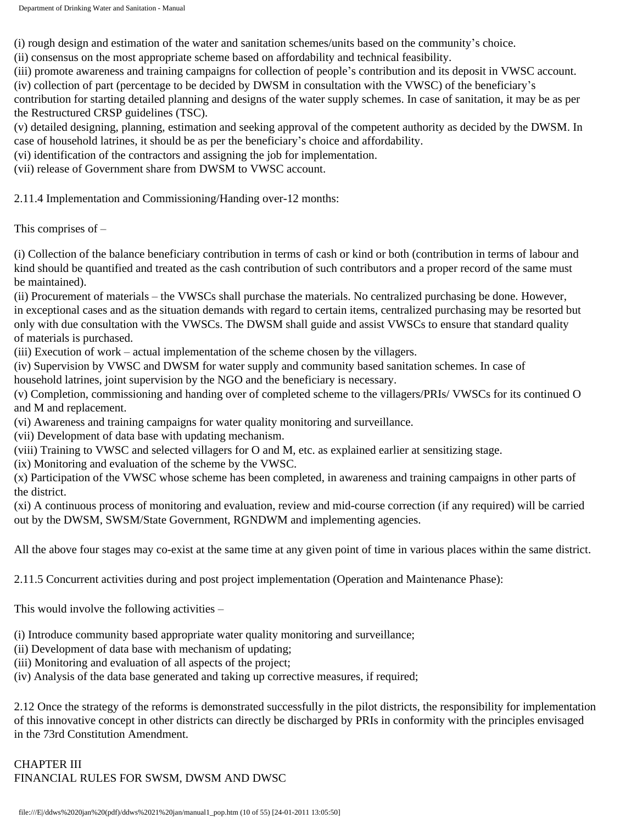(i) rough design and estimation of the water and sanitation schemes/units based on the community's choice.

(ii) consensus on the most appropriate scheme based on affordability and technical feasibility.

(iii) promote awareness and training campaigns for collection of people's contribution and its deposit in VWSC account.

(iv) collection of part (percentage to be decided by DWSM in consultation with the VWSC) of the beneficiary's

contribution for starting detailed planning and designs of the water supply schemes. In case of sanitation, it may be as per the Restructured CRSP guidelines (TSC).

(v) detailed designing, planning, estimation and seeking approval of the competent authority as decided by the DWSM. In case of household latrines, it should be as per the beneficiary's choice and affordability.

(vi) identification of the contractors and assigning the job for implementation.

(vii) release of Government share from DWSM to VWSC account.

2.11.4 Implementation and Commissioning/Handing over-12 months:

This comprises of –

(i) Collection of the balance beneficiary contribution in terms of cash or kind or both (contribution in terms of labour and kind should be quantified and treated as the cash contribution of such contributors and a proper record of the same must be maintained).

(ii) Procurement of materials – the VWSCs shall purchase the materials. No centralized purchasing be done. However, in exceptional cases and as the situation demands with regard to certain items, centralized purchasing may be resorted but only with due consultation with the VWSCs. The DWSM shall guide and assist VWSCs to ensure that standard quality of materials is purchased.

(iii) Execution of work – actual implementation of the scheme chosen by the villagers.

(iv) Supervision by VWSC and DWSM for water supply and community based sanitation schemes. In case of household latrines, joint supervision by the NGO and the beneficiary is necessary.

(v) Completion, commissioning and handing over of completed scheme to the villagers/PRIs/ VWSCs for its continued O and M and replacement.

(vi) Awareness and training campaigns for water quality monitoring and surveillance.

(vii) Development of data base with updating mechanism.

(viii) Training to VWSC and selected villagers for O and M, etc. as explained earlier at sensitizing stage.

(ix) Monitoring and evaluation of the scheme by the VWSC.

(x) Participation of the VWSC whose scheme has been completed, in awareness and training campaigns in other parts of the district.

(xi) A continuous process of monitoring and evaluation, review and mid-course correction (if any required) will be carried out by the DWSM, SWSM/State Government, RGNDWM and implementing agencies.

All the above four stages may co-exist at the same time at any given point of time in various places within the same district.

2.11.5 Concurrent activities during and post project implementation (Operation and Maintenance Phase):

This would involve the following activities –

(i) Introduce community based appropriate water quality monitoring and surveillance;

(ii) Development of data base with mechanism of updating;

(iii) Monitoring and evaluation of all aspects of the project;

(iv) Analysis of the data base generated and taking up corrective measures, if required;

2.12 Once the strategy of the reforms is demonstrated successfully in the pilot districts, the responsibility for implementation of this innovative concept in other districts can directly be discharged by PRIs in conformity with the principles envisaged in the 73rd Constitution Amendment.

CHAPTER III FINANCIAL RULES FOR SWSM, DWSM AND DWSC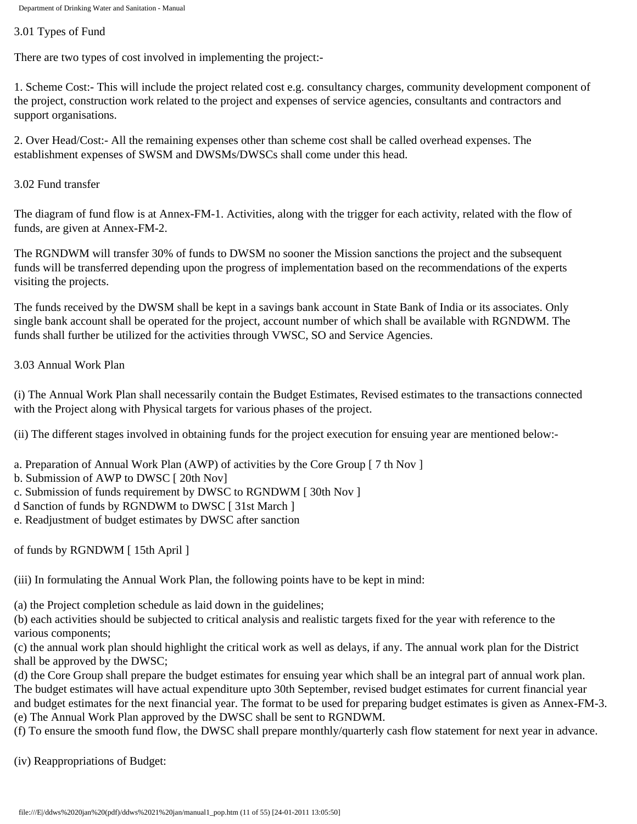## 3.01 Types of Fund

There are two types of cost involved in implementing the project:-

1. Scheme Cost:- This will include the project related cost e.g. consultancy charges, community development component of the project, construction work related to the project and expenses of service agencies, consultants and contractors and support organisations.

2. Over Head/Cost:- All the remaining expenses other than scheme cost shall be called overhead expenses. The establishment expenses of SWSM and DWSMs/DWSCs shall come under this head.

3.02 Fund transfer

The diagram of fund flow is at Annex-FM-1. Activities, along with the trigger for each activity, related with the flow of funds, are given at Annex-FM-2.

The RGNDWM will transfer 30% of funds to DWSM no sooner the Mission sanctions the project and the subsequent funds will be transferred depending upon the progress of implementation based on the recommendations of the experts visiting the projects.

The funds received by the DWSM shall be kept in a savings bank account in State Bank of India or its associates. Only single bank account shall be operated for the project, account number of which shall be available with RGNDWM. The funds shall further be utilized for the activities through VWSC, SO and Service Agencies.

## 3.03 Annual Work Plan

(i) The Annual Work Plan shall necessarily contain the Budget Estimates, Revised estimates to the transactions connected with the Project along with Physical targets for various phases of the project.

(ii) The different stages involved in obtaining funds for the project execution for ensuing year are mentioned below:-

- a. Preparation of Annual Work Plan (AWP) of activities by the Core Group [ 7 th Nov ]
- b. Submission of AWP to DWSC [ 20th Nov]
- c. Submission of funds requirement by DWSC to RGNDWM [ 30th Nov ]
- d Sanction of funds by RGNDWM to DWSC [ 31st March ]
- e. Readjustment of budget estimates by DWSC after sanction

of funds by RGNDWM [ 15th April ]

(iii) In formulating the Annual Work Plan, the following points have to be kept in mind:

(a) the Project completion schedule as laid down in the guidelines;

(b) each activities should be subjected to critical analysis and realistic targets fixed for the year with reference to the various components;

(c) the annual work plan should highlight the critical work as well as delays, if any. The annual work plan for the District shall be approved by the DWSC;

(d) the Core Group shall prepare the budget estimates for ensuing year which shall be an integral part of annual work plan. The budget estimates will have actual expenditure upto 30th September, revised budget estimates for current financial year and budget estimates for the next financial year. The format to be used for preparing budget estimates is given as Annex-FM-3. (e) The Annual Work Plan approved by the DWSC shall be sent to RGNDWM.

(f) To ensure the smooth fund flow, the DWSC shall prepare monthly/quarterly cash flow statement for next year in advance.

(iv) Reappropriations of Budget: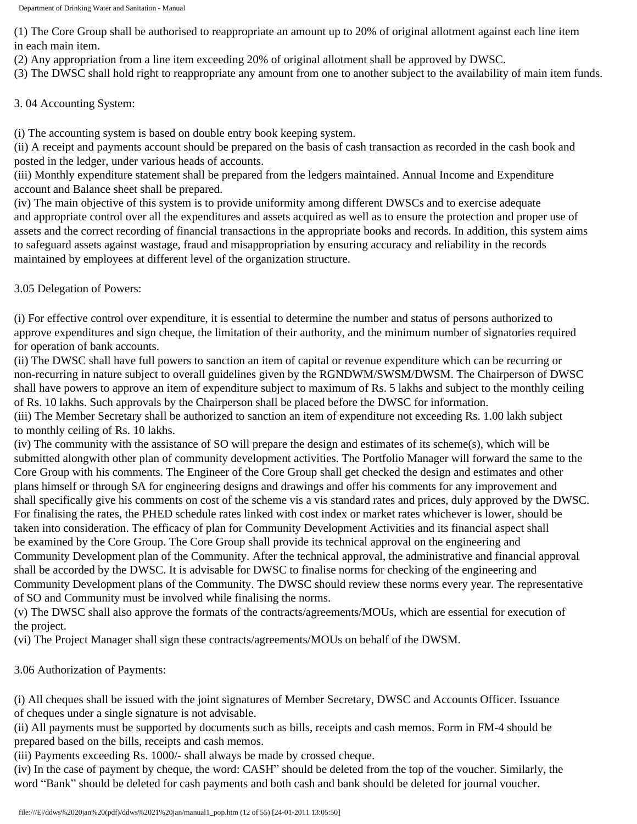(1) The Core Group shall be authorised to reappropriate an amount up to 20% of original allotment against each line item in each main item.

(2) Any appropriation from a line item exceeding 20% of original allotment shall be approved by DWSC.

(3) The DWSC shall hold right to reappropriate any amount from one to another subject to the availability of main item funds.

3. 04 Accounting System:

(i) The accounting system is based on double entry book keeping system.

(ii) A receipt and payments account should be prepared on the basis of cash transaction as recorded in the cash book and posted in the ledger, under various heads of accounts.

(iii) Monthly expenditure statement shall be prepared from the ledgers maintained. Annual Income and Expenditure account and Balance sheet shall be prepared.

(iv) The main objective of this system is to provide uniformity among different DWSCs and to exercise adequate and appropriate control over all the expenditures and assets acquired as well as to ensure the protection and proper use of assets and the correct recording of financial transactions in the appropriate books and records. In addition, this system aims to safeguard assets against wastage, fraud and misappropriation by ensuring accuracy and reliability in the records maintained by employees at different level of the organization structure.

3.05 Delegation of Powers:

(i) For effective control over expenditure, it is essential to determine the number and status of persons authorized to approve expenditures and sign cheque, the limitation of their authority, and the minimum number of signatories required for operation of bank accounts.

(ii) The DWSC shall have full powers to sanction an item of capital or revenue expenditure which can be recurring or non-recurring in nature subject to overall guidelines given by the RGNDWM/SWSM/DWSM. The Chairperson of DWSC shall have powers to approve an item of expenditure subject to maximum of Rs. 5 lakhs and subject to the monthly ceiling of Rs. 10 lakhs. Such approvals by the Chairperson shall be placed before the DWSC for information.

(iii) The Member Secretary shall be authorized to sanction an item of expenditure not exceeding Rs. 1.00 lakh subject to monthly ceiling of Rs. 10 lakhs.

(iv) The community with the assistance of SO will prepare the design and estimates of its scheme(s), which will be submitted alongwith other plan of community development activities. The Portfolio Manager will forward the same to the Core Group with his comments. The Engineer of the Core Group shall get checked the design and estimates and other plans himself or through SA for engineering designs and drawings and offer his comments for any improvement and shall specifically give his comments on cost of the scheme vis a vis standard rates and prices, duly approved by the DWSC. For finalising the rates, the PHED schedule rates linked with cost index or market rates whichever is lower, should be taken into consideration. The efficacy of plan for Community Development Activities and its financial aspect shall be examined by the Core Group. The Core Group shall provide its technical approval on the engineering and Community Development plan of the Community. After the technical approval, the administrative and financial approval shall be accorded by the DWSC. It is advisable for DWSC to finalise norms for checking of the engineering and Community Development plans of the Community. The DWSC should review these norms every year. The representative of SO and Community must be involved while finalising the norms.

(v) The DWSC shall also approve the formats of the contracts/agreements/MOUs, which are essential for execution of the project.

(vi) The Project Manager shall sign these contracts/agreements/MOUs on behalf of the DWSM.

3.06 Authorization of Payments:

(i) All cheques shall be issued with the joint signatures of Member Secretary, DWSC and Accounts Officer. Issuance of cheques under a single signature is not advisable.

(ii) All payments must be supported by documents such as bills, receipts and cash memos. Form in FM-4 should be prepared based on the bills, receipts and cash memos.

(iii) Payments exceeding Rs. 1000/- shall always be made by crossed cheque.

(iv) In the case of payment by cheque, the word: CASH" should be deleted from the top of the voucher. Similarly, the word "Bank" should be deleted for cash payments and both cash and bank should be deleted for journal voucher.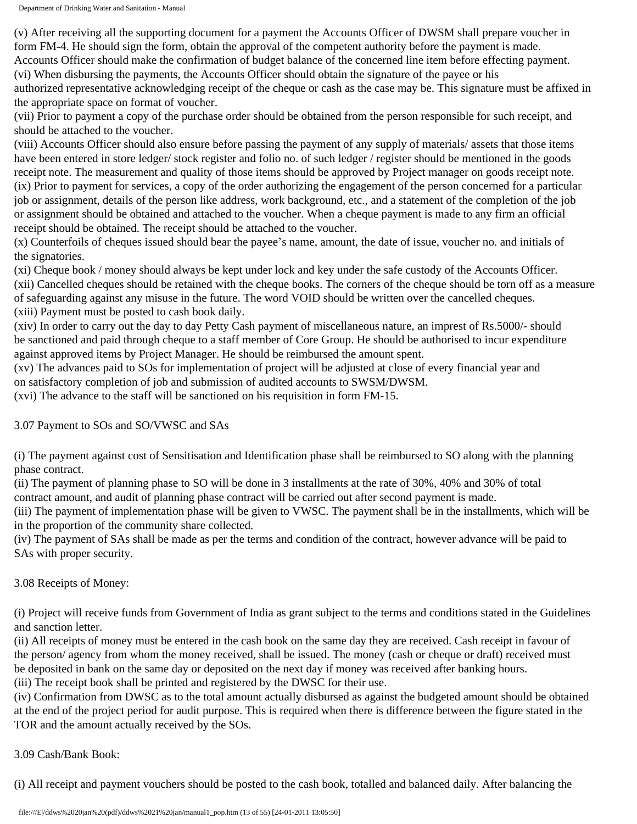(v) After receiving all the supporting document for a payment the Accounts Officer of DWSM shall prepare voucher in form FM-4. He should sign the form, obtain the approval of the competent authority before the payment is made. Accounts Officer should make the confirmation of budget balance of the concerned line item before effecting payment.

(vi) When disbursing the payments, the Accounts Officer should obtain the signature of the payee or his authorized representative acknowledging receipt of the cheque or cash as the case may be. This signature must be affixed in the appropriate space on format of voucher.

(vii) Prior to payment a copy of the purchase order should be obtained from the person responsible for such receipt, and should be attached to the voucher.

(viii) Accounts Officer should also ensure before passing the payment of any supply of materials/ assets that those items have been entered in store ledger/ stock register and folio no. of such ledger / register should be mentioned in the goods receipt note. The measurement and quality of those items should be approved by Project manager on goods receipt note. (ix) Prior to payment for services, a copy of the order authorizing the engagement of the person concerned for a particular job or assignment, details of the person like address, work background, etc., and a statement of the completion of the job or assignment should be obtained and attached to the voucher. When a cheque payment is made to any firm an official receipt should be obtained. The receipt should be attached to the voucher.

(x) Counterfoils of cheques issued should bear the payee's name, amount, the date of issue, voucher no. and initials of the signatories.

(xi) Cheque book / money should always be kept under lock and key under the safe custody of the Accounts Officer. (xii) Cancelled cheques should be retained with the cheque books. The corners of the cheque should be torn off as a measure of safeguarding against any misuse in the future. The word VOID should be written over the cancelled cheques. (xiii) Payment must be posted to cash book daily.

(xiv) In order to carry out the day to day Petty Cash payment of miscellaneous nature, an imprest of Rs.5000/- should be sanctioned and paid through cheque to a staff member of Core Group. He should be authorised to incur expenditure against approved items by Project Manager. He should be reimbursed the amount spent.

(xv) The advances paid to SOs for implementation of project will be adjusted at close of every financial year and on satisfactory completion of job and submission of audited accounts to SWSM/DWSM.

(xvi) The advance to the staff will be sanctioned on his requisition in form FM-15.

3.07 Payment to SOs and SO/VWSC and SAs

(i) The payment against cost of Sensitisation and Identification phase shall be reimbursed to SO along with the planning phase contract.

(ii) The payment of planning phase to SO will be done in 3 installments at the rate of 30%, 40% and 30% of total contract amount, and audit of planning phase contract will be carried out after second payment is made.

(iii) The payment of implementation phase will be given to VWSC. The payment shall be in the installments, which will be in the proportion of the community share collected.

(iv) The payment of SAs shall be made as per the terms and condition of the contract, however advance will be paid to SAs with proper security.

# 3.08 Receipts of Money:

(i) Project will receive funds from Government of India as grant subject to the terms and conditions stated in the Guidelines and sanction letter.

(ii) All receipts of money must be entered in the cash book on the same day they are received. Cash receipt in favour of the person/ agency from whom the money received, shall be issued. The money (cash or cheque or draft) received must be deposited in bank on the same day or deposited on the next day if money was received after banking hours. (iii) The receipt book shall be printed and registered by the DWSC for their use.

(iv) Confirmation from DWSC as to the total amount actually disbursed as against the budgeted amount should be obtained at the end of the project period for audit purpose. This is required when there is difference between the figure stated in the TOR and the amount actually received by the SOs.

## 3.09 Cash/Bank Book:

(i) All receipt and payment vouchers should be posted to the cash book, totalled and balanced daily. After balancing the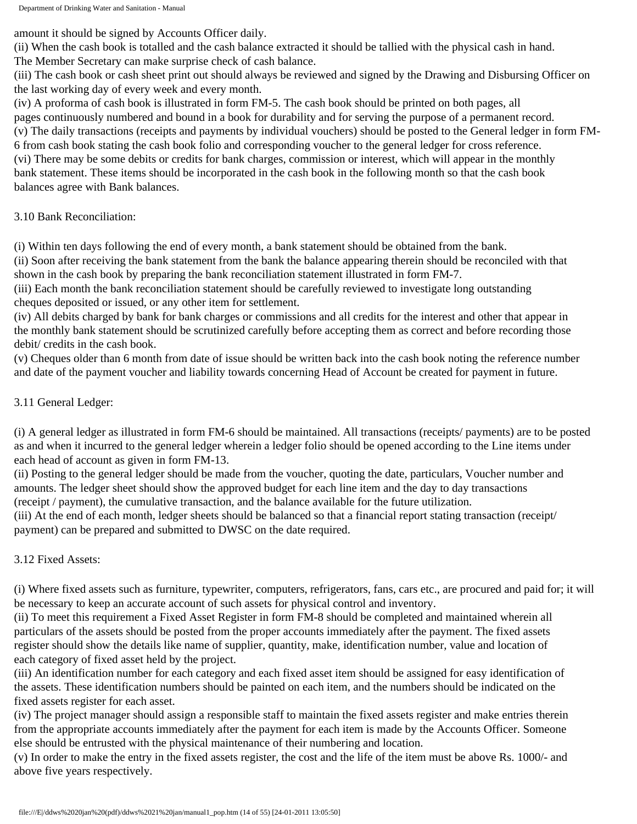amount it should be signed by Accounts Officer daily.

(ii) When the cash book is totalled and the cash balance extracted it should be tallied with the physical cash in hand. The Member Secretary can make surprise check of cash balance.

(iii) The cash book or cash sheet print out should always be reviewed and signed by the Drawing and Disbursing Officer on the last working day of every week and every month.

(iv) A proforma of cash book is illustrated in form FM-5. The cash book should be printed on both pages, all pages continuously numbered and bound in a book for durability and for serving the purpose of a permanent record. (v) The daily transactions (receipts and payments by individual vouchers) should be posted to the General ledger in form FM-6 from cash book stating the cash book folio and corresponding voucher to the general ledger for cross reference. (vi) There may be some debits or credits for bank charges, commission or interest, which will appear in the monthly bank statement. These items should be incorporated in the cash book in the following month so that the cash book balances agree with Bank balances.

# 3.10 Bank Reconciliation:

(i) Within ten days following the end of every month, a bank statement should be obtained from the bank.

(ii) Soon after receiving the bank statement from the bank the balance appearing therein should be reconciled with that shown in the cash book by preparing the bank reconciliation statement illustrated in form FM-7.

(iii) Each month the bank reconciliation statement should be carefully reviewed to investigate long outstanding cheques deposited or issued, or any other item for settlement.

(iv) All debits charged by bank for bank charges or commissions and all credits for the interest and other that appear in the monthly bank statement should be scrutinized carefully before accepting them as correct and before recording those debit/ credits in the cash book.

(v) Cheques older than 6 month from date of issue should be written back into the cash book noting the reference number and date of the payment voucher and liability towards concerning Head of Account be created for payment in future.

# 3.11 General Ledger:

(i) A general ledger as illustrated in form FM-6 should be maintained. All transactions (receipts/ payments) are to be posted as and when it incurred to the general ledger wherein a ledger folio should be opened according to the Line items under each head of account as given in form FM-13.

(ii) Posting to the general ledger should be made from the voucher, quoting the date, particulars, Voucher number and amounts. The ledger sheet should show the approved budget for each line item and the day to day transactions (receipt / payment), the cumulative transaction, and the balance available for the future utilization.

(iii) At the end of each month, ledger sheets should be balanced so that a financial report stating transaction (receipt/ payment) can be prepared and submitted to DWSC on the date required.

## 3.12 Fixed Assets:

(i) Where fixed assets such as furniture, typewriter, computers, refrigerators, fans, cars etc., are procured and paid for; it will be necessary to keep an accurate account of such assets for physical control and inventory.

(ii) To meet this requirement a Fixed Asset Register in form FM-8 should be completed and maintained wherein all particulars of the assets should be posted from the proper accounts immediately after the payment. The fixed assets register should show the details like name of supplier, quantity, make, identification number, value and location of each category of fixed asset held by the project.

(iii) An identification number for each category and each fixed asset item should be assigned for easy identification of the assets. These identification numbers should be painted on each item, and the numbers should be indicated on the fixed assets register for each asset.

(iv) The project manager should assign a responsible staff to maintain the fixed assets register and make entries therein from the appropriate accounts immediately after the payment for each item is made by the Accounts Officer. Someone else should be entrusted with the physical maintenance of their numbering and location.

(v) In order to make the entry in the fixed assets register, the cost and the life of the item must be above Rs. 1000/- and above five years respectively.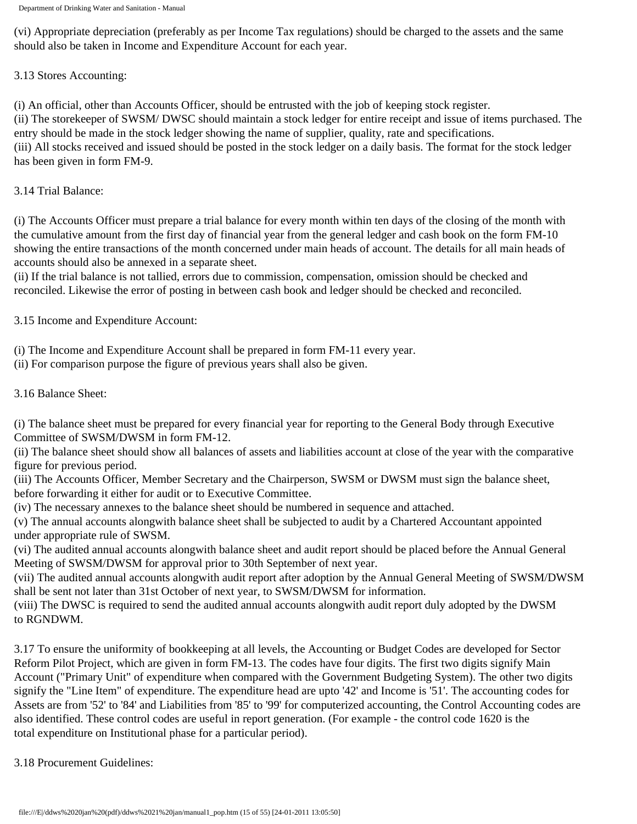(vi) Appropriate depreciation (preferably as per Income Tax regulations) should be charged to the assets and the same should also be taken in Income and Expenditure Account for each year.

## 3.13 Stores Accounting:

(i) An official, other than Accounts Officer, should be entrusted with the job of keeping stock register. (ii) The storekeeper of SWSM/ DWSC should maintain a stock ledger for entire receipt and issue of items purchased. The entry should be made in the stock ledger showing the name of supplier, quality, rate and specifications. (iii) All stocks received and issued should be posted in the stock ledger on a daily basis. The format for the stock ledger has been given in form FM-9.

## 3.14 Trial Balance:

(i) The Accounts Officer must prepare a trial balance for every month within ten days of the closing of the month with the cumulative amount from the first day of financial year from the general ledger and cash book on the form FM-10 showing the entire transactions of the month concerned under main heads of account. The details for all main heads of accounts should also be annexed in a separate sheet.

(ii) If the trial balance is not tallied, errors due to commission, compensation, omission should be checked and reconciled. Likewise the error of posting in between cash book and ledger should be checked and reconciled.

3.15 Income and Expenditure Account:

- (i) The Income and Expenditure Account shall be prepared in form FM-11 every year.
- (ii) For comparison purpose the figure of previous years shall also be given.

## 3.16 Balance Sheet:

(i) The balance sheet must be prepared for every financial year for reporting to the General Body through Executive Committee of SWSM/DWSM in form FM-12.

(ii) The balance sheet should show all balances of assets and liabilities account at close of the year with the comparative figure for previous period.

(iii) The Accounts Officer, Member Secretary and the Chairperson, SWSM or DWSM must sign the balance sheet, before forwarding it either for audit or to Executive Committee.

(iv) The necessary annexes to the balance sheet should be numbered in sequence and attached.

(v) The annual accounts alongwith balance sheet shall be subjected to audit by a Chartered Accountant appointed under appropriate rule of SWSM.

(vi) The audited annual accounts alongwith balance sheet and audit report should be placed before the Annual General Meeting of SWSM/DWSM for approval prior to 30th September of next year.

(vii) The audited annual accounts alongwith audit report after adoption by the Annual General Meeting of SWSM/DWSM shall be sent not later than 31st October of next year, to SWSM/DWSM for information.

(viii) The DWSC is required to send the audited annual accounts alongwith audit report duly adopted by the DWSM to RGNDWM.

3.17 To ensure the uniformity of bookkeeping at all levels, the Accounting or Budget Codes are developed for Sector Reform Pilot Project, which are given in form FM-13. The codes have four digits. The first two digits signify Main Account ("Primary Unit" of expenditure when compared with the Government Budgeting System). The other two digits signify the "Line Item" of expenditure. The expenditure head are upto '42' and Income is '51'. The accounting codes for Assets are from '52' to '84' and Liabilities from '85' to '99' for computerized accounting, the Control Accounting codes are also identified. These control codes are useful in report generation. (For example - the control code 1620 is the total expenditure on Institutional phase for a particular period).

## 3.18 Procurement Guidelines: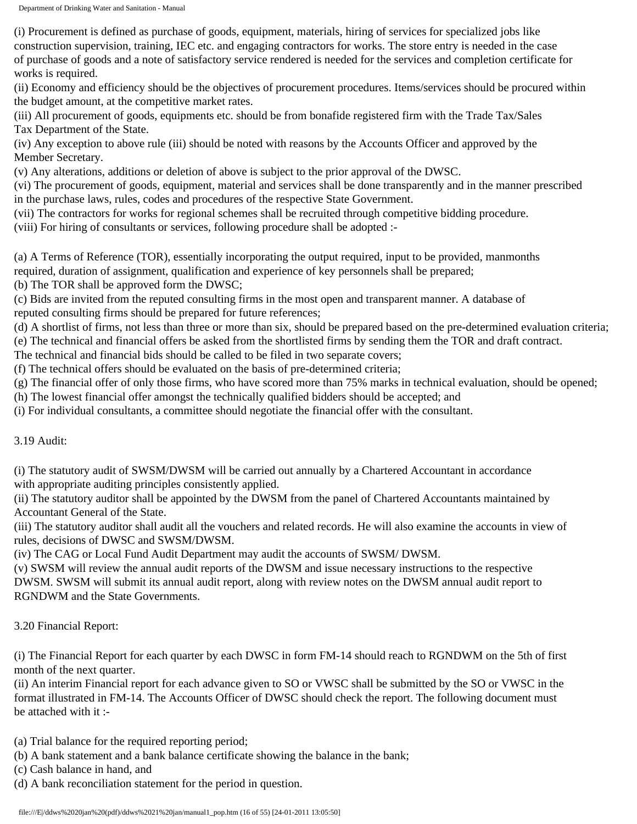(i) Procurement is defined as purchase of goods, equipment, materials, hiring of services for specialized jobs like construction supervision, training, IEC etc. and engaging contractors for works. The store entry is needed in the case of purchase of goods and a note of satisfactory service rendered is needed for the services and completion certificate for works is required.

(ii) Economy and efficiency should be the objectives of procurement procedures. Items/services should be procured within the budget amount, at the competitive market rates.

(iii) All procurement of goods, equipments etc. should be from bonafide registered firm with the Trade Tax/Sales Tax Department of the State.

(iv) Any exception to above rule (iii) should be noted with reasons by the Accounts Officer and approved by the Member Secretary.

(v) Any alterations, additions or deletion of above is subject to the prior approval of the DWSC.

(vi) The procurement of goods, equipment, material and services shall be done transparently and in the manner prescribed in the purchase laws, rules, codes and procedures of the respective State Government.

(vii) The contractors for works for regional schemes shall be recruited through competitive bidding procedure.

(viii) For hiring of consultants or services, following procedure shall be adopted :-

(a) A Terms of Reference (TOR), essentially incorporating the output required, input to be provided, manmonths

required, duration of assignment, qualification and experience of key personnels shall be prepared;

(b) The TOR shall be approved form the DWSC;

(c) Bids are invited from the reputed consulting firms in the most open and transparent manner. A database of reputed consulting firms should be prepared for future references;

(d) A shortlist of firms, not less than three or more than six, should be prepared based on the pre-determined evaluation criteria;

(e) The technical and financial offers be asked from the shortlisted firms by sending them the TOR and draft contract.

The technical and financial bids should be called to be filed in two separate covers;

(f) The technical offers should be evaluated on the basis of pre-determined criteria;

(g) The financial offer of only those firms, who have scored more than 75% marks in technical evaluation, should be opened;

(h) The lowest financial offer amongst the technically qualified bidders should be accepted; and

(i) For individual consultants, a committee should negotiate the financial offer with the consultant.

3.19 Audit:

(i) The statutory audit of SWSM/DWSM will be carried out annually by a Chartered Accountant in accordance with appropriate auditing principles consistently applied.

(ii) The statutory auditor shall be appointed by the DWSM from the panel of Chartered Accountants maintained by Accountant General of the State.

(iii) The statutory auditor shall audit all the vouchers and related records. He will also examine the accounts in view of rules, decisions of DWSC and SWSM/DWSM.

(iv) The CAG or Local Fund Audit Department may audit the accounts of SWSM/ DWSM.

(v) SWSM will review the annual audit reports of the DWSM and issue necessary instructions to the respective DWSM. SWSM will submit its annual audit report, along with review notes on the DWSM annual audit report to RGNDWM and the State Governments.

3.20 Financial Report:

(i) The Financial Report for each quarter by each DWSC in form FM-14 should reach to RGNDWM on the 5th of first month of the next quarter.

(ii) An interim Financial report for each advance given to SO or VWSC shall be submitted by the SO or VWSC in the format illustrated in FM-14. The Accounts Officer of DWSC should check the report. The following document must be attached with it :-

(a) Trial balance for the required reporting period;

(b) A bank statement and a bank balance certificate showing the balance in the bank;

(c) Cash balance in hand, and

(d) A bank reconciliation statement for the period in question.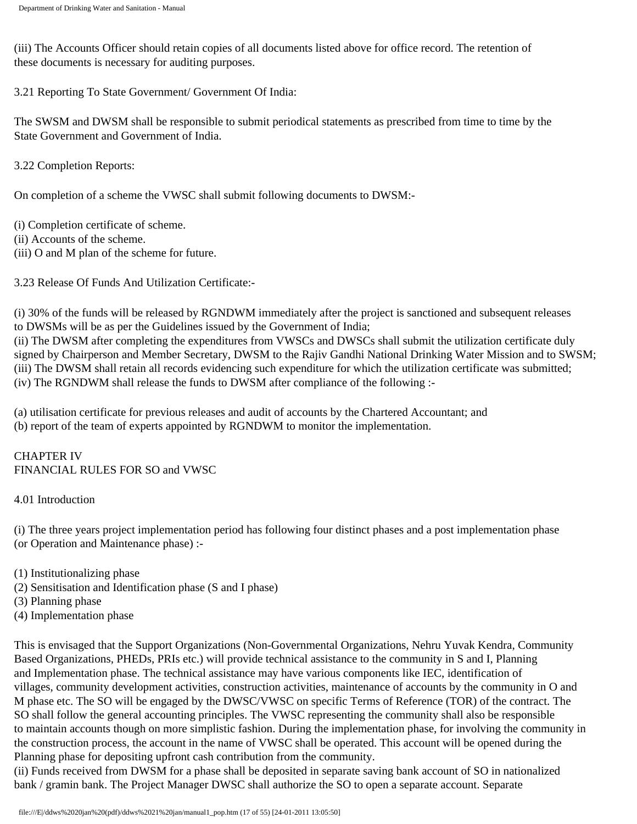(iii) The Accounts Officer should retain copies of all documents listed above for office record. The retention of these documents is necessary for auditing purposes.

3.21 Reporting To State Government/ Government Of India:

The SWSM and DWSM shall be responsible to submit periodical statements as prescribed from time to time by the State Government and Government of India.

3.22 Completion Reports:

On completion of a scheme the VWSC shall submit following documents to DWSM:-

(i) Completion certificate of scheme.

(ii) Accounts of the scheme.

(iii) O and M plan of the scheme for future.

3.23 Release Of Funds And Utilization Certificate:-

(i) 30% of the funds will be released by RGNDWM immediately after the project is sanctioned and subsequent releases to DWSMs will be as per the Guidelines issued by the Government of India;

(ii) The DWSM after completing the expenditures from VWSCs and DWSCs shall submit the utilization certificate duly signed by Chairperson and Member Secretary, DWSM to the Rajiv Gandhi National Drinking Water Mission and to SWSM; (iii) The DWSM shall retain all records evidencing such expenditure for which the utilization certificate was submitted; (iv) The RGNDWM shall release the funds to DWSM after compliance of the following :-

(a) utilisation certificate for previous releases and audit of accounts by the Chartered Accountant; and (b) report of the team of experts appointed by RGNDWM to monitor the implementation.

CHAPTER IV FINANCIAL RULES FOR SO and VWSC

4.01 Introduction

(i) The three years project implementation period has following four distinct phases and a post implementation phase (or Operation and Maintenance phase) :-

(1) Institutionalizing phase

- (2) Sensitisation and Identification phase (S and I phase)
- (3) Planning phase
- (4) Implementation phase

This is envisaged that the Support Organizations (Non-Governmental Organizations, Nehru Yuvak Kendra, Community Based Organizations, PHEDs, PRIs etc.) will provide technical assistance to the community in S and I, Planning and Implementation phase. The technical assistance may have various components like IEC, identification of villages, community development activities, construction activities, maintenance of accounts by the community in O and M phase etc. The SO will be engaged by the DWSC/VWSC on specific Terms of Reference (TOR) of the contract. The SO shall follow the general accounting principles. The VWSC representing the community shall also be responsible to maintain accounts though on more simplistic fashion. During the implementation phase, for involving the community in the construction process, the account in the name of VWSC shall be operated. This account will be opened during the Planning phase for depositing upfront cash contribution from the community.

(ii) Funds received from DWSM for a phase shall be deposited in separate saving bank account of SO in nationalized bank / gramin bank. The Project Manager DWSC shall authorize the SO to open a separate account. Separate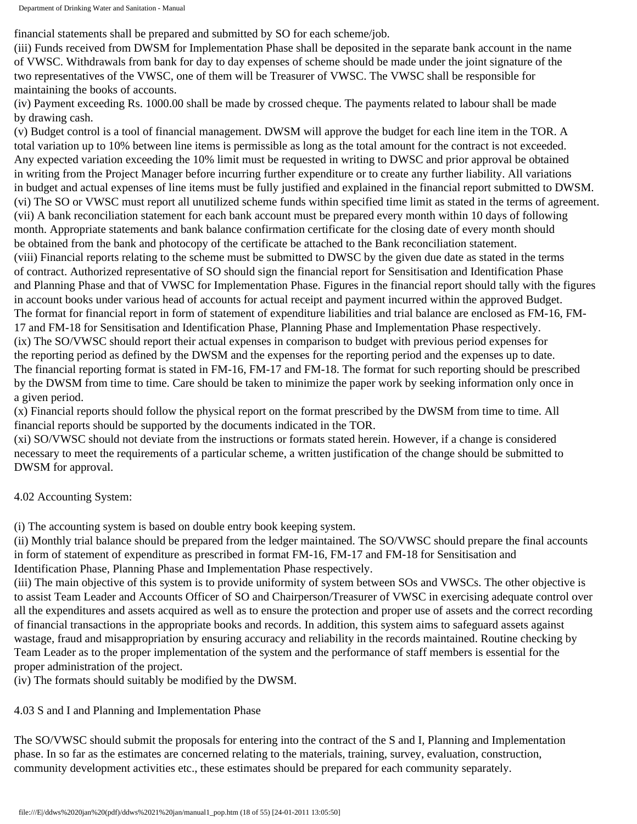financial statements shall be prepared and submitted by SO for each scheme/job.

(iii) Funds received from DWSM for Implementation Phase shall be deposited in the separate bank account in the name of VWSC. Withdrawals from bank for day to day expenses of scheme should be made under the joint signature of the two representatives of the VWSC, one of them will be Treasurer of VWSC. The VWSC shall be responsible for maintaining the books of accounts.

(iv) Payment exceeding Rs. 1000.00 shall be made by crossed cheque. The payments related to labour shall be made by drawing cash.

(v) Budget control is a tool of financial management. DWSM will approve the budget for each line item in the TOR. A total variation up to 10% between line items is permissible as long as the total amount for the contract is not exceeded. Any expected variation exceeding the 10% limit must be requested in writing to DWSC and prior approval be obtained in writing from the Project Manager before incurring further expenditure or to create any further liability. All variations in budget and actual expenses of line items must be fully justified and explained in the financial report submitted to DWSM. (vi) The SO or VWSC must report all unutilized scheme funds within specified time limit as stated in the terms of agreement. (vii) A bank reconciliation statement for each bank account must be prepared every month within 10 days of following month. Appropriate statements and bank balance confirmation certificate for the closing date of every month should be obtained from the bank and photocopy of the certificate be attached to the Bank reconciliation statement. (viii) Financial reports relating to the scheme must be submitted to DWSC by the given due date as stated in the terms of contract. Authorized representative of SO should sign the financial report for Sensitisation and Identification Phase and Planning Phase and that of VWSC for Implementation Phase. Figures in the financial report should tally with the figures in account books under various head of accounts for actual receipt and payment incurred within the approved Budget. The format for financial report in form of statement of expenditure liabilities and trial balance are enclosed as FM-16, FM-17 and FM-18 for Sensitisation and Identification Phase, Planning Phase and Implementation Phase respectively. (ix) The SO/VWSC should report their actual expenses in comparison to budget with previous period expenses for the reporting period as defined by the DWSM and the expenses for the reporting period and the expenses up to date. The financial reporting format is stated in FM-16, FM-17 and FM-18. The format for such reporting should be prescribed by the DWSM from time to time. Care should be taken to minimize the paper work by seeking information only once in a given period.

(x) Financial reports should follow the physical report on the format prescribed by the DWSM from time to time. All financial reports should be supported by the documents indicated in the TOR.

(xi) SO/VWSC should not deviate from the instructions or formats stated herein. However, if a change is considered necessary to meet the requirements of a particular scheme, a written justification of the change should be submitted to DWSM for approval.

4.02 Accounting System:

(i) The accounting system is based on double entry book keeping system.

(ii) Monthly trial balance should be prepared from the ledger maintained. The SO/VWSC should prepare the final accounts in form of statement of expenditure as prescribed in format FM-16, FM-17 and FM-18 for Sensitisation and Identification Phase, Planning Phase and Implementation Phase respectively.

(iii) The main objective of this system is to provide uniformity of system between SOs and VWSCs. The other objective is to assist Team Leader and Accounts Officer of SO and Chairperson/Treasurer of VWSC in exercising adequate control over all the expenditures and assets acquired as well as to ensure the protection and proper use of assets and the correct recording of financial transactions in the appropriate books and records. In addition, this system aims to safeguard assets against wastage, fraud and misappropriation by ensuring accuracy and reliability in the records maintained. Routine checking by Team Leader as to the proper implementation of the system and the performance of staff members is essential for the proper administration of the project.

(iv) The formats should suitably be modified by the DWSM.

4.03 S and I and Planning and Implementation Phase

The SO/VWSC should submit the proposals for entering into the contract of the S and I, Planning and Implementation phase. In so far as the estimates are concerned relating to the materials, training, survey, evaluation, construction, community development activities etc., these estimates should be prepared for each community separately.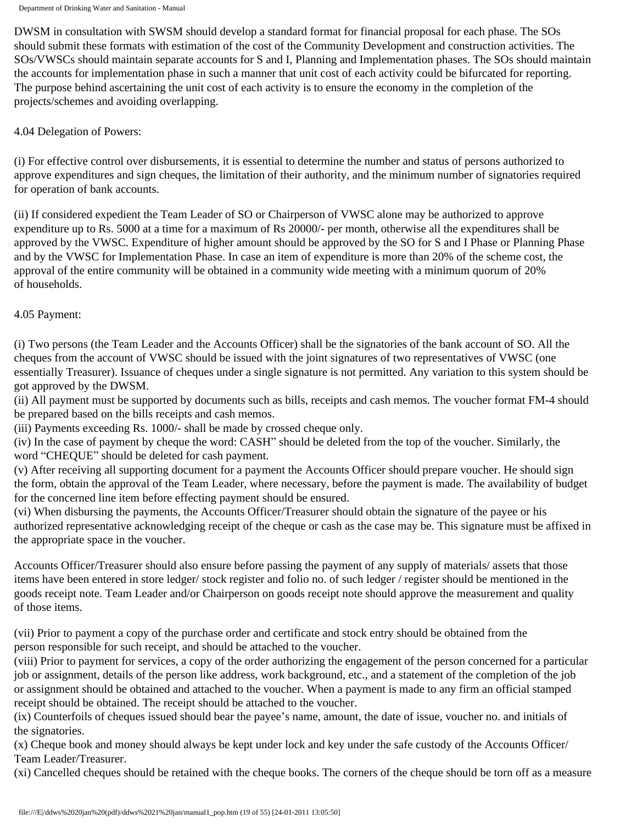DWSM in consultation with SWSM should develop a standard format for financial proposal for each phase. The SOs should submit these formats with estimation of the cost of the Community Development and construction activities. The SOs/VWSCs should maintain separate accounts for S and I, Planning and Implementation phases. The SOs should maintain the accounts for implementation phase in such a manner that unit cost of each activity could be bifurcated for reporting. The purpose behind ascertaining the unit cost of each activity is to ensure the economy in the completion of the projects/schemes and avoiding overlapping.

#### 4.04 Delegation of Powers:

(i) For effective control over disbursements, it is essential to determine the number and status of persons authorized to approve expenditures and sign cheques, the limitation of their authority, and the minimum number of signatories required for operation of bank accounts.

(ii) If considered expedient the Team Leader of SO or Chairperson of VWSC alone may be authorized to approve expenditure up to Rs. 5000 at a time for a maximum of Rs 20000/- per month, otherwise all the expenditures shall be approved by the VWSC. Expenditure of higher amount should be approved by the SO for S and I Phase or Planning Phase and by the VWSC for Implementation Phase. In case an item of expenditure is more than 20% of the scheme cost, the approval of the entire community will be obtained in a community wide meeting with a minimum quorum of 20% of households.

#### 4.05 Payment:

(i) Two persons (the Team Leader and the Accounts Officer) shall be the signatories of the bank account of SO. All the cheques from the account of VWSC should be issued with the joint signatures of two representatives of VWSC (one essentially Treasurer). Issuance of cheques under a single signature is not permitted. Any variation to this system should be got approved by the DWSM.

(ii) All payment must be supported by documents such as bills, receipts and cash memos. The voucher format FM-4 should be prepared based on the bills receipts and cash memos.

(iii) Payments exceeding Rs. 1000/- shall be made by crossed cheque only.

(iv) In the case of payment by cheque the word: CASH" should be deleted from the top of the voucher. Similarly, the word "CHEQUE" should be deleted for cash payment.

(v) After receiving all supporting document for a payment the Accounts Officer should prepare voucher. He should sign the form, obtain the approval of the Team Leader, where necessary, before the payment is made. The availability of budget for the concerned line item before effecting payment should be ensured.

(vi) When disbursing the payments, the Accounts Officer/Treasurer should obtain the signature of the payee or his authorized representative acknowledging receipt of the cheque or cash as the case may be. This signature must be affixed in the appropriate space in the voucher.

Accounts Officer/Treasurer should also ensure before passing the payment of any supply of materials/ assets that those items have been entered in store ledger/ stock register and folio no. of such ledger / register should be mentioned in the goods receipt note. Team Leader and/or Chairperson on goods receipt note should approve the measurement and quality of those items.

(vii) Prior to payment a copy of the purchase order and certificate and stock entry should be obtained from the person responsible for such receipt, and should be attached to the voucher.

(viii) Prior to payment for services, a copy of the order authorizing the engagement of the person concerned for a particular job or assignment, details of the person like address, work background, etc., and a statement of the completion of the job or assignment should be obtained and attached to the voucher. When a payment is made to any firm an official stamped receipt should be obtained. The receipt should be attached to the voucher.

(ix) Counterfoils of cheques issued should bear the payee's name, amount, the date of issue, voucher no. and initials of the signatories.

(x) Cheque book and money should always be kept under lock and key under the safe custody of the Accounts Officer/ Team Leader/Treasurer.

(xi) Cancelled cheques should be retained with the cheque books. The corners of the cheque should be torn off as a measure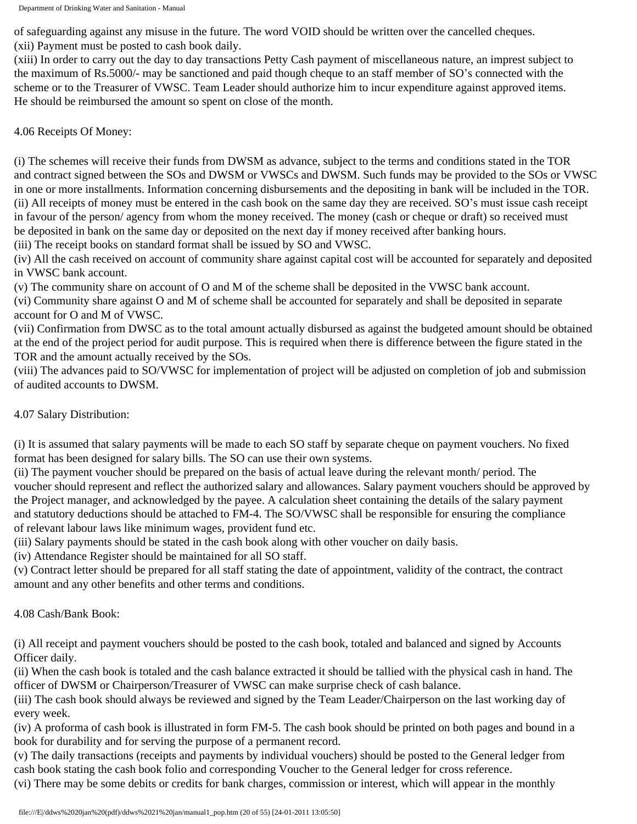of safeguarding against any misuse in the future. The word VOID should be written over the cancelled cheques. (xii) Payment must be posted to cash book daily.

(xiii) In order to carry out the day to day transactions Petty Cash payment of miscellaneous nature, an imprest subject to the maximum of Rs.5000/- may be sanctioned and paid though cheque to an staff member of SO's connected with the scheme or to the Treasurer of VWSC. Team Leader should authorize him to incur expenditure against approved items. He should be reimbursed the amount so spent on close of the month.

4.06 Receipts Of Money:

(i) The schemes will receive their funds from DWSM as advance, subject to the terms and conditions stated in the TOR and contract signed between the SOs and DWSM or VWSCs and DWSM. Such funds may be provided to the SOs or VWSC in one or more installments. Information concerning disbursements and the depositing in bank will be included in the TOR. (ii) All receipts of money must be entered in the cash book on the same day they are received. SO's must issue cash receipt in favour of the person/ agency from whom the money received. The money (cash or cheque or draft) so received must be deposited in bank on the same day or deposited on the next day if money received after banking hours.

(iii) The receipt books on standard format shall be issued by SO and VWSC.

(iv) All the cash received on account of community share against capital cost will be accounted for separately and deposited in VWSC bank account.

(v) The community share on account of O and M of the scheme shall be deposited in the VWSC bank account.

(vi) Community share against O and M of scheme shall be accounted for separately and shall be deposited in separate account for O and M of VWSC.

(vii) Confirmation from DWSC as to the total amount actually disbursed as against the budgeted amount should be obtained at the end of the project period for audit purpose. This is required when there is difference between the figure stated in the TOR and the amount actually received by the SOs.

(viii) The advances paid to SO/VWSC for implementation of project will be adjusted on completion of job and submission of audited accounts to DWSM.

4.07 Salary Distribution:

(i) It is assumed that salary payments will be made to each SO staff by separate cheque on payment vouchers. No fixed format has been designed for salary bills. The SO can use their own systems.

(ii) The payment voucher should be prepared on the basis of actual leave during the relevant month/ period. The voucher should represent and reflect the authorized salary and allowances. Salary payment vouchers should be approved by the Project manager, and acknowledged by the payee. A calculation sheet containing the details of the salary payment and statutory deductions should be attached to FM-4. The SO/VWSC shall be responsible for ensuring the compliance of relevant labour laws like minimum wages, provident fund etc.

(iii) Salary payments should be stated in the cash book along with other voucher on daily basis.

(iv) Attendance Register should be maintained for all SO staff.

(v) Contract letter should be prepared for all staff stating the date of appointment, validity of the contract, the contract amount and any other benefits and other terms and conditions.

4.08 Cash/Bank Book:

(i) All receipt and payment vouchers should be posted to the cash book, totaled and balanced and signed by Accounts Officer daily.

(ii) When the cash book is totaled and the cash balance extracted it should be tallied with the physical cash in hand. The officer of DWSM or Chairperson/Treasurer of VWSC can make surprise check of cash balance.

(iii) The cash book should always be reviewed and signed by the Team Leader/Chairperson on the last working day of every week.

(iv) A proforma of cash book is illustrated in form FM-5. The cash book should be printed on both pages and bound in a book for durability and for serving the purpose of a permanent record.

(v) The daily transactions (receipts and payments by individual vouchers) should be posted to the General ledger from cash book stating the cash book folio and corresponding Voucher to the General ledger for cross reference.

(vi) There may be some debits or credits for bank charges, commission or interest, which will appear in the monthly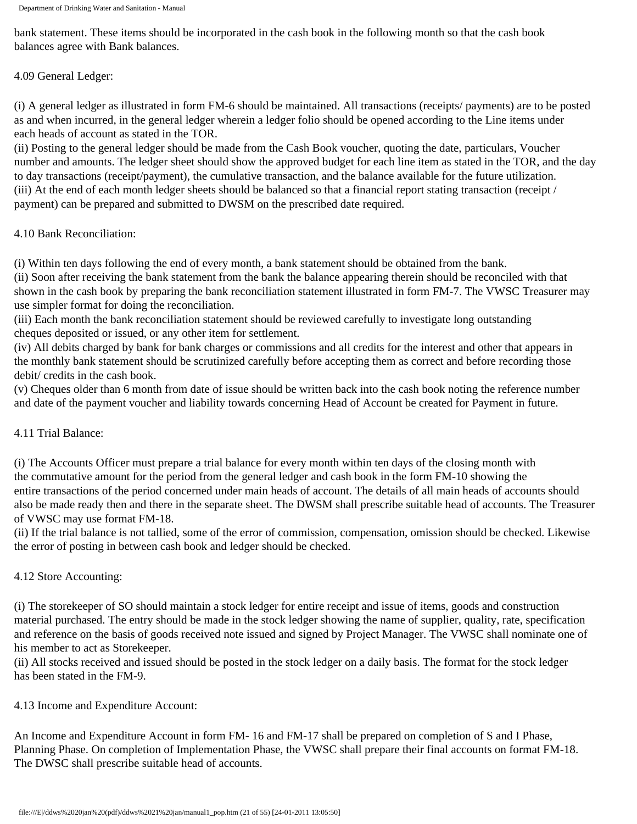bank statement. These items should be incorporated in the cash book in the following month so that the cash book balances agree with Bank balances.

4.09 General Ledger:

(i) A general ledger as illustrated in form FM-6 should be maintained. All transactions (receipts/ payments) are to be posted as and when incurred, in the general ledger wherein a ledger folio should be opened according to the Line items under each heads of account as stated in the TOR.

(ii) Posting to the general ledger should be made from the Cash Book voucher, quoting the date, particulars, Voucher number and amounts. The ledger sheet should show the approved budget for each line item as stated in the TOR, and the day to day transactions (receipt/payment), the cumulative transaction, and the balance available for the future utilization. (iii) At the end of each month ledger sheets should be balanced so that a financial report stating transaction (receipt / payment) can be prepared and submitted to DWSM on the prescribed date required.

4.10 Bank Reconciliation:

(i) Within ten days following the end of every month, a bank statement should be obtained from the bank.

(ii) Soon after receiving the bank statement from the bank the balance appearing therein should be reconciled with that shown in the cash book by preparing the bank reconciliation statement illustrated in form FM-7. The VWSC Treasurer may use simpler format for doing the reconciliation.

(iii) Each month the bank reconciliation statement should be reviewed carefully to investigate long outstanding cheques deposited or issued, or any other item for settlement.

(iv) All debits charged by bank for bank charges or commissions and all credits for the interest and other that appears in the monthly bank statement should be scrutinized carefully before accepting them as correct and before recording those debit/ credits in the cash book.

(v) Cheques older than 6 month from date of issue should be written back into the cash book noting the reference number and date of the payment voucher and liability towards concerning Head of Account be created for Payment in future.

4.11 Trial Balance:

(i) The Accounts Officer must prepare a trial balance for every month within ten days of the closing month with the commutative amount for the period from the general ledger and cash book in the form FM-10 showing the entire transactions of the period concerned under main heads of account. The details of all main heads of accounts should also be made ready then and there in the separate sheet. The DWSM shall prescribe suitable head of accounts. The Treasurer of VWSC may use format FM-18.

(ii) If the trial balance is not tallied, some of the error of commission, compensation, omission should be checked. Likewise the error of posting in between cash book and ledger should be checked.

4.12 Store Accounting:

(i) The storekeeper of SO should maintain a stock ledger for entire receipt and issue of items, goods and construction material purchased. The entry should be made in the stock ledger showing the name of supplier, quality, rate, specification and reference on the basis of goods received note issued and signed by Project Manager. The VWSC shall nominate one of his member to act as Storekeeper.

(ii) All stocks received and issued should be posted in the stock ledger on a daily basis. The format for the stock ledger has been stated in the FM-9.

4.13 Income and Expenditure Account:

An Income and Expenditure Account in form FM- 16 and FM-17 shall be prepared on completion of S and I Phase, Planning Phase. On completion of Implementation Phase, the VWSC shall prepare their final accounts on format FM-18. The DWSC shall prescribe suitable head of accounts.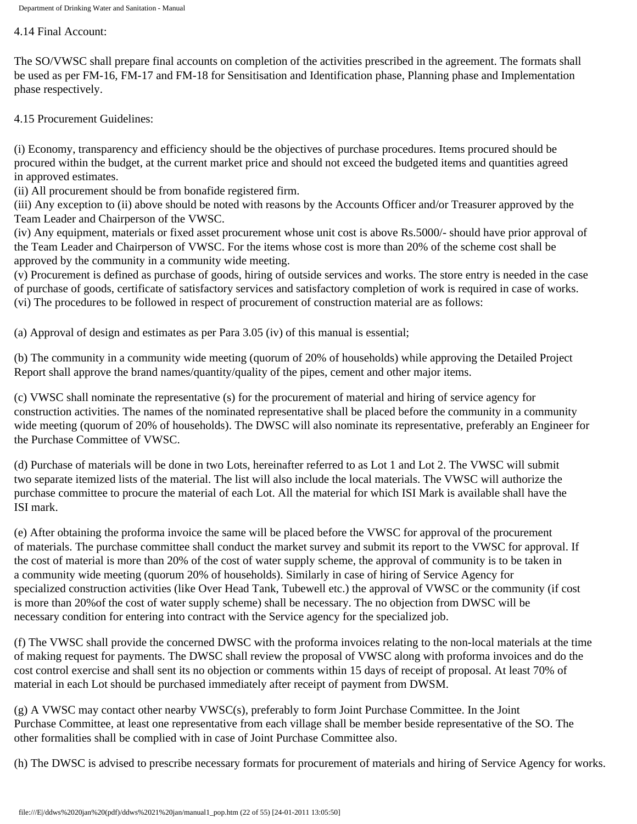4.14 Final Account:

The SO/VWSC shall prepare final accounts on completion of the activities prescribed in the agreement. The formats shall be used as per FM-16, FM-17 and FM-18 for Sensitisation and Identification phase, Planning phase and Implementation phase respectively.

4.15 Procurement Guidelines:

(i) Economy, transparency and efficiency should be the objectives of purchase procedures. Items procured should be procured within the budget, at the current market price and should not exceed the budgeted items and quantities agreed in approved estimates.

(ii) All procurement should be from bonafide registered firm.

(iii) Any exception to (ii) above should be noted with reasons by the Accounts Officer and/or Treasurer approved by the Team Leader and Chairperson of the VWSC.

(iv) Any equipment, materials or fixed asset procurement whose unit cost is above Rs.5000/- should have prior approval of the Team Leader and Chairperson of VWSC. For the items whose cost is more than 20% of the scheme cost shall be approved by the community in a community wide meeting.

(v) Procurement is defined as purchase of goods, hiring of outside services and works. The store entry is needed in the case of purchase of goods, certificate of satisfactory services and satisfactory completion of work is required in case of works. (vi) The procedures to be followed in respect of procurement of construction material are as follows:

(a) Approval of design and estimates as per Para 3.05 (iv) of this manual is essential;

(b) The community in a community wide meeting (quorum of 20% of households) while approving the Detailed Project Report shall approve the brand names/quantity/quality of the pipes, cement and other major items.

(c) VWSC shall nominate the representative (s) for the procurement of material and hiring of service agency for construction activities. The names of the nominated representative shall be placed before the community in a community wide meeting (quorum of 20% of households). The DWSC will also nominate its representative, preferably an Engineer for the Purchase Committee of VWSC.

(d) Purchase of materials will be done in two Lots, hereinafter referred to as Lot 1 and Lot 2. The VWSC will submit two separate itemized lists of the material. The list will also include the local materials. The VWSC will authorize the purchase committee to procure the material of each Lot. All the material for which ISI Mark is available shall have the ISI mark.

(e) After obtaining the proforma invoice the same will be placed before the VWSC for approval of the procurement of materials. The purchase committee shall conduct the market survey and submit its report to the VWSC for approval. If the cost of material is more than 20% of the cost of water supply scheme, the approval of community is to be taken in a community wide meeting (quorum 20% of households). Similarly in case of hiring of Service Agency for specialized construction activities (like Over Head Tank, Tubewell etc.) the approval of VWSC or the community (if cost is more than 20%of the cost of water supply scheme) shall be necessary. The no objection from DWSC will be necessary condition for entering into contract with the Service agency for the specialized job.

(f) The VWSC shall provide the concerned DWSC with the proforma invoices relating to the non-local materials at the time of making request for payments. The DWSC shall review the proposal of VWSC along with proforma invoices and do the cost control exercise and shall sent its no objection or comments within 15 days of receipt of proposal. At least 70% of material in each Lot should be purchased immediately after receipt of payment from DWSM.

(g) A VWSC may contact other nearby VWSC(s), preferably to form Joint Purchase Committee. In the Joint Purchase Committee, at least one representative from each village shall be member beside representative of the SO. The other formalities shall be complied with in case of Joint Purchase Committee also.

(h) The DWSC is advised to prescribe necessary formats for procurement of materials and hiring of Service Agency for works.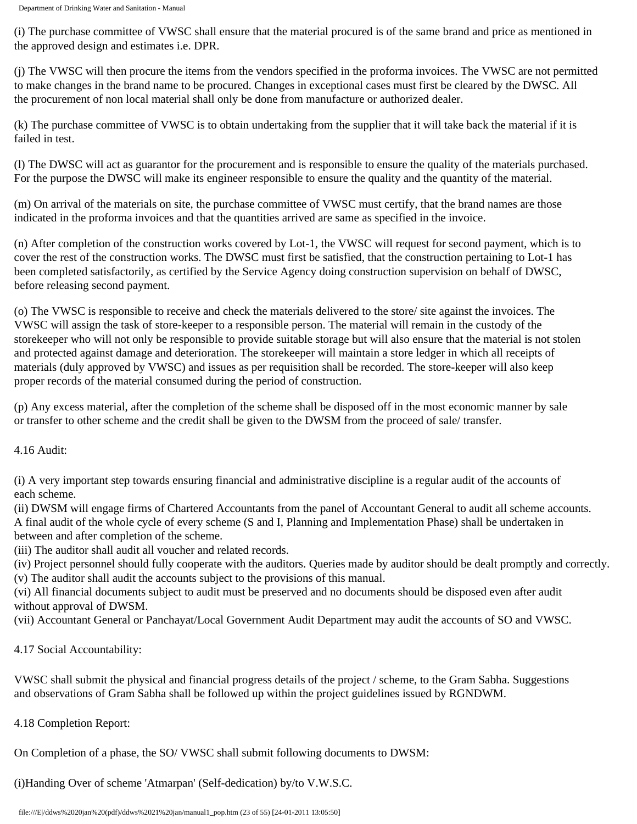(i) The purchase committee of VWSC shall ensure that the material procured is of the same brand and price as mentioned in the approved design and estimates i.e. DPR.

(j) The VWSC will then procure the items from the vendors specified in the proforma invoices. The VWSC are not permitted to make changes in the brand name to be procured. Changes in exceptional cases must first be cleared by the DWSC. All the procurement of non local material shall only be done from manufacture or authorized dealer.

(k) The purchase committee of VWSC is to obtain undertaking from the supplier that it will take back the material if it is failed in test.

(l) The DWSC will act as guarantor for the procurement and is responsible to ensure the quality of the materials purchased. For the purpose the DWSC will make its engineer responsible to ensure the quality and the quantity of the material.

(m) On arrival of the materials on site, the purchase committee of VWSC must certify, that the brand names are those indicated in the proforma invoices and that the quantities arrived are same as specified in the invoice.

(n) After completion of the construction works covered by Lot-1, the VWSC will request for second payment, which is to cover the rest of the construction works. The DWSC must first be satisfied, that the construction pertaining to Lot-1 has been completed satisfactorily, as certified by the Service Agency doing construction supervision on behalf of DWSC, before releasing second payment.

(o) The VWSC is responsible to receive and check the materials delivered to the store/ site against the invoices. The VWSC will assign the task of store-keeper to a responsible person. The material will remain in the custody of the storekeeper who will not only be responsible to provide suitable storage but will also ensure that the material is not stolen and protected against damage and deterioration. The storekeeper will maintain a store ledger in which all receipts of materials (duly approved by VWSC) and issues as per requisition shall be recorded. The store-keeper will also keep proper records of the material consumed during the period of construction.

(p) Any excess material, after the completion of the scheme shall be disposed off in the most economic manner by sale or transfer to other scheme and the credit shall be given to the DWSM from the proceed of sale/ transfer.

4.16 Audit:

(i) A very important step towards ensuring financial and administrative discipline is a regular audit of the accounts of each scheme.

(ii) DWSM will engage firms of Chartered Accountants from the panel of Accountant General to audit all scheme accounts. A final audit of the whole cycle of every scheme (S and I, Planning and Implementation Phase) shall be undertaken in between and after completion of the scheme.

(iii) The auditor shall audit all voucher and related records.

(iv) Project personnel should fully cooperate with the auditors. Queries made by auditor should be dealt promptly and correctly. (v) The auditor shall audit the accounts subject to the provisions of this manual.

(vi) All financial documents subject to audit must be preserved and no documents should be disposed even after audit without approval of DWSM.

(vii) Accountant General or Panchayat/Local Government Audit Department may audit the accounts of SO and VWSC.

4.17 Social Accountability:

VWSC shall submit the physical and financial progress details of the project / scheme, to the Gram Sabha. Suggestions and observations of Gram Sabha shall be followed up within the project guidelines issued by RGNDWM.

4.18 Completion Report:

On Completion of a phase, the SO/ VWSC shall submit following documents to DWSM:

(i)Handing Over of scheme 'Atmarpan' (Self-dedication) by/to V.W.S.C.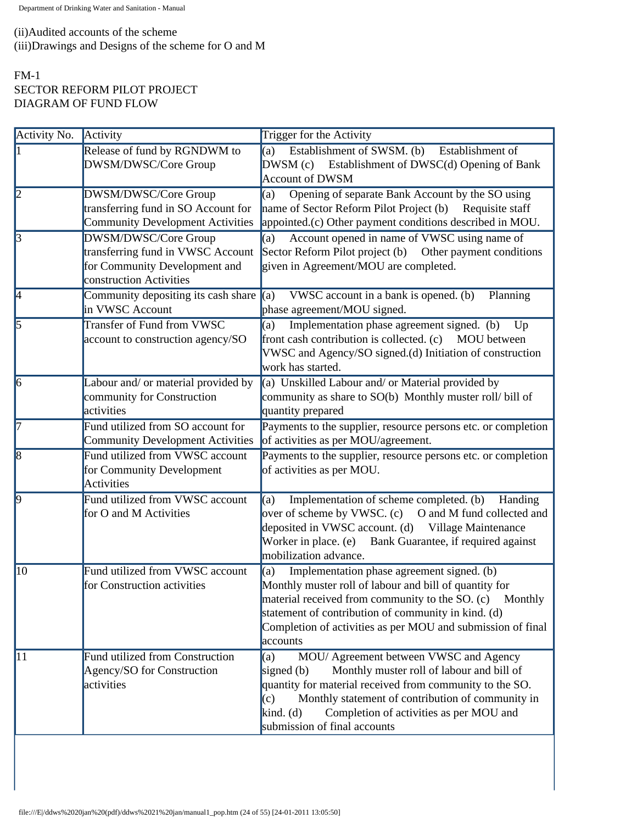# (ii)Audited accounts of the scheme (iii)Drawings and Designs of the scheme for O and M

# FM-1 SECTOR REFORM PILOT PROJECT DIAGRAM OF FUND FLOW

| Activity No.   | Activity                                                                                                              | Trigger for the Activity                                                                                                                                                                                                                                                                                                     |
|----------------|-----------------------------------------------------------------------------------------------------------------------|------------------------------------------------------------------------------------------------------------------------------------------------------------------------------------------------------------------------------------------------------------------------------------------------------------------------------|
|                | Release of fund by RGNDWM to<br>DWSM/DWSC/Core Group                                                                  | Establishment of SWSM. (b)<br>(a)<br>Establishment of<br>DWSM (c) Establishment of DWSC(d) Opening of Bank<br><b>Account of DWSM</b>                                                                                                                                                                                         |
| $\vert$ 2      | DWSM/DWSC/Core Group<br>transferring fund in SO Account for<br><b>Community Development Activities</b>                | Opening of separate Bank Account by the SO using<br>(a)<br>name of Sector Reform Pilot Project (b) Requisite staff<br>appointed.(c) Other payment conditions described in MOU.                                                                                                                                               |
| $\mathbf{3}$   | DWSM/DWSC/Core Group<br>transferring fund in VWSC Account<br>for Community Development and<br>construction Activities | Account opened in name of VWSC using name of<br>(a)<br>Sector Reform Pilot project (b) Other payment conditions<br>given in Agreement/MOU are completed.                                                                                                                                                                     |
| $\overline{A}$ | Community depositing its cash share $\ $ (a)<br>in VWSC Account                                                       | VWSC account in a bank is opened. (b)<br>Planning<br>phase agreement/MOU signed.                                                                                                                                                                                                                                             |
| $\overline{5}$ | Transfer of Fund from VWSC<br>account to construction agency/SO                                                       | Implementation phase agreement signed. (b)<br>(a)<br>Up<br>front cash contribution is collected. (c) MOU between<br>VWSC and Agency/SO signed.(d) Initiation of construction<br>work has started.                                                                                                                            |
| $\vert$ 6      | Labour and/ or material provided by<br>community for Construction<br>activities                                       | (a) Unskilled Labour and/ or Material provided by<br>community as share to SO(b) Monthly muster roll/bill of<br>quantity prepared                                                                                                                                                                                            |
| 17             | Fund utilized from SO account for<br><b>Community Development Activities</b>                                          | Payments to the supplier, resource persons etc. or completion<br>of activities as per MOU/agreement.                                                                                                                                                                                                                         |
| $\vert$ 8      | Fund utilized from VWSC account<br>for Community Development<br>Activities                                            | Payments to the supplier, resource persons etc. or completion<br>of activities as per MOU.                                                                                                                                                                                                                                   |
| $\overline{9}$ | Fund utilized from VWSC account<br>for O and M Activities                                                             | Implementation of scheme completed. (b)<br>(a)<br>Handing<br>over of scheme by VWSC. (c) O and M fund collected and<br>deposited in VWSC account. (d) Village Maintenance<br>Worker in place. (e)<br>Bank Guarantee, if required against<br>mobilization advance.                                                            |
| $ 10\rangle$   | Fund utilized from VWSC account<br>for Construction activities                                                        | Implementation phase agreement signed. (b)<br>(a)<br>Monthly muster roll of labour and bill of quantity for<br>material received from community to the SO. (c)<br>Monthly<br>statement of contribution of community in kind. (d)<br>Completion of activities as per MOU and submission of final<br>accounts                  |
| 11             | Fund utilized from Construction<br>Agency/SO for Construction<br>activities                                           | MOU/ Agreement between VWSC and Agency<br>(a)<br>Monthly muster roll of labour and bill of<br>signed $(b)$<br>quantity for material received from community to the SO.<br>Monthly statement of contribution of community in<br>(c)<br>Completion of activities as per MOU and<br>kind. $(d)$<br>submission of final accounts |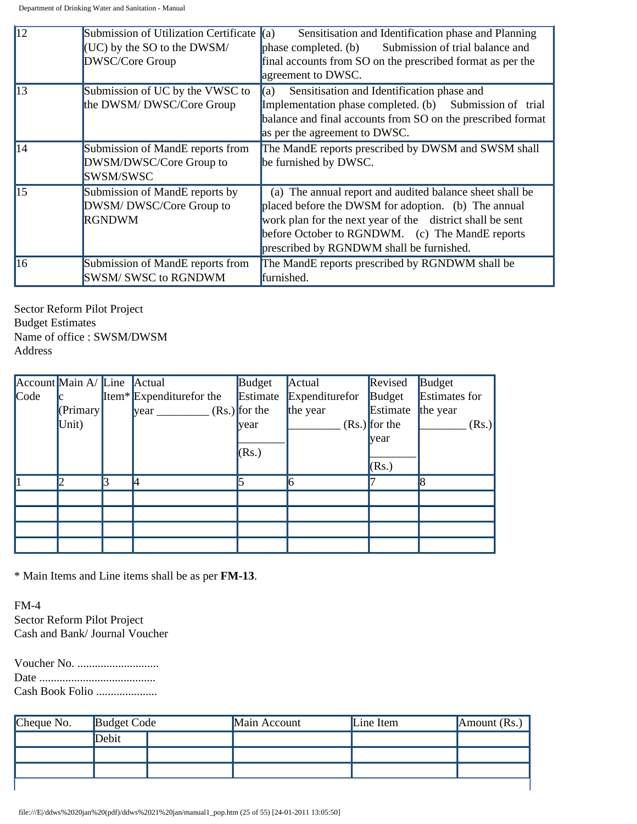| $\overline{12}$ | Submission of Utilization Certificate | Sensitisation and Identification phase and Planning<br>(a)  |
|-----------------|---------------------------------------|-------------------------------------------------------------|
|                 | $\vert$ (UC) by the SO to the DWSM/   | phase completed. (b) Submission of trial balance and        |
|                 | DWSC/Core Group                       | final accounts from SO on the prescribed format as per the  |
|                 |                                       | agreement to DWSC.                                          |
| $\overline{13}$ | Submission of UC by the VWSC to       | Sensitisation and Identification phase and<br>(a)           |
|                 | the DWSM/DWSC/Core Group              | Implementation phase completed. (b) Submission of trial     |
|                 |                                       | balance and final accounts from SO on the prescribed format |
|                 |                                       | as per the agreement to DWSC.                               |
| $\overline{14}$ | Submission of MandE reports from      | The MandE reports prescribed by DWSM and SWSM shall         |
|                 | DWSM/DWSC/Core Group to               | be furnished by DWSC.                                       |
|                 | SWSM/SWSC                             |                                                             |
| $\overline{15}$ | Submission of MandE reports by        | (a) The annual report and audited balance sheet shall be    |
|                 | DWSM/DWSC/Core Group to               | placed before the DWSM for adoption. (b) The annual         |
|                 | <b>RGNDWM</b>                         | work plan for the next year of the district shall be sent   |
|                 |                                       | before October to RGNDWM. (c) The MandE reports             |
|                 |                                       | prescribed by RGNDWM shall be furnished.                    |
| $ 16\rangle$    | Submission of MandE reports from      | The MandE reports prescribed by RGNDWM shall be             |
|                 | <b>SWSM/SWSC to RGNDWM</b>            | furnished.                                                  |

Sector Reform Pilot Project Budget Estimates Name of office : SWSM/DWSM Address

|                  | Account Main A/ Line Actual |                                      | Budget          | Actual         | Revised         | Budget               |
|------------------|-----------------------------|--------------------------------------|-----------------|----------------|-----------------|----------------------|
| $\mathbb{C}$ ode | lc.                         | Item <sup>*</sup> Expenditurefor the | Estimate        | Expenditurefor | Budget          | <b>Estimates for</b> |
|                  | (Primary)                   | year                                 | $(Rs.)$ for the | the year       | Estimate        | the year             |
|                  | Unit)                       |                                      | <b>vear</b>     |                | $(Rs.)$ for the | (Rs.)                |
|                  |                             |                                      |                 |                | vear            |                      |
|                  |                             |                                      | (Rs.)           |                |                 |                      |
|                  |                             |                                      |                 |                | (Rs.)           |                      |
|                  |                             |                                      |                 |                |                 | 8                    |
|                  |                             |                                      |                 |                |                 |                      |
|                  |                             |                                      |                 |                |                 |                      |
|                  |                             |                                      |                 |                |                 |                      |
|                  |                             |                                      |                 |                |                 |                      |

\* Main Items and Line items shall be as per **FM-13**.

FM-4 Sector Reform Pilot Project Cash and Bank/ Journal Voucher

Voucher No. ............................ Date ........................................ Cash Book Folio .....................

| Cheque No. | Budget Code |  | Main Account | Line Item | Amount $(Rs.)$ |
|------------|-------------|--|--------------|-----------|----------------|
|            | Debit       |  |              |           |                |
|            |             |  |              |           |                |
|            |             |  |              |           |                |
|            |             |  |              |           |                |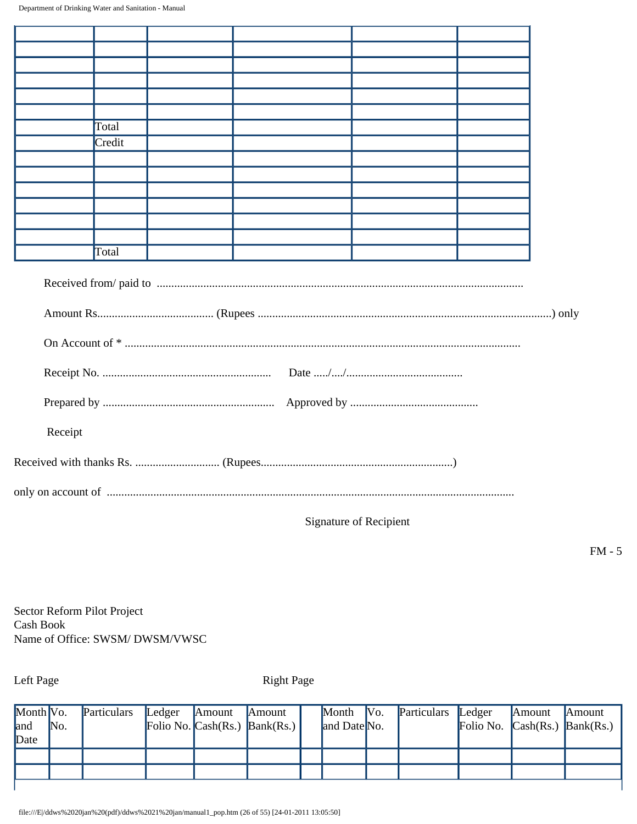| Total                                                                                                                                                                                                                          |  |
|--------------------------------------------------------------------------------------------------------------------------------------------------------------------------------------------------------------------------------|--|
| Credit                                                                                                                                                                                                                         |  |
|                                                                                                                                                                                                                                |  |
|                                                                                                                                                                                                                                |  |
|                                                                                                                                                                                                                                |  |
|                                                                                                                                                                                                                                |  |
|                                                                                                                                                                                                                                |  |
|                                                                                                                                                                                                                                |  |
| Total                                                                                                                                                                                                                          |  |
|                                                                                                                                                                                                                                |  |
|                                                                                                                                                                                                                                |  |
|                                                                                                                                                                                                                                |  |
|                                                                                                                                                                                                                                |  |
| Receipt                                                                                                                                                                                                                        |  |
|                                                                                                                                                                                                                                |  |
| only on account of material content of the content of the content of the content of the content of the content of the content of the content of the content of the content of the content of the content of the content of the |  |

Signature of Recipient

FM - 5

Sector Reform Pilot Project Cash Book Name of Office: SWSM/ DWSM/VWSC

Left Page Right Page

| Month $\mathbb{V}\mathrm{o}$ . | No. | Particulars | Ledger | Amount | Amount<br>Folio No. $\text{Cash}(Rs.)$ $\text{Bank}(Rs.)$ | Month Vo.<br>and Date No. | Particulars | Ledger | Amount | Amount<br>Folio No. $\mathsf{Cash}(Rs.)$ $\mathsf{Bank}(Rs.)$ |
|--------------------------------|-----|-------------|--------|--------|-----------------------------------------------------------|---------------------------|-------------|--------|--------|---------------------------------------------------------------|
| and<br>Date                    |     |             |        |        |                                                           |                           |             |        |        |                                                               |
|                                |     |             |        |        |                                                           |                           |             |        |        |                                                               |
|                                |     |             |        |        |                                                           |                           |             |        |        |                                                               |
|                                |     |             |        |        |                                                           |                           |             |        |        |                                                               |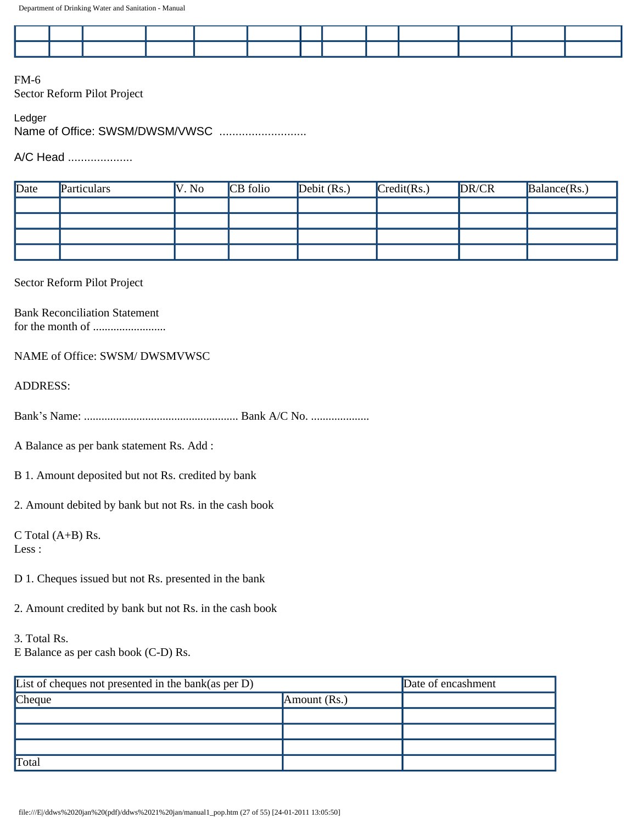FM-6 Sector Reform Pilot Project

Ledger Name of Office: SWSM/DWSM/VWSC ...........................

A/C Head ....................

| Date | Particulars | V. No | CB folio | Debit $(Rs.)$ | Credit(Rs.) | DR/CR | Balance(Rs.) |
|------|-------------|-------|----------|---------------|-------------|-------|--------------|
|      |             |       |          |               |             |       |              |
|      |             |       |          |               |             |       |              |
|      |             |       |          |               |             |       |              |
|      |             |       |          |               |             |       |              |

#### Sector Reform Pilot Project

Bank Reconciliation Statement for the month of .........................

#### NAME of Office: SWSM/ DWSMVWSC

ADDRESS:

Bank's Name: ..................................................... Bank A/C No. ....................

A Balance as per bank statement Rs. Add :

B 1. Amount deposited but not Rs. credited by bank

2. Amount debited by bank but not Rs. in the cash book

C Total (A+B) Rs. Less :

- D 1. Cheques issued but not Rs. presented in the bank
- 2. Amount credited by bank but not Rs. in the cash book

3. Total Rs. E Balance as per cash book (C-D) Rs.

| List of cheques not presented in the bank(as per D) | Date of encashment |  |
|-----------------------------------------------------|--------------------|--|
| <b>Cheque</b>                                       | Amount $(Rs.)$     |  |
|                                                     |                    |  |
|                                                     |                    |  |
|                                                     |                    |  |
| Total                                               |                    |  |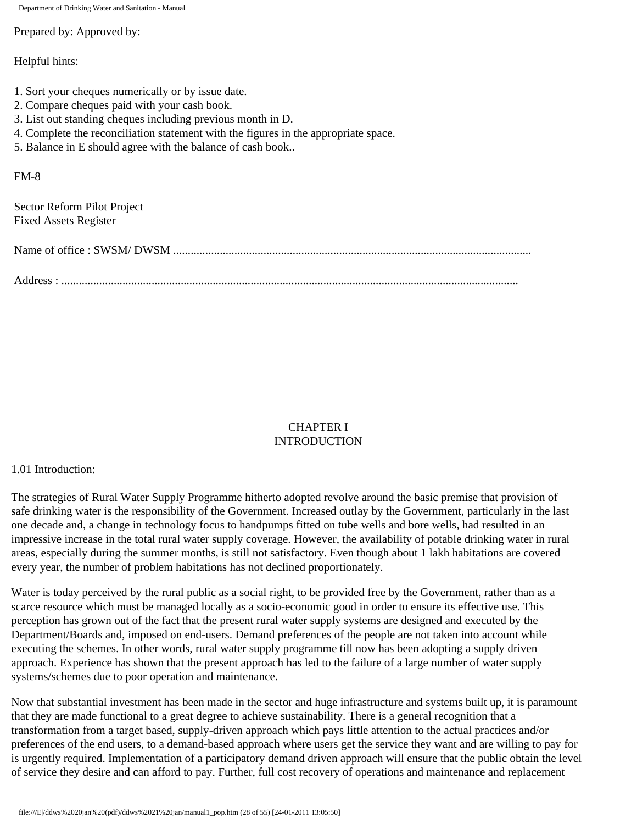Prepared by: Approved by:

Helpful hints:

- 1. Sort your cheques numerically or by issue date.
- 2. Compare cheques paid with your cash book.
- 3. List out standing cheques including previous month in D.
- 4. Complete the reconciliation statement with the figures in the appropriate space.
- 5. Balance in E should agree with the balance of cash book..

#### FM-8

Sector Reform Pilot Project Fixed Assets Register

| Address : |
|-----------|

#### CHAPTER I **INTRODUCTION**

#### 1.01 Introduction:

The strategies of Rural Water Supply Programme hitherto adopted revolve around the basic premise that provision of safe drinking water is the responsibility of the Government. Increased outlay by the Government, particularly in the last one decade and, a change in technology focus to handpumps fitted on tube wells and bore wells, had resulted in an impressive increase in the total rural water supply coverage. However, the availability of potable drinking water in rural areas, especially during the summer months, is still not satisfactory. Even though about 1 lakh habitations are covered every year, the number of problem habitations has not declined proportionately.

Water is today perceived by the rural public as a social right, to be provided free by the Government, rather than as a scarce resource which must be managed locally as a socio-economic good in order to ensure its effective use. This perception has grown out of the fact that the present rural water supply systems are designed and executed by the Department/Boards and, imposed on end-users. Demand preferences of the people are not taken into account while executing the schemes. In other words, rural water supply programme till now has been adopting a supply driven approach. Experience has shown that the present approach has led to the failure of a large number of water supply systems/schemes due to poor operation and maintenance.

Now that substantial investment has been made in the sector and huge infrastructure and systems built up, it is paramount that they are made functional to a great degree to achieve sustainability. There is a general recognition that a transformation from a target based, supply-driven approach which pays little attention to the actual practices and/or preferences of the end users, to a demand-based approach where users get the service they want and are willing to pay for is urgently required. Implementation of a participatory demand driven approach will ensure that the public obtain the level of service they desire and can afford to pay. Further, full cost recovery of operations and maintenance and replacement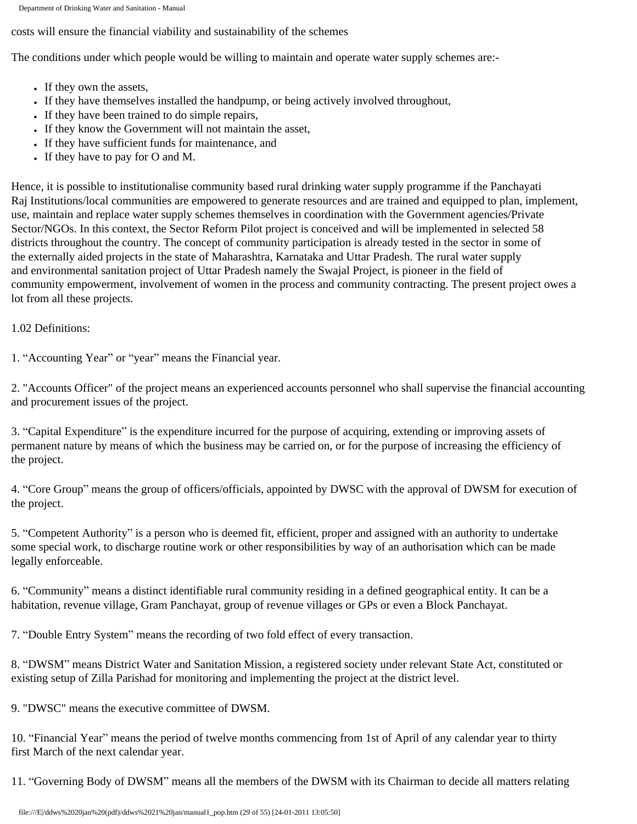costs will ensure the financial viability and sustainability of the schemes

The conditions under which people would be willing to maintain and operate water supply schemes are:-

- If they own the assets,
- If they have themselves installed the handpump, or being actively involved throughout,
- If they have been trained to do simple repairs,
- If they know the Government will not maintain the asset,
- If they have sufficient funds for maintenance, and
- $\bullet$  If they have to pay for O and M.

Hence, it is possible to institutionalise community based rural drinking water supply programme if the Panchayati Raj Institutions/local communities are empowered to generate resources and are trained and equipped to plan, implement, use, maintain and replace water supply schemes themselves in coordination with the Government agencies/Private Sector/NGOs. In this context, the Sector Reform Pilot project is conceived and will be implemented in selected 58 districts throughout the country. The concept of community participation is already tested in the sector in some of the externally aided projects in the state of Maharashtra, Karnataka and Uttar Pradesh. The rural water supply and environmental sanitation project of Uttar Pradesh namely the Swajal Project, is pioneer in the field of community empowerment, involvement of women in the process and community contracting. The present project owes a lot from all these projects.

## 1.02 Definitions:

1. "Accounting Year" or "year" means the Financial year.

2. "Accounts Officer" of the project means an experienced accounts personnel who shall supervise the financial accounting and procurement issues of the project.

3. "Capital Expenditure" is the expenditure incurred for the purpose of acquiring, extending or improving assets of permanent nature by means of which the business may be carried on, or for the purpose of increasing the efficiency of the project.

4. "Core Group" means the group of officers/officials, appointed by DWSC with the approval of DWSM for execution of the project.

5. "Competent Authority" is a person who is deemed fit, efficient, proper and assigned with an authority to undertake some special work, to discharge routine work or other responsibilities by way of an authorisation which can be made legally enforceable.

6. "Community" means a distinct identifiable rural community residing in a defined geographical entity. It can be a habitation, revenue village, Gram Panchayat, group of revenue villages or GPs or even a Block Panchayat.

7. "Double Entry System" means the recording of two fold effect of every transaction.

8. "DWSM" means District Water and Sanitation Mission, a registered society under relevant State Act, constituted or existing setup of Zilla Parishad for monitoring and implementing the project at the district level.

9. "DWSC" means the executive committee of DWSM.

10. "Financial Year" means the period of twelve months commencing from 1st of April of any calendar year to thirty first March of the next calendar year.

11. "Governing Body of DWSM" means all the members of the DWSM with its Chairman to decide all matters relating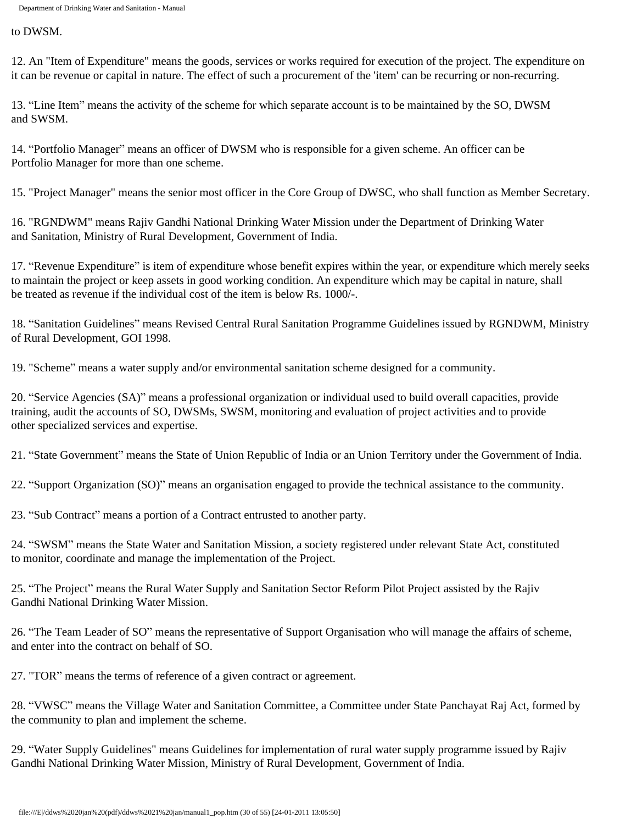to DWSM.

12. An "Item of Expenditure" means the goods, services or works required for execution of the project. The expenditure on it can be revenue or capital in nature. The effect of such a procurement of the 'item' can be recurring or non-recurring.

13. "Line Item" means the activity of the scheme for which separate account is to be maintained by the SO, DWSM and SWSM.

14. "Portfolio Manager" means an officer of DWSM who is responsible for a given scheme. An officer can be Portfolio Manager for more than one scheme.

15. "Project Manager" means the senior most officer in the Core Group of DWSC, who shall function as Member Secretary.

16. "RGNDWM" means Rajiv Gandhi National Drinking Water Mission under the Department of Drinking Water and Sanitation, Ministry of Rural Development, Government of India.

17. "Revenue Expenditure" is item of expenditure whose benefit expires within the year, or expenditure which merely seeks to maintain the project or keep assets in good working condition. An expenditure which may be capital in nature, shall be treated as revenue if the individual cost of the item is below Rs. 1000/-.

18. "Sanitation Guidelines" means Revised Central Rural Sanitation Programme Guidelines issued by RGNDWM, Ministry of Rural Development, GOI 1998.

19. "Scheme" means a water supply and/or environmental sanitation scheme designed for a community.

20. "Service Agencies (SA)" means a professional organization or individual used to build overall capacities, provide training, audit the accounts of SO, DWSMs, SWSM, monitoring and evaluation of project activities and to provide other specialized services and expertise.

21. "State Government" means the State of Union Republic of India or an Union Territory under the Government of India.

22. "Support Organization (SO)" means an organisation engaged to provide the technical assistance to the community.

23. "Sub Contract" means a portion of a Contract entrusted to another party.

24. "SWSM" means the State Water and Sanitation Mission, a society registered under relevant State Act, constituted to monitor, coordinate and manage the implementation of the Project.

25. "The Project" means the Rural Water Supply and Sanitation Sector Reform Pilot Project assisted by the Rajiv Gandhi National Drinking Water Mission.

26. "The Team Leader of SO" means the representative of Support Organisation who will manage the affairs of scheme, and enter into the contract on behalf of SO.

27. "TOR" means the terms of reference of a given contract or agreement.

28. "VWSC" means the Village Water and Sanitation Committee, a Committee under State Panchayat Raj Act, formed by the community to plan and implement the scheme.

29. "Water Supply Guidelines" means Guidelines for implementation of rural water supply programme issued by Rajiv Gandhi National Drinking Water Mission, Ministry of Rural Development, Government of India.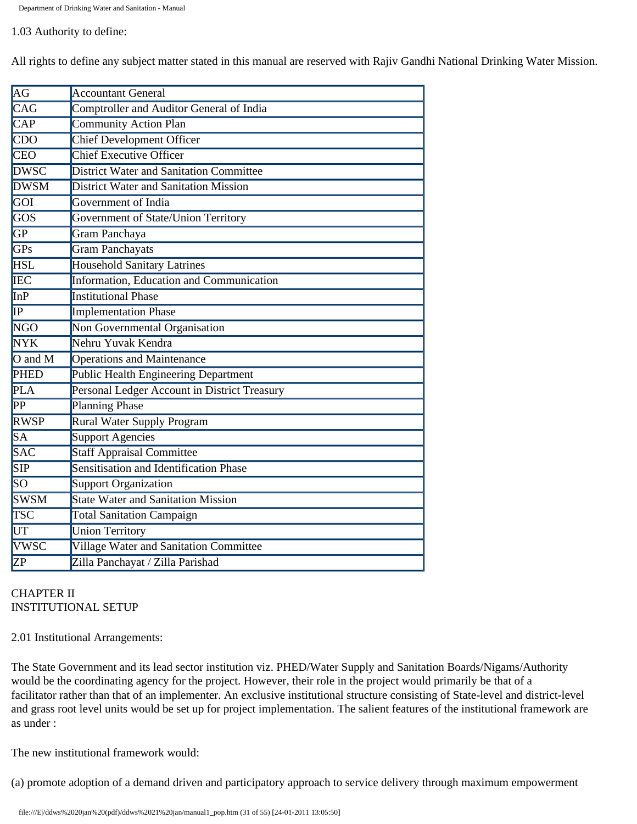#### 1.03 Authority to define:

All rights to define any subject matter stated in this manual are reserved with Rajiv Gandhi National Drinking Water Mission.

| AG                                                  | <b>Accountant General</b>                      |  |  |  |  |  |
|-----------------------------------------------------|------------------------------------------------|--|--|--|--|--|
| CAG                                                 | Comptroller and Auditor General of India       |  |  |  |  |  |
| <b>CAP</b>                                          | <b>Community Action Plan</b>                   |  |  |  |  |  |
| $\overline{CDO}$                                    | <b>Chief Development Officer</b>               |  |  |  |  |  |
| <b>CEO</b>                                          | <b>Chief Executive Officer</b>                 |  |  |  |  |  |
| <b>DWSC</b>                                         | <b>District Water and Sanitation Committee</b> |  |  |  |  |  |
| <b>DWSM</b>                                         | <b>District Water and Sanitation Mission</b>   |  |  |  |  |  |
| GOI                                                 | Government of India                            |  |  |  |  |  |
| GOS                                                 | Government of State/Union Territory            |  |  |  |  |  |
| <b>GP</b>                                           | Gram Panchaya                                  |  |  |  |  |  |
| <b>GPs</b>                                          | <b>Gram Panchayats</b>                         |  |  |  |  |  |
| <b>HSL</b>                                          | <b>Household Sanitary Latrines</b>             |  |  |  |  |  |
| <b>IEC</b>                                          | Information, Education and Communication       |  |  |  |  |  |
| InP                                                 | <b>Institutional Phase</b>                     |  |  |  |  |  |
| $\overline{\mathbb{IP}}$                            | <b>Implementation Phase</b>                    |  |  |  |  |  |
| <b>NGO</b>                                          | Non Governmental Organisation                  |  |  |  |  |  |
| <b>NYK</b>                                          | Nehru Yuvak Kendra                             |  |  |  |  |  |
| $\overline{\mathrm{O}}$ and $\overline{\mathrm{M}}$ | <b>Operations and Maintenance</b>              |  |  |  |  |  |
| <b>PHED</b>                                         | Public Health Engineering Department           |  |  |  |  |  |
| PLA                                                 | Personal Ledger Account in District Treasury   |  |  |  |  |  |
| PP                                                  | Planning Phase                                 |  |  |  |  |  |
| <b>RWSP</b>                                         | Rural Water Supply Program                     |  |  |  |  |  |
| <b>SA</b>                                           | Support Agencies                               |  |  |  |  |  |
| <b>SAC</b>                                          | <b>Staff Appraisal Committee</b>               |  |  |  |  |  |
| <b>SIP</b>                                          | Sensitisation and Identification Phase         |  |  |  |  |  |
| SO                                                  | <b>Support Organization</b>                    |  |  |  |  |  |
| <b>SWSM</b>                                         | <b>State Water and Sanitation Mission</b>      |  |  |  |  |  |
| TSC                                                 | <b>Total Sanitation Campaign</b>               |  |  |  |  |  |
| UT                                                  | <b>Union Territory</b>                         |  |  |  |  |  |
| <b>VWSC</b>                                         | Village Water and Sanitation Committee         |  |  |  |  |  |
| ZP                                                  | Zilla Panchayat / Zilla Parishad               |  |  |  |  |  |

## CHAPTER II INSTITUTIONAL SETUP

2.01 Institutional Arrangements:

The State Government and its lead sector institution viz. PHED/Water Supply and Sanitation Boards/Nigams/Authority would be the coordinating agency for the project. However, their role in the project would primarily be that of a facilitator rather than that of an implementer. An exclusive institutional structure consisting of State-level and district-level and grass root level units would be set up for project implementation. The salient features of the institutional framework are as under :

The new institutional framework would:

(a) promote adoption of a demand driven and participatory approach to service delivery through maximum empowerment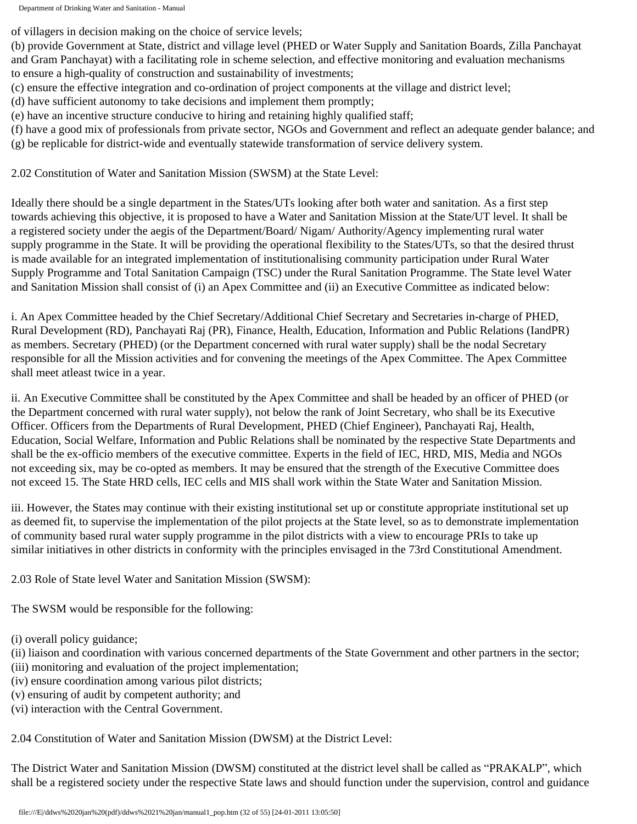of villagers in decision making on the choice of service levels;

(b) provide Government at State, district and village level (PHED or Water Supply and Sanitation Boards, Zilla Panchayat and Gram Panchayat) with a facilitating role in scheme selection, and effective monitoring and evaluation mechanisms to ensure a high-quality of construction and sustainability of investments;

- (c) ensure the effective integration and co-ordination of project components at the village and district level;
- (d) have sufficient autonomy to take decisions and implement them promptly;
- (e) have an incentive structure conducive to hiring and retaining highly qualified staff;
- (f) have a good mix of professionals from private sector, NGOs and Government and reflect an adequate gender balance; and (g) be replicable for district-wide and eventually statewide transformation of service delivery system.

2.02 Constitution of Water and Sanitation Mission (SWSM) at the State Level:

Ideally there should be a single department in the States/UTs looking after both water and sanitation. As a first step towards achieving this objective, it is proposed to have a Water and Sanitation Mission at the State/UT level. It shall be a registered society under the aegis of the Department/Board/ Nigam/ Authority/Agency implementing rural water supply programme in the State. It will be providing the operational flexibility to the States/UTs, so that the desired thrust is made available for an integrated implementation of institutionalising community participation under Rural Water Supply Programme and Total Sanitation Campaign (TSC) under the Rural Sanitation Programme. The State level Water and Sanitation Mission shall consist of (i) an Apex Committee and (ii) an Executive Committee as indicated below:

i. An Apex Committee headed by the Chief Secretary/Additional Chief Secretary and Secretaries in-charge of PHED, Rural Development (RD), Panchayati Raj (PR), Finance, Health, Education, Information and Public Relations (IandPR) as members. Secretary (PHED) (or the Department concerned with rural water supply) shall be the nodal Secretary responsible for all the Mission activities and for convening the meetings of the Apex Committee. The Apex Committee shall meet atleast twice in a year.

ii. An Executive Committee shall be constituted by the Apex Committee and shall be headed by an officer of PHED (or the Department concerned with rural water supply), not below the rank of Joint Secretary, who shall be its Executive Officer. Officers from the Departments of Rural Development, PHED (Chief Engineer), Panchayati Raj, Health, Education, Social Welfare, Information and Public Relations shall be nominated by the respective State Departments and shall be the ex-officio members of the executive committee. Experts in the field of IEC, HRD, MIS, Media and NGOs not exceeding six, may be co-opted as members. It may be ensured that the strength of the Executive Committee does not exceed 15. The State HRD cells, IEC cells and MIS shall work within the State Water and Sanitation Mission.

iii. However, the States may continue with their existing institutional set up or constitute appropriate institutional set up as deemed fit, to supervise the implementation of the pilot projects at the State level, so as to demonstrate implementation of community based rural water supply programme in the pilot districts with a view to encourage PRIs to take up similar initiatives in other districts in conformity with the principles envisaged in the 73rd Constitutional Amendment.

2.03 Role of State level Water and Sanitation Mission (SWSM):

The SWSM would be responsible for the following:

(i) overall policy guidance;

- (ii) liaison and coordination with various concerned departments of the State Government and other partners in the sector;
- (iii) monitoring and evaluation of the project implementation;
- (iv) ensure coordination among various pilot districts;
- (v) ensuring of audit by competent authority; and
- (vi) interaction with the Central Government.

2.04 Constitution of Water and Sanitation Mission (DWSM) at the District Level:

The District Water and Sanitation Mission (DWSM) constituted at the district level shall be called as "PRAKALP", which shall be a registered society under the respective State laws and should function under the supervision, control and guidance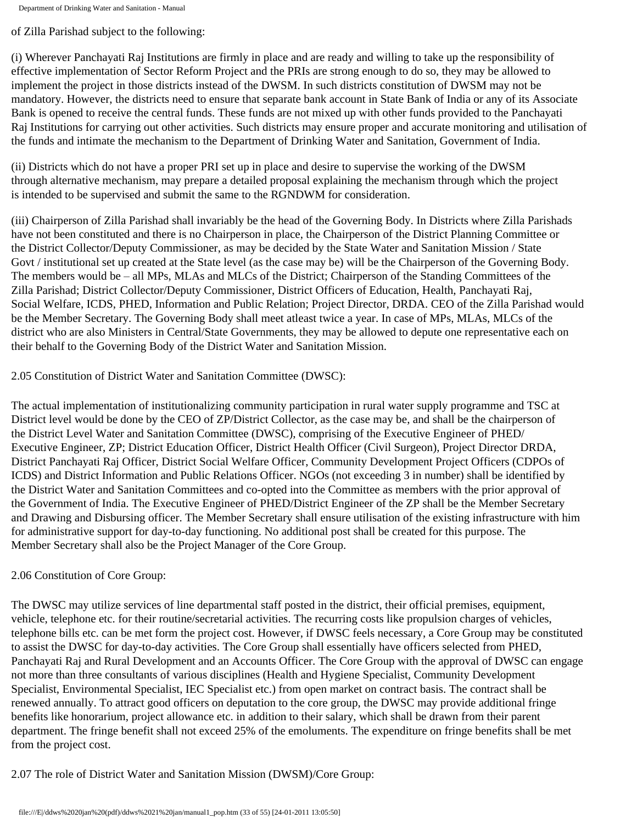of Zilla Parishad subject to the following:

(i) Wherever Panchayati Raj Institutions are firmly in place and are ready and willing to take up the responsibility of effective implementation of Sector Reform Project and the PRIs are strong enough to do so, they may be allowed to implement the project in those districts instead of the DWSM. In such districts constitution of DWSM may not be mandatory. However, the districts need to ensure that separate bank account in State Bank of India or any of its Associate Bank is opened to receive the central funds. These funds are not mixed up with other funds provided to the Panchayati Raj Institutions for carrying out other activities. Such districts may ensure proper and accurate monitoring and utilisation of the funds and intimate the mechanism to the Department of Drinking Water and Sanitation, Government of India.

(ii) Districts which do not have a proper PRI set up in place and desire to supervise the working of the DWSM through alternative mechanism, may prepare a detailed proposal explaining the mechanism through which the project is intended to be supervised and submit the same to the RGNDWM for consideration.

(iii) Chairperson of Zilla Parishad shall invariably be the head of the Governing Body. In Districts where Zilla Parishads have not been constituted and there is no Chairperson in place, the Chairperson of the District Planning Committee or the District Collector/Deputy Commissioner, as may be decided by the State Water and Sanitation Mission / State Govt / institutional set up created at the State level (as the case may be) will be the Chairperson of the Governing Body. The members would be – all MPs, MLAs and MLCs of the District; Chairperson of the Standing Committees of the Zilla Parishad; District Collector/Deputy Commissioner, District Officers of Education, Health, Panchayati Raj, Social Welfare, ICDS, PHED, Information and Public Relation; Project Director, DRDA. CEO of the Zilla Parishad would be the Member Secretary. The Governing Body shall meet atleast twice a year. In case of MPs, MLAs, MLCs of the district who are also Ministers in Central/State Governments, they may be allowed to depute one representative each on their behalf to the Governing Body of the District Water and Sanitation Mission.

2.05 Constitution of District Water and Sanitation Committee (DWSC):

The actual implementation of institutionalizing community participation in rural water supply programme and TSC at District level would be done by the CEO of ZP/District Collector, as the case may be, and shall be the chairperson of the District Level Water and Sanitation Committee (DWSC), comprising of the Executive Engineer of PHED/ Executive Engineer, ZP; District Education Officer, District Health Officer (Civil Surgeon), Project Director DRDA, District Panchayati Raj Officer, District Social Welfare Officer, Community Development Project Officers (CDPOs of ICDS) and District Information and Public Relations Officer. NGOs (not exceeding 3 in number) shall be identified by the District Water and Sanitation Committees and co-opted into the Committee as members with the prior approval of the Government of India. The Executive Engineer of PHED/District Engineer of the ZP shall be the Member Secretary and Drawing and Disbursing officer. The Member Secretary shall ensure utilisation of the existing infrastructure with him for administrative support for day-to-day functioning. No additional post shall be created for this purpose. The Member Secretary shall also be the Project Manager of the Core Group.

## 2.06 Constitution of Core Group:

The DWSC may utilize services of line departmental staff posted in the district, their official premises, equipment, vehicle, telephone etc. for their routine/secretarial activities. The recurring costs like propulsion charges of vehicles, telephone bills etc. can be met form the project cost. However, if DWSC feels necessary, a Core Group may be constituted to assist the DWSC for day-to-day activities. The Core Group shall essentially have officers selected from PHED, Panchayati Raj and Rural Development and an Accounts Officer. The Core Group with the approval of DWSC can engage not more than three consultants of various disciplines (Health and Hygiene Specialist, Community Development Specialist, Environmental Specialist, IEC Specialist etc.) from open market on contract basis. The contract shall be renewed annually. To attract good officers on deputation to the core group, the DWSC may provide additional fringe benefits like honorarium, project allowance etc. in addition to their salary, which shall be drawn from their parent department. The fringe benefit shall not exceed 25% of the emoluments. The expenditure on fringe benefits shall be met from the project cost.

2.07 The role of District Water and Sanitation Mission (DWSM)/Core Group: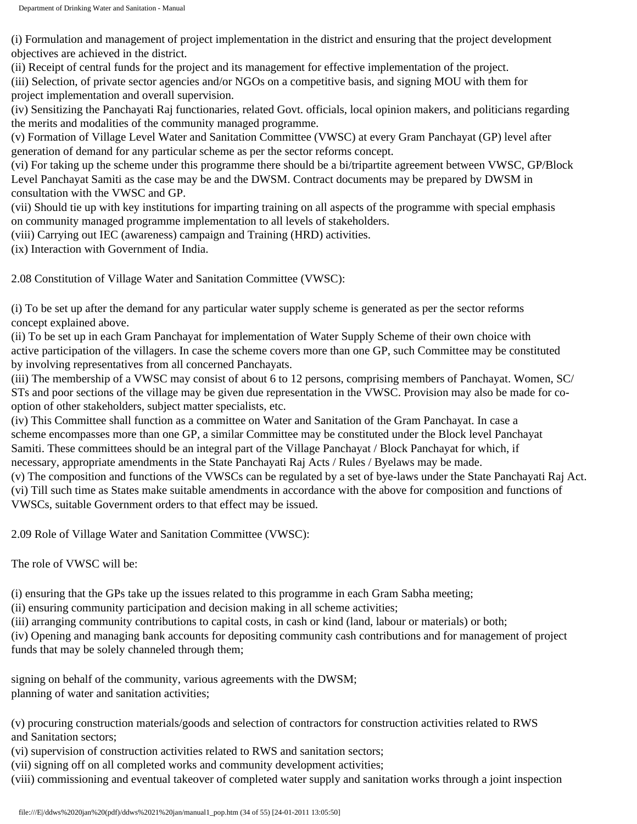(i) Formulation and management of project implementation in the district and ensuring that the project development objectives are achieved in the district.

(ii) Receipt of central funds for the project and its management for effective implementation of the project.

(iii) Selection, of private sector agencies and/or NGOs on a competitive basis, and signing MOU with them for project implementation and overall supervision.

(iv) Sensitizing the Panchayati Raj functionaries, related Govt. officials, local opinion makers, and politicians regarding the merits and modalities of the community managed programme.

(v) Formation of Village Level Water and Sanitation Committee (VWSC) at every Gram Panchayat (GP) level after generation of demand for any particular scheme as per the sector reforms concept.

(vi) For taking up the scheme under this programme there should be a bi/tripartite agreement between VWSC, GP/Block Level Panchayat Samiti as the case may be and the DWSM. Contract documents may be prepared by DWSM in consultation with the VWSC and GP.

(vii) Should tie up with key institutions for imparting training on all aspects of the programme with special emphasis on community managed programme implementation to all levels of stakeholders.

(viii) Carrying out IEC (awareness) campaign and Training (HRD) activities.

(ix) Interaction with Government of India.

2.08 Constitution of Village Water and Sanitation Committee (VWSC):

(i) To be set up after the demand for any particular water supply scheme is generated as per the sector reforms concept explained above.

(ii) To be set up in each Gram Panchayat for implementation of Water Supply Scheme of their own choice with active participation of the villagers. In case the scheme covers more than one GP, such Committee may be constituted by involving representatives from all concerned Panchayats.

(iii) The membership of a VWSC may consist of about 6 to 12 persons, comprising members of Panchayat. Women, SC/ STs and poor sections of the village may be given due representation in the VWSC. Provision may also be made for cooption of other stakeholders, subject matter specialists, etc.

(iv) This Committee shall function as a committee on Water and Sanitation of the Gram Panchayat. In case a scheme encompasses more than one GP, a similar Committee may be constituted under the Block level Panchayat Samiti. These committees should be an integral part of the Village Panchayat / Block Panchayat for which, if necessary, appropriate amendments in the State Panchayati Raj Acts / Rules / Byelaws may be made.

(v) The composition and functions of the VWSCs can be regulated by a set of bye-laws under the State Panchayati Raj Act. (vi) Till such time as States make suitable amendments in accordance with the above for composition and functions of VWSCs, suitable Government orders to that effect may be issued.

2.09 Role of Village Water and Sanitation Committee (VWSC):

The role of VWSC will be:

(i) ensuring that the GPs take up the issues related to this programme in each Gram Sabha meeting;

(ii) ensuring community participation and decision making in all scheme activities;

(iii) arranging community contributions to capital costs, in cash or kind (land, labour or materials) or both;

(iv) Opening and managing bank accounts for depositing community cash contributions and for management of project funds that may be solely channeled through them;

signing on behalf of the community, various agreements with the DWSM; planning of water and sanitation activities;

(v) procuring construction materials/goods and selection of contractors for construction activities related to RWS and Sanitation sectors;

(vi) supervision of construction activities related to RWS and sanitation sectors;

(vii) signing off on all completed works and community development activities;

(viii) commissioning and eventual takeover of completed water supply and sanitation works through a joint inspection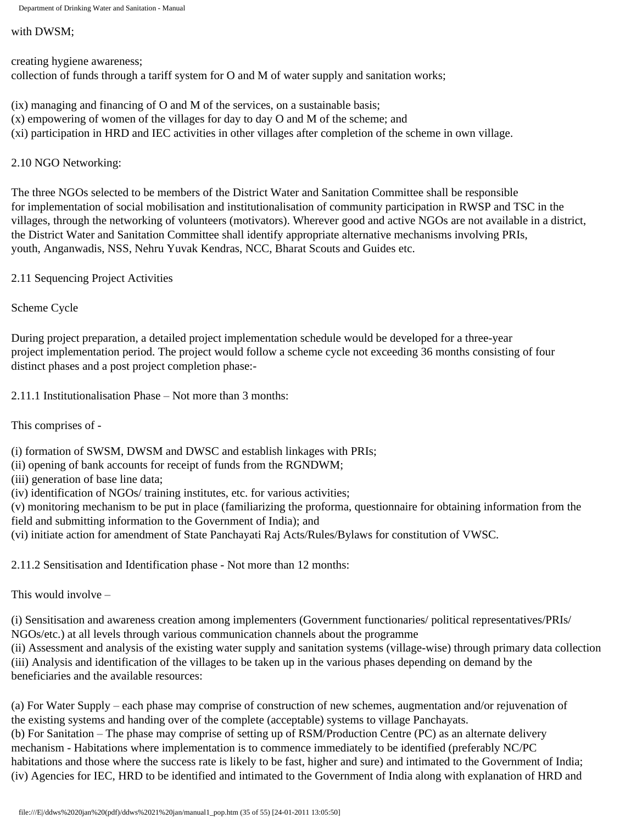#### with DWSM;

creating hygiene awareness; collection of funds through a tariff system for O and M of water supply and sanitation works;

(ix) managing and financing of O and M of the services, on a sustainable basis;

(x) empowering of women of the villages for day to day O and M of the scheme; and

(xi) participation in HRD and IEC activities in other villages after completion of the scheme in own village.

## 2.10 NGO Networking:

The three NGOs selected to be members of the District Water and Sanitation Committee shall be responsible for implementation of social mobilisation and institutionalisation of community participation in RWSP and TSC in the villages, through the networking of volunteers (motivators). Wherever good and active NGOs are not available in a district, the District Water and Sanitation Committee shall identify appropriate alternative mechanisms involving PRIs, youth, Anganwadis, NSS, Nehru Yuvak Kendras, NCC, Bharat Scouts and Guides etc.

2.11 Sequencing Project Activities

Scheme Cycle

During project preparation, a detailed project implementation schedule would be developed for a three-year project implementation period. The project would follow a scheme cycle not exceeding 36 months consisting of four distinct phases and a post project completion phase:-

2.11.1 Institutionalisation Phase – Not more than 3 months:

This comprises of -

(i) formation of SWSM, DWSM and DWSC and establish linkages with PRIs;

(ii) opening of bank accounts for receipt of funds from the RGNDWM;

(iii) generation of base line data;

(iv) identification of NGOs/ training institutes, etc. for various activities;

(v) monitoring mechanism to be put in place (familiarizing the proforma, questionnaire for obtaining information from the field and submitting information to the Government of India); and

(vi) initiate action for amendment of State Panchayati Raj Acts/Rules/Bylaws for constitution of VWSC.

2.11.2 Sensitisation and Identification phase - Not more than 12 months:

This would involve –

(i) Sensitisation and awareness creation among implementers (Government functionaries/ political representatives/PRIs/ NGOs/etc.) at all levels through various communication channels about the programme

(ii) Assessment and analysis of the existing water supply and sanitation systems (village-wise) through primary data collection (iii) Analysis and identification of the villages to be taken up in the various phases depending on demand by the beneficiaries and the available resources:

(a) For Water Supply – each phase may comprise of construction of new schemes, augmentation and/or rejuvenation of the existing systems and handing over of the complete (acceptable) systems to village Panchayats. (b) For Sanitation – The phase may comprise of setting up of RSM/Production Centre (PC) as an alternate delivery mechanism - Habitations where implementation is to commence immediately to be identified (preferably NC/PC habitations and those where the success rate is likely to be fast, higher and sure) and intimated to the Government of India; (iv) Agencies for IEC, HRD to be identified and intimated to the Government of India along with explanation of HRD and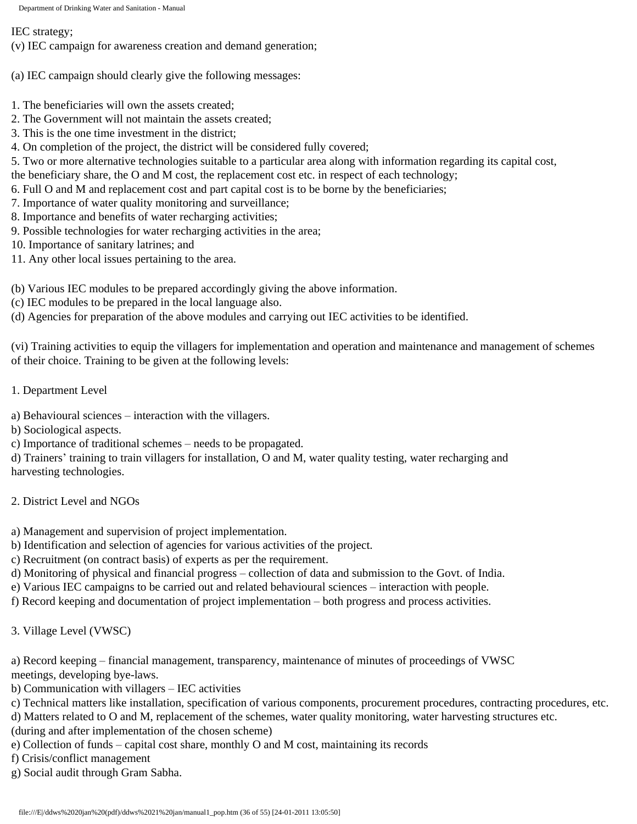IEC strategy;

(v) IEC campaign for awareness creation and demand generation;

(a) IEC campaign should clearly give the following messages:

- 1. The beneficiaries will own the assets created;
- 2. The Government will not maintain the assets created;
- 3. This is the one time investment in the district;
- 4. On completion of the project, the district will be considered fully covered;

5. Two or more alternative technologies suitable to a particular area along with information regarding its capital cost,

the beneficiary share, the O and M cost, the replacement cost etc. in respect of each technology;

- 6. Full O and M and replacement cost and part capital cost is to be borne by the beneficiaries;
- 7. Importance of water quality monitoring and surveillance;
- 8. Importance and benefits of water recharging activities;
- 9. Possible technologies for water recharging activities in the area;
- 10. Importance of sanitary latrines; and
- 11. Any other local issues pertaining to the area.
- (b) Various IEC modules to be prepared accordingly giving the above information.
- (c) IEC modules to be prepared in the local language also.
- (d) Agencies for preparation of the above modules and carrying out IEC activities to be identified.

(vi) Training activities to equip the villagers for implementation and operation and maintenance and management of schemes of their choice. Training to be given at the following levels:

1. Department Level

a) Behavioural sciences – interaction with the villagers.

- b) Sociological aspects.
- c) Importance of traditional schemes needs to be propagated.

d) Trainers' training to train villagers for installation, O and M, water quality testing, water recharging and harvesting technologies.

- 2. District Level and NGOs
- a) Management and supervision of project implementation.
- b) Identification and selection of agencies for various activities of the project.
- c) Recruitment (on contract basis) of experts as per the requirement.
- d) Monitoring of physical and financial progress collection of data and submission to the Govt. of India.
- e) Various IEC campaigns to be carried out and related behavioural sciences interaction with people.
- f) Record keeping and documentation of project implementation both progress and process activities.
- 3. Village Level (VWSC)

a) Record keeping – financial management, transparency, maintenance of minutes of proceedings of VWSC meetings, developing bye-laws.

- b) Communication with villagers IEC activities
- c) Technical matters like installation, specification of various components, procurement procedures, contracting procedures, etc.
- d) Matters related to O and M, replacement of the schemes, water quality monitoring, water harvesting structures etc.

(during and after implementation of the chosen scheme)

- e) Collection of funds capital cost share, monthly O and M cost, maintaining its records
- f) Crisis/conflict management
- g) Social audit through Gram Sabha.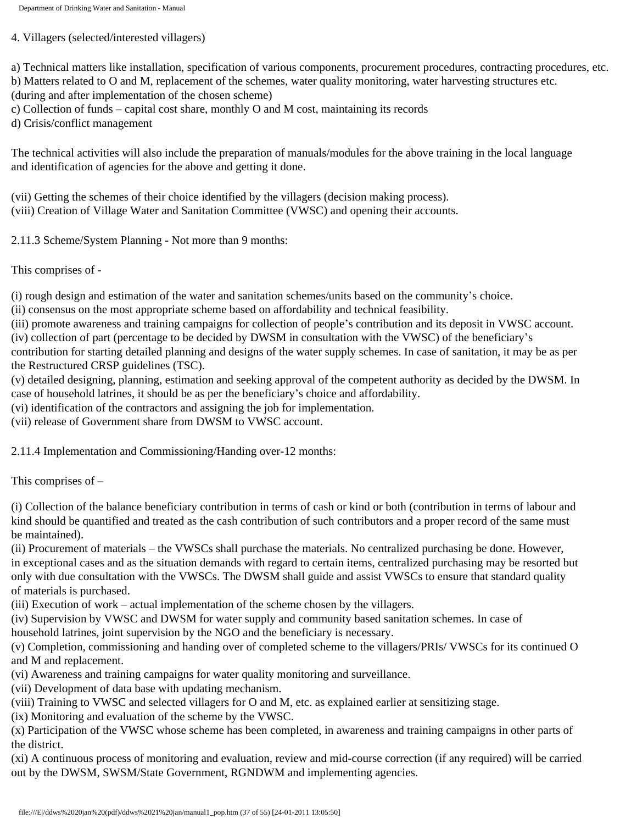4. Villagers (selected/interested villagers)

a) Technical matters like installation, specification of various components, procurement procedures, contracting procedures, etc. b) Matters related to O and M, replacement of the schemes, water quality monitoring, water harvesting structures etc.

(during and after implementation of the chosen scheme)

c) Collection of funds – capital cost share, monthly O and M cost, maintaining its records

d) Crisis/conflict management

The technical activities will also include the preparation of manuals/modules for the above training in the local language and identification of agencies for the above and getting it done.

(vii) Getting the schemes of their choice identified by the villagers (decision making process). (viii) Creation of Village Water and Sanitation Committee (VWSC) and opening their accounts.

2.11.3 Scheme/System Planning - Not more than 9 months:

This comprises of -

(i) rough design and estimation of the water and sanitation schemes/units based on the community's choice.

(ii) consensus on the most appropriate scheme based on affordability and technical feasibility.

(iii) promote awareness and training campaigns for collection of people's contribution and its deposit in VWSC account.

(iv) collection of part (percentage to be decided by DWSM in consultation with the VWSC) of the beneficiary's

contribution for starting detailed planning and designs of the water supply schemes. In case of sanitation, it may be as per the Restructured CRSP guidelines (TSC).

(v) detailed designing, planning, estimation and seeking approval of the competent authority as decided by the DWSM. In case of household latrines, it should be as per the beneficiary's choice and affordability.

(vi) identification of the contractors and assigning the job for implementation.

(vii) release of Government share from DWSM to VWSC account.

2.11.4 Implementation and Commissioning/Handing over-12 months:

This comprises of –

(i) Collection of the balance beneficiary contribution in terms of cash or kind or both (contribution in terms of labour and kind should be quantified and treated as the cash contribution of such contributors and a proper record of the same must be maintained).

(ii) Procurement of materials – the VWSCs shall purchase the materials. No centralized purchasing be done. However, in exceptional cases and as the situation demands with regard to certain items, centralized purchasing may be resorted but only with due consultation with the VWSCs. The DWSM shall guide and assist VWSCs to ensure that standard quality of materials is purchased.

(iii) Execution of work – actual implementation of the scheme chosen by the villagers.

(iv) Supervision by VWSC and DWSM for water supply and community based sanitation schemes. In case of

household latrines, joint supervision by the NGO and the beneficiary is necessary.

(v) Completion, commissioning and handing over of completed scheme to the villagers/PRIs/ VWSCs for its continued O and M and replacement.

(vi) Awareness and training campaigns for water quality monitoring and surveillance.

(vii) Development of data base with updating mechanism.

(viii) Training to VWSC and selected villagers for O and M, etc. as explained earlier at sensitizing stage.

(ix) Monitoring and evaluation of the scheme by the VWSC.

(x) Participation of the VWSC whose scheme has been completed, in awareness and training campaigns in other parts of the district.

(xi) A continuous process of monitoring and evaluation, review and mid-course correction (if any required) will be carried out by the DWSM, SWSM/State Government, RGNDWM and implementing agencies.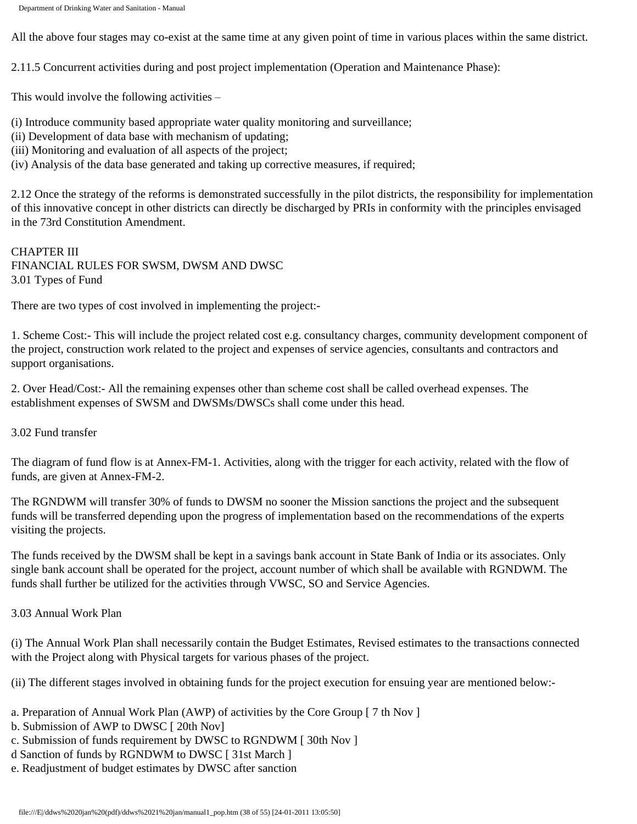All the above four stages may co-exist at the same time at any given point of time in various places within the same district.

2.11.5 Concurrent activities during and post project implementation (Operation and Maintenance Phase):

This would involve the following activities –

(i) Introduce community based appropriate water quality monitoring and surveillance;

- (ii) Development of data base with mechanism of updating;
- (iii) Monitoring and evaluation of all aspects of the project;
- (iv) Analysis of the data base generated and taking up corrective measures, if required;

2.12 Once the strategy of the reforms is demonstrated successfully in the pilot districts, the responsibility for implementation of this innovative concept in other districts can directly be discharged by PRIs in conformity with the principles envisaged in the 73rd Constitution Amendment.

CHAPTER III FINANCIAL RULES FOR SWSM, DWSM AND DWSC 3.01 Types of Fund

There are two types of cost involved in implementing the project:-

1. Scheme Cost:- This will include the project related cost e.g. consultancy charges, community development component of the project, construction work related to the project and expenses of service agencies, consultants and contractors and support organisations.

2. Over Head/Cost:- All the remaining expenses other than scheme cost shall be called overhead expenses. The establishment expenses of SWSM and DWSMs/DWSCs shall come under this head.

3.02 Fund transfer

The diagram of fund flow is at Annex-FM-1. Activities, along with the trigger for each activity, related with the flow of funds, are given at Annex-FM-2.

The RGNDWM will transfer 30% of funds to DWSM no sooner the Mission sanctions the project and the subsequent funds will be transferred depending upon the progress of implementation based on the recommendations of the experts visiting the projects.

The funds received by the DWSM shall be kept in a savings bank account in State Bank of India or its associates. Only single bank account shall be operated for the project, account number of which shall be available with RGNDWM. The funds shall further be utilized for the activities through VWSC, SO and Service Agencies.

3.03 Annual Work Plan

(i) The Annual Work Plan shall necessarily contain the Budget Estimates, Revised estimates to the transactions connected with the Project along with Physical targets for various phases of the project.

(ii) The different stages involved in obtaining funds for the project execution for ensuing year are mentioned below:-

- a. Preparation of Annual Work Plan (AWP) of activities by the Core Group [ 7 th Nov ]
- b. Submission of AWP to DWSC [ 20th Nov]
- c. Submission of funds requirement by DWSC to RGNDWM [ 30th Nov ]
- d Sanction of funds by RGNDWM to DWSC [ 31st March ]
- e. Readjustment of budget estimates by DWSC after sanction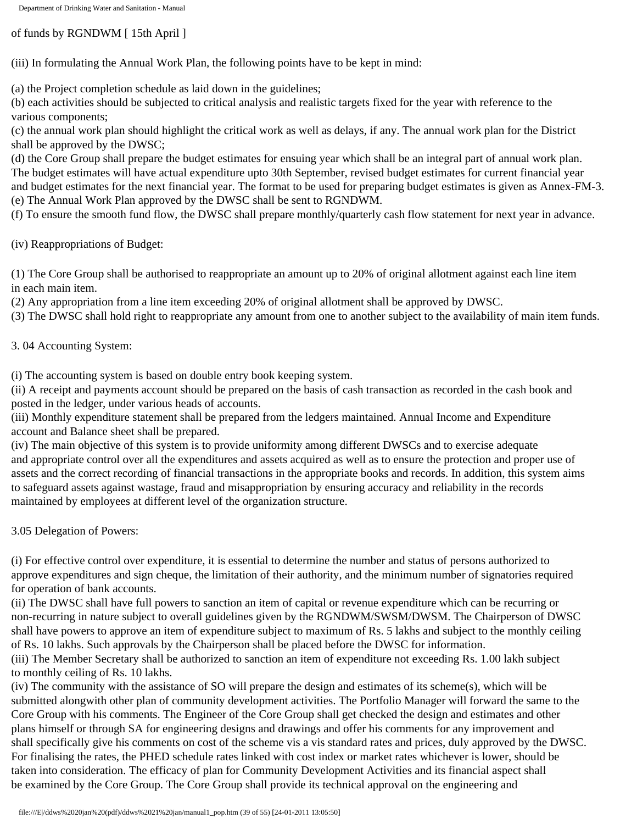of funds by RGNDWM [ 15th April ]

(iii) In formulating the Annual Work Plan, the following points have to be kept in mind:

(a) the Project completion schedule as laid down in the guidelines;

(b) each activities should be subjected to critical analysis and realistic targets fixed for the year with reference to the various components;

(c) the annual work plan should highlight the critical work as well as delays, if any. The annual work plan for the District shall be approved by the DWSC;

(d) the Core Group shall prepare the budget estimates for ensuing year which shall be an integral part of annual work plan. The budget estimates will have actual expenditure upto 30th September, revised budget estimates for current financial year and budget estimates for the next financial year. The format to be used for preparing budget estimates is given as Annex-FM-3. (e) The Annual Work Plan approved by the DWSC shall be sent to RGNDWM.

(f) To ensure the smooth fund flow, the DWSC shall prepare monthly/quarterly cash flow statement for next year in advance.

(iv) Reappropriations of Budget:

(1) The Core Group shall be authorised to reappropriate an amount up to 20% of original allotment against each line item in each main item.

(2) Any appropriation from a line item exceeding 20% of original allotment shall be approved by DWSC.

(3) The DWSC shall hold right to reappropriate any amount from one to another subject to the availability of main item funds.

3. 04 Accounting System:

(i) The accounting system is based on double entry book keeping system.

(ii) A receipt and payments account should be prepared on the basis of cash transaction as recorded in the cash book and posted in the ledger, under various heads of accounts.

(iii) Monthly expenditure statement shall be prepared from the ledgers maintained. Annual Income and Expenditure account and Balance sheet shall be prepared.

(iv) The main objective of this system is to provide uniformity among different DWSCs and to exercise adequate and appropriate control over all the expenditures and assets acquired as well as to ensure the protection and proper use of assets and the correct recording of financial transactions in the appropriate books and records. In addition, this system aims to safeguard assets against wastage, fraud and misappropriation by ensuring accuracy and reliability in the records maintained by employees at different level of the organization structure.

3.05 Delegation of Powers:

(i) For effective control over expenditure, it is essential to determine the number and status of persons authorized to approve expenditures and sign cheque, the limitation of their authority, and the minimum number of signatories required for operation of bank accounts.

(ii) The DWSC shall have full powers to sanction an item of capital or revenue expenditure which can be recurring or non-recurring in nature subject to overall guidelines given by the RGNDWM/SWSM/DWSM. The Chairperson of DWSC shall have powers to approve an item of expenditure subject to maximum of Rs. 5 lakhs and subject to the monthly ceiling of Rs. 10 lakhs. Such approvals by the Chairperson shall be placed before the DWSC for information.

(iii) The Member Secretary shall be authorized to sanction an item of expenditure not exceeding Rs. 1.00 lakh subject to monthly ceiling of Rs. 10 lakhs.

(iv) The community with the assistance of SO will prepare the design and estimates of its scheme(s), which will be submitted alongwith other plan of community development activities. The Portfolio Manager will forward the same to the Core Group with his comments. The Engineer of the Core Group shall get checked the design and estimates and other plans himself or through SA for engineering designs and drawings and offer his comments for any improvement and shall specifically give his comments on cost of the scheme vis a vis standard rates and prices, duly approved by the DWSC. For finalising the rates, the PHED schedule rates linked with cost index or market rates whichever is lower, should be taken into consideration. The efficacy of plan for Community Development Activities and its financial aspect shall be examined by the Core Group. The Core Group shall provide its technical approval on the engineering and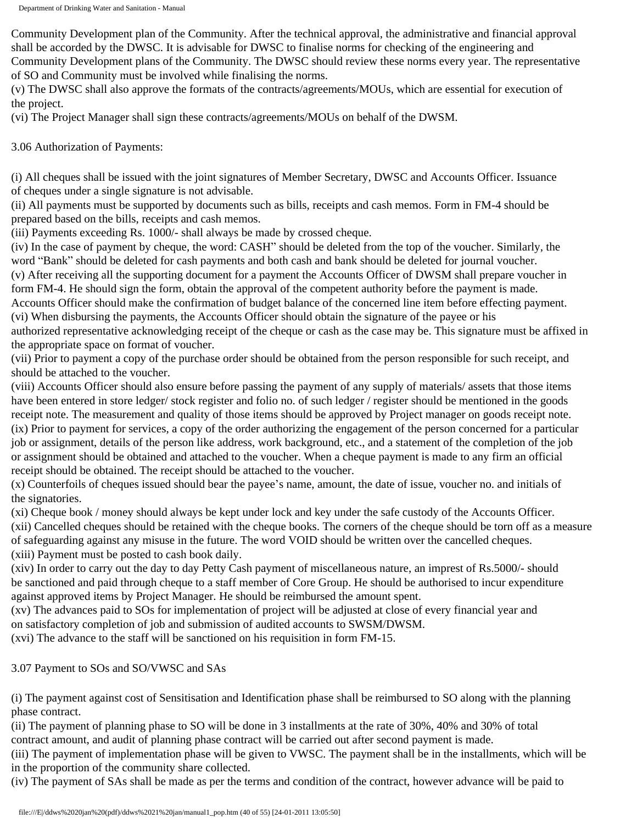Community Development plan of the Community. After the technical approval, the administrative and financial approval shall be accorded by the DWSC. It is advisable for DWSC to finalise norms for checking of the engineering and Community Development plans of the Community. The DWSC should review these norms every year. The representative of SO and Community must be involved while finalising the norms.

(v) The DWSC shall also approve the formats of the contracts/agreements/MOUs, which are essential for execution of the project.

(vi) The Project Manager shall sign these contracts/agreements/MOUs on behalf of the DWSM.

3.06 Authorization of Payments:

(i) All cheques shall be issued with the joint signatures of Member Secretary, DWSC and Accounts Officer. Issuance of cheques under a single signature is not advisable.

(ii) All payments must be supported by documents such as bills, receipts and cash memos. Form in FM-4 should be prepared based on the bills, receipts and cash memos.

(iii) Payments exceeding Rs. 1000/- shall always be made by crossed cheque.

(iv) In the case of payment by cheque, the word: CASH" should be deleted from the top of the voucher. Similarly, the word "Bank" should be deleted for cash payments and both cash and bank should be deleted for journal voucher. (v) After receiving all the supporting document for a payment the Accounts Officer of DWSM shall prepare voucher in form FM-4. He should sign the form, obtain the approval of the competent authority before the payment is made. Accounts Officer should make the confirmation of budget balance of the concerned line item before effecting payment. (vi) When disbursing the payments, the Accounts Officer should obtain the signature of the payee or his authorized representative acknowledging receipt of the cheque or cash as the case may be. This signature must be affixed in the appropriate space on format of voucher.

(vii) Prior to payment a copy of the purchase order should be obtained from the person responsible for such receipt, and should be attached to the voucher.

(viii) Accounts Officer should also ensure before passing the payment of any supply of materials/ assets that those items have been entered in store ledger/ stock register and folio no. of such ledger / register should be mentioned in the goods receipt note. The measurement and quality of those items should be approved by Project manager on goods receipt note. (ix) Prior to payment for services, a copy of the order authorizing the engagement of the person concerned for a particular job or assignment, details of the person like address, work background, etc., and a statement of the completion of the job or assignment should be obtained and attached to the voucher. When a cheque payment is made to any firm an official receipt should be obtained. The receipt should be attached to the voucher.

(x) Counterfoils of cheques issued should bear the payee's name, amount, the date of issue, voucher no. and initials of the signatories.

(xi) Cheque book / money should always be kept under lock and key under the safe custody of the Accounts Officer. (xii) Cancelled cheques should be retained with the cheque books. The corners of the cheque should be torn off as a measure of safeguarding against any misuse in the future. The word VOID should be written over the cancelled cheques. (xiii) Payment must be posted to cash book daily.

(xiv) In order to carry out the day to day Petty Cash payment of miscellaneous nature, an imprest of Rs.5000/- should be sanctioned and paid through cheque to a staff member of Core Group. He should be authorised to incur expenditure against approved items by Project Manager. He should be reimbursed the amount spent.

(xv) The advances paid to SOs for implementation of project will be adjusted at close of every financial year and on satisfactory completion of job and submission of audited accounts to SWSM/DWSM.

(xvi) The advance to the staff will be sanctioned on his requisition in form FM-15.

3.07 Payment to SOs and SO/VWSC and SAs

(i) The payment against cost of Sensitisation and Identification phase shall be reimbursed to SO along with the planning phase contract.

(ii) The payment of planning phase to SO will be done in 3 installments at the rate of 30%, 40% and 30% of total contract amount, and audit of planning phase contract will be carried out after second payment is made.

(iii) The payment of implementation phase will be given to VWSC. The payment shall be in the installments, which will be in the proportion of the community share collected.

(iv) The payment of SAs shall be made as per the terms and condition of the contract, however advance will be paid to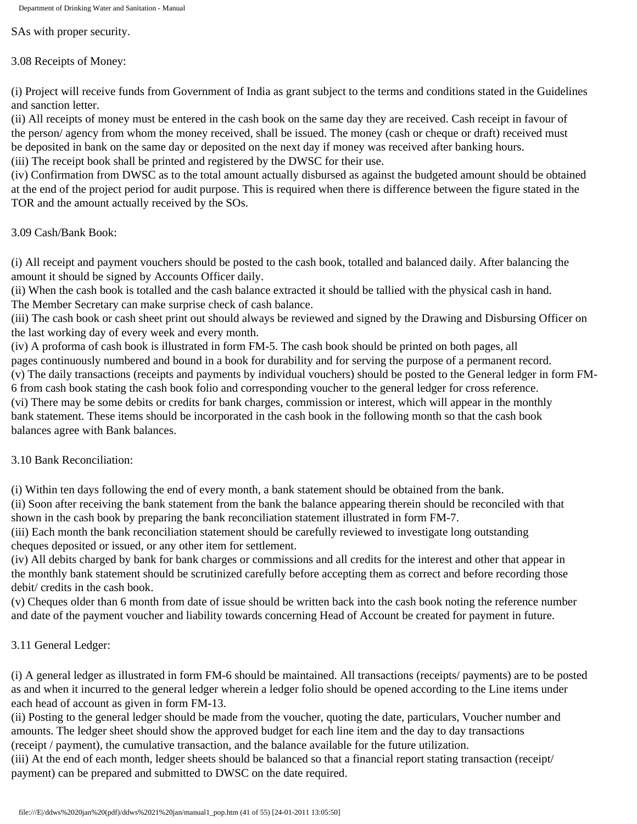SAs with proper security.

3.08 Receipts of Money:

(i) Project will receive funds from Government of India as grant subject to the terms and conditions stated in the Guidelines and sanction letter.

(ii) All receipts of money must be entered in the cash book on the same day they are received. Cash receipt in favour of the person/ agency from whom the money received, shall be issued. The money (cash or cheque or draft) received must be deposited in bank on the same day or deposited on the next day if money was received after banking hours.

(iii) The receipt book shall be printed and registered by the DWSC for their use.

(iv) Confirmation from DWSC as to the total amount actually disbursed as against the budgeted amount should be obtained at the end of the project period for audit purpose. This is required when there is difference between the figure stated in the TOR and the amount actually received by the SOs.

3.09 Cash/Bank Book:

(i) All receipt and payment vouchers should be posted to the cash book, totalled and balanced daily. After balancing the amount it should be signed by Accounts Officer daily.

(ii) When the cash book is totalled and the cash balance extracted it should be tallied with the physical cash in hand. The Member Secretary can make surprise check of cash balance.

(iii) The cash book or cash sheet print out should always be reviewed and signed by the Drawing and Disbursing Officer on the last working day of every week and every month.

(iv) A proforma of cash book is illustrated in form FM-5. The cash book should be printed on both pages, all pages continuously numbered and bound in a book for durability and for serving the purpose of a permanent record. (v) The daily transactions (receipts and payments by individual vouchers) should be posted to the General ledger in form FM-6 from cash book stating the cash book folio and corresponding voucher to the general ledger for cross reference. (vi) There may be some debits or credits for bank charges, commission or interest, which will appear in the monthly

bank statement. These items should be incorporated in the cash book in the following month so that the cash book balances agree with Bank balances.

3.10 Bank Reconciliation:

(i) Within ten days following the end of every month, a bank statement should be obtained from the bank.

(ii) Soon after receiving the bank statement from the bank the balance appearing therein should be reconciled with that shown in the cash book by preparing the bank reconciliation statement illustrated in form FM-7.

(iii) Each month the bank reconciliation statement should be carefully reviewed to investigate long outstanding cheques deposited or issued, or any other item for settlement.

(iv) All debits charged by bank for bank charges or commissions and all credits for the interest and other that appear in the monthly bank statement should be scrutinized carefully before accepting them as correct and before recording those debit/ credits in the cash book.

(v) Cheques older than 6 month from date of issue should be written back into the cash book noting the reference number and date of the payment voucher and liability towards concerning Head of Account be created for payment in future.

# 3.11 General Ledger:

(i) A general ledger as illustrated in form FM-6 should be maintained. All transactions (receipts/ payments) are to be posted as and when it incurred to the general ledger wherein a ledger folio should be opened according to the Line items under each head of account as given in form FM-13.

(ii) Posting to the general ledger should be made from the voucher, quoting the date, particulars, Voucher number and amounts. The ledger sheet should show the approved budget for each line item and the day to day transactions (receipt / payment), the cumulative transaction, and the balance available for the future utilization.

(iii) At the end of each month, ledger sheets should be balanced so that a financial report stating transaction (receipt/ payment) can be prepared and submitted to DWSC on the date required.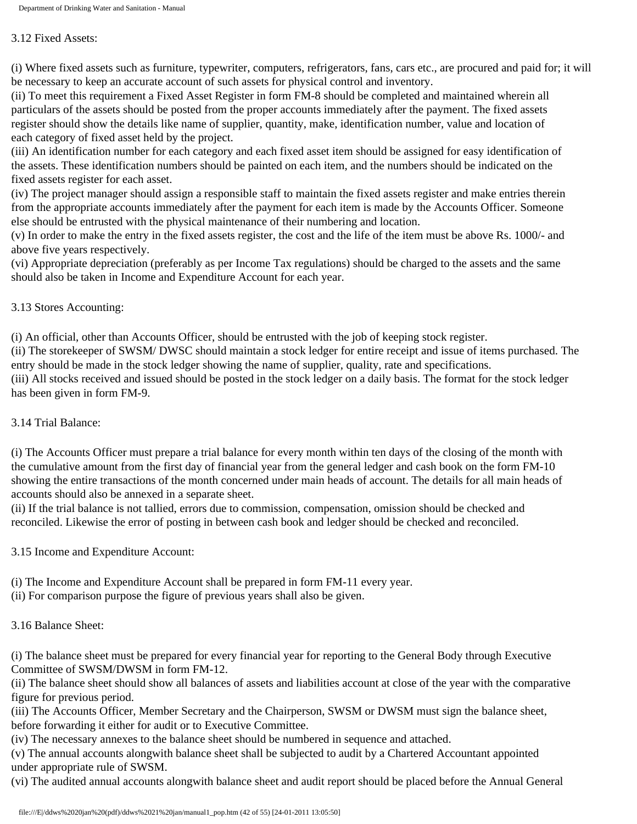#### 3.12 Fixed Assets:

(i) Where fixed assets such as furniture, typewriter, computers, refrigerators, fans, cars etc., are procured and paid for; it will be necessary to keep an accurate account of such assets for physical control and inventory.

(ii) To meet this requirement a Fixed Asset Register in form FM-8 should be completed and maintained wherein all particulars of the assets should be posted from the proper accounts immediately after the payment. The fixed assets register should show the details like name of supplier, quantity, make, identification number, value and location of each category of fixed asset held by the project.

(iii) An identification number for each category and each fixed asset item should be assigned for easy identification of the assets. These identification numbers should be painted on each item, and the numbers should be indicated on the fixed assets register for each asset.

(iv) The project manager should assign a responsible staff to maintain the fixed assets register and make entries therein from the appropriate accounts immediately after the payment for each item is made by the Accounts Officer. Someone else should be entrusted with the physical maintenance of their numbering and location.

(v) In order to make the entry in the fixed assets register, the cost and the life of the item must be above Rs. 1000/- and above five years respectively.

(vi) Appropriate depreciation (preferably as per Income Tax regulations) should be charged to the assets and the same should also be taken in Income and Expenditure Account for each year.

# 3.13 Stores Accounting:

(i) An official, other than Accounts Officer, should be entrusted with the job of keeping stock register.

(ii) The storekeeper of SWSM/ DWSC should maintain a stock ledger for entire receipt and issue of items purchased. The entry should be made in the stock ledger showing the name of supplier, quality, rate and specifications. (iii) All stocks received and issued should be posted in the stock ledger on a daily basis. The format for the stock ledger has been given in form FM-9.

## 3.14 Trial Balance:

(i) The Accounts Officer must prepare a trial balance for every month within ten days of the closing of the month with the cumulative amount from the first day of financial year from the general ledger and cash book on the form FM-10 showing the entire transactions of the month concerned under main heads of account. The details for all main heads of accounts should also be annexed in a separate sheet.

(ii) If the trial balance is not tallied, errors due to commission, compensation, omission should be checked and reconciled. Likewise the error of posting in between cash book and ledger should be checked and reconciled.

3.15 Income and Expenditure Account:

(i) The Income and Expenditure Account shall be prepared in form FM-11 every year.

(ii) For comparison purpose the figure of previous years shall also be given.

# 3.16 Balance Sheet:

(i) The balance sheet must be prepared for every financial year for reporting to the General Body through Executive Committee of SWSM/DWSM in form FM-12.

(ii) The balance sheet should show all balances of assets and liabilities account at close of the year with the comparative figure for previous period.

(iii) The Accounts Officer, Member Secretary and the Chairperson, SWSM or DWSM must sign the balance sheet, before forwarding it either for audit or to Executive Committee.

(iv) The necessary annexes to the balance sheet should be numbered in sequence and attached.

(v) The annual accounts alongwith balance sheet shall be subjected to audit by a Chartered Accountant appointed under appropriate rule of SWSM.

(vi) The audited annual accounts alongwith balance sheet and audit report should be placed before the Annual General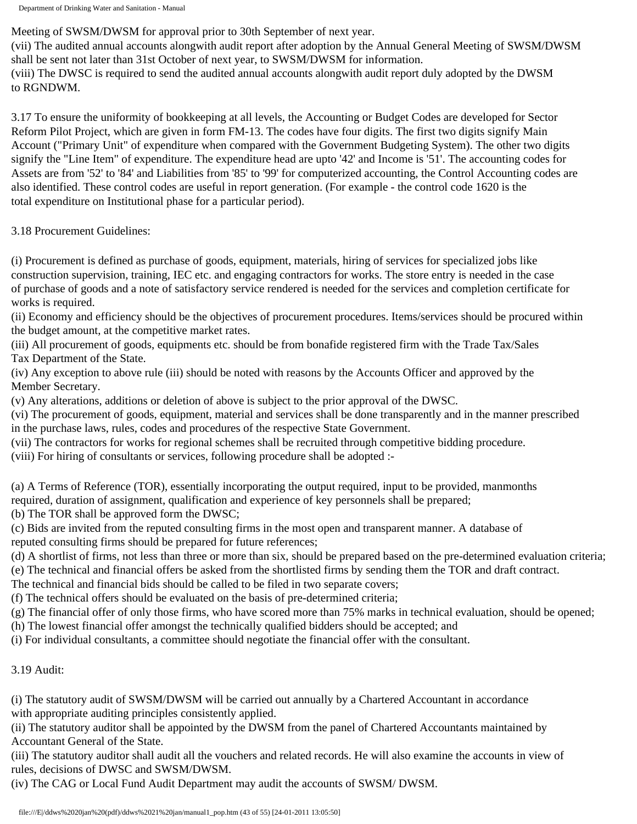Meeting of SWSM/DWSM for approval prior to 30th September of next year.

(vii) The audited annual accounts alongwith audit report after adoption by the Annual General Meeting of SWSM/DWSM shall be sent not later than 31st October of next year, to SWSM/DWSM for information.

(viii) The DWSC is required to send the audited annual accounts alongwith audit report duly adopted by the DWSM to RGNDWM.

3.17 To ensure the uniformity of bookkeeping at all levels, the Accounting or Budget Codes are developed for Sector Reform Pilot Project, which are given in form FM-13. The codes have four digits. The first two digits signify Main Account ("Primary Unit" of expenditure when compared with the Government Budgeting System). The other two digits signify the "Line Item" of expenditure. The expenditure head are upto '42' and Income is '51'. The accounting codes for Assets are from '52' to '84' and Liabilities from '85' to '99' for computerized accounting, the Control Accounting codes are also identified. These control codes are useful in report generation. (For example - the control code 1620 is the total expenditure on Institutional phase for a particular period).

3.18 Procurement Guidelines:

(i) Procurement is defined as purchase of goods, equipment, materials, hiring of services for specialized jobs like construction supervision, training, IEC etc. and engaging contractors for works. The store entry is needed in the case of purchase of goods and a note of satisfactory service rendered is needed for the services and completion certificate for works is required.

(ii) Economy and efficiency should be the objectives of procurement procedures. Items/services should be procured within the budget amount, at the competitive market rates.

(iii) All procurement of goods, equipments etc. should be from bonafide registered firm with the Trade Tax/Sales Tax Department of the State.

(iv) Any exception to above rule (iii) should be noted with reasons by the Accounts Officer and approved by the Member Secretary.

(v) Any alterations, additions or deletion of above is subject to the prior approval of the DWSC.

(vi) The procurement of goods, equipment, material and services shall be done transparently and in the manner prescribed in the purchase laws, rules, codes and procedures of the respective State Government.

(vii) The contractors for works for regional schemes shall be recruited through competitive bidding procedure.

(viii) For hiring of consultants or services, following procedure shall be adopted :-

(a) A Terms of Reference (TOR), essentially incorporating the output required, input to be provided, manmonths required, duration of assignment, qualification and experience of key personnels shall be prepared;

(b) The TOR shall be approved form the DWSC;

(c) Bids are invited from the reputed consulting firms in the most open and transparent manner. A database of reputed consulting firms should be prepared for future references;

(d) A shortlist of firms, not less than three or more than six, should be prepared based on the pre-determined evaluation criteria;

(e) The technical and financial offers be asked from the shortlisted firms by sending them the TOR and draft contract.

The technical and financial bids should be called to be filed in two separate covers;

(f) The technical offers should be evaluated on the basis of pre-determined criteria;

(g) The financial offer of only those firms, who have scored more than 75% marks in technical evaluation, should be opened;

(h) The lowest financial offer amongst the technically qualified bidders should be accepted; and

(i) For individual consultants, a committee should negotiate the financial offer with the consultant.

3.19 Audit:

(i) The statutory audit of SWSM/DWSM will be carried out annually by a Chartered Accountant in accordance with appropriate auditing principles consistently applied.

(ii) The statutory auditor shall be appointed by the DWSM from the panel of Chartered Accountants maintained by Accountant General of the State.

(iii) The statutory auditor shall audit all the vouchers and related records. He will also examine the accounts in view of rules, decisions of DWSC and SWSM/DWSM.

(iv) The CAG or Local Fund Audit Department may audit the accounts of SWSM/ DWSM.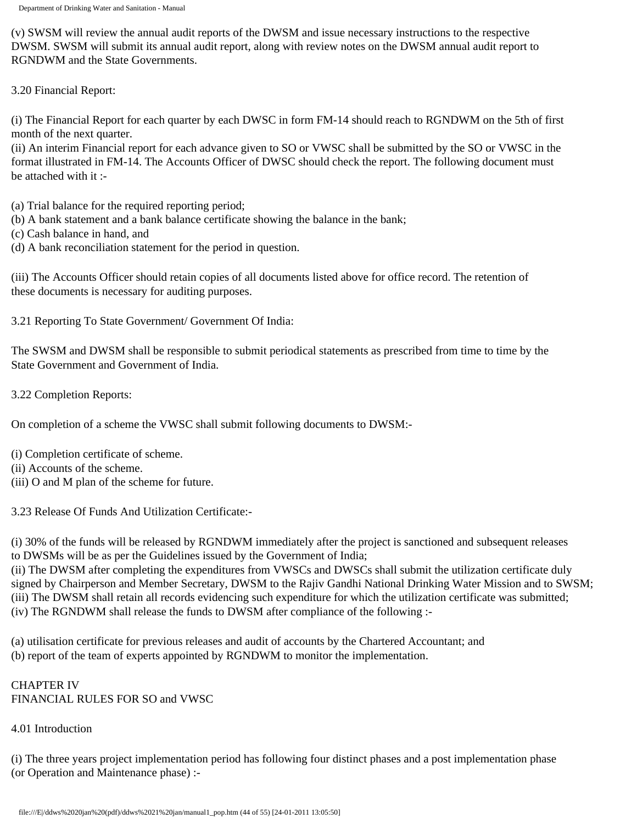(v) SWSM will review the annual audit reports of the DWSM and issue necessary instructions to the respective DWSM. SWSM will submit its annual audit report, along with review notes on the DWSM annual audit report to RGNDWM and the State Governments.

3.20 Financial Report:

(i) The Financial Report for each quarter by each DWSC in form FM-14 should reach to RGNDWM on the 5th of first month of the next quarter.

(ii) An interim Financial report for each advance given to SO or VWSC shall be submitted by the SO or VWSC in the format illustrated in FM-14. The Accounts Officer of DWSC should check the report. The following document must be attached with it :-

(a) Trial balance for the required reporting period;

- (b) A bank statement and a bank balance certificate showing the balance in the bank;
- (c) Cash balance in hand, and
- (d) A bank reconciliation statement for the period in question.

(iii) The Accounts Officer should retain copies of all documents listed above for office record. The retention of these documents is necessary for auditing purposes.

3.21 Reporting To State Government/ Government Of India:

The SWSM and DWSM shall be responsible to submit periodical statements as prescribed from time to time by the State Government and Government of India.

3.22 Completion Reports:

On completion of a scheme the VWSC shall submit following documents to DWSM:-

(i) Completion certificate of scheme.

(ii) Accounts of the scheme.

(iii) O and M plan of the scheme for future.

3.23 Release Of Funds And Utilization Certificate:-

(i) 30% of the funds will be released by RGNDWM immediately after the project is sanctioned and subsequent releases to DWSMs will be as per the Guidelines issued by the Government of India;

(ii) The DWSM after completing the expenditures from VWSCs and DWSCs shall submit the utilization certificate duly signed by Chairperson and Member Secretary, DWSM to the Rajiv Gandhi National Drinking Water Mission and to SWSM; (iii) The DWSM shall retain all records evidencing such expenditure for which the utilization certificate was submitted; (iv) The RGNDWM shall release the funds to DWSM after compliance of the following :-

(a) utilisation certificate for previous releases and audit of accounts by the Chartered Accountant; and (b) report of the team of experts appointed by RGNDWM to monitor the implementation.

## CHAPTER IV FINANCIAL RULES FOR SO and VWSC

## 4.01 Introduction

(i) The three years project implementation period has following four distinct phases and a post implementation phase (or Operation and Maintenance phase) :-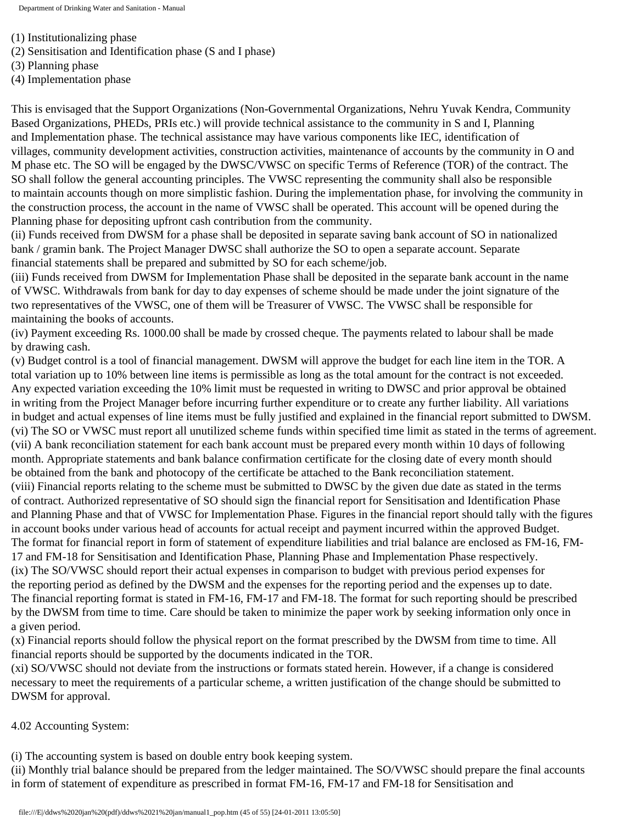(1) Institutionalizing phase

- (2) Sensitisation and Identification phase (S and I phase)
- (3) Planning phase

(4) Implementation phase

This is envisaged that the Support Organizations (Non-Governmental Organizations, Nehru Yuvak Kendra, Community Based Organizations, PHEDs, PRIs etc.) will provide technical assistance to the community in S and I, Planning and Implementation phase. The technical assistance may have various components like IEC, identification of villages, community development activities, construction activities, maintenance of accounts by the community in O and M phase etc. The SO will be engaged by the DWSC/VWSC on specific Terms of Reference (TOR) of the contract. The SO shall follow the general accounting principles. The VWSC representing the community shall also be responsible to maintain accounts though on more simplistic fashion. During the implementation phase, for involving the community in the construction process, the account in the name of VWSC shall be operated. This account will be opened during the Planning phase for depositing upfront cash contribution from the community.

(ii) Funds received from DWSM for a phase shall be deposited in separate saving bank account of SO in nationalized bank / gramin bank. The Project Manager DWSC shall authorize the SO to open a separate account. Separate financial statements shall be prepared and submitted by SO for each scheme/job.

(iii) Funds received from DWSM for Implementation Phase shall be deposited in the separate bank account in the name of VWSC. Withdrawals from bank for day to day expenses of scheme should be made under the joint signature of the two representatives of the VWSC, one of them will be Treasurer of VWSC. The VWSC shall be responsible for maintaining the books of accounts.

(iv) Payment exceeding Rs. 1000.00 shall be made by crossed cheque. The payments related to labour shall be made by drawing cash.

(v) Budget control is a tool of financial management. DWSM will approve the budget for each line item in the TOR. A total variation up to 10% between line items is permissible as long as the total amount for the contract is not exceeded. Any expected variation exceeding the 10% limit must be requested in writing to DWSC and prior approval be obtained in writing from the Project Manager before incurring further expenditure or to create any further liability. All variations in budget and actual expenses of line items must be fully justified and explained in the financial report submitted to DWSM. (vi) The SO or VWSC must report all unutilized scheme funds within specified time limit as stated in the terms of agreement. (vii) A bank reconciliation statement for each bank account must be prepared every month within 10 days of following month. Appropriate statements and bank balance confirmation certificate for the closing date of every month should be obtained from the bank and photocopy of the certificate be attached to the Bank reconciliation statement. (viii) Financial reports relating to the scheme must be submitted to DWSC by the given due date as stated in the terms of contract. Authorized representative of SO should sign the financial report for Sensitisation and Identification Phase and Planning Phase and that of VWSC for Implementation Phase. Figures in the financial report should tally with the figures in account books under various head of accounts for actual receipt and payment incurred within the approved Budget. The format for financial report in form of statement of expenditure liabilities and trial balance are enclosed as FM-16, FM-17 and FM-18 for Sensitisation and Identification Phase, Planning Phase and Implementation Phase respectively. (ix) The SO/VWSC should report their actual expenses in comparison to budget with previous period expenses for the reporting period as defined by the DWSM and the expenses for the reporting period and the expenses up to date. The financial reporting format is stated in FM-16, FM-17 and FM-18. The format for such reporting should be prescribed by the DWSM from time to time. Care should be taken to minimize the paper work by seeking information only once in a given period.

(x) Financial reports should follow the physical report on the format prescribed by the DWSM from time to time. All financial reports should be supported by the documents indicated in the TOR.

(xi) SO/VWSC should not deviate from the instructions or formats stated herein. However, if a change is considered necessary to meet the requirements of a particular scheme, a written justification of the change should be submitted to DWSM for approval.

4.02 Accounting System:

(i) The accounting system is based on double entry book keeping system.

(ii) Monthly trial balance should be prepared from the ledger maintained. The SO/VWSC should prepare the final accounts in form of statement of expenditure as prescribed in format FM-16, FM-17 and FM-18 for Sensitisation and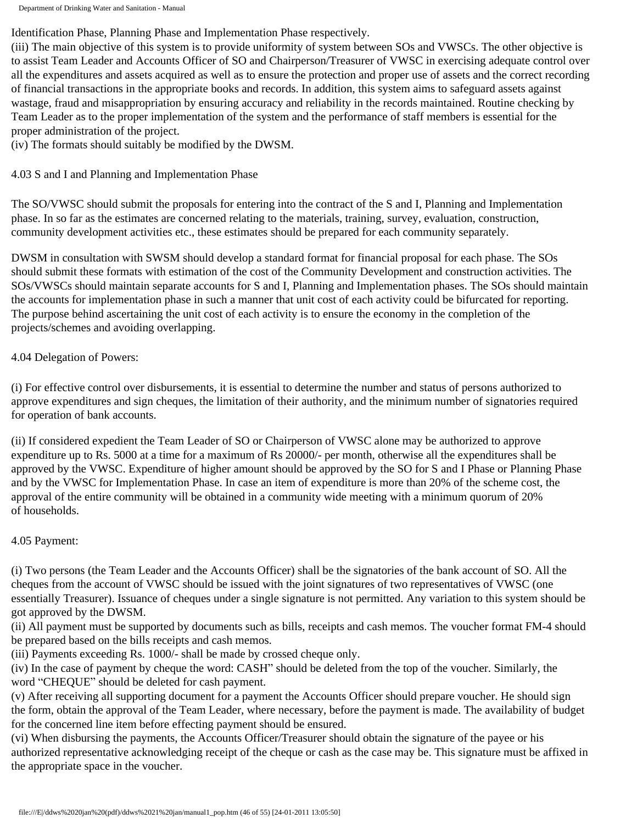Identification Phase, Planning Phase and Implementation Phase respectively.

(iii) The main objective of this system is to provide uniformity of system between SOs and VWSCs. The other objective is to assist Team Leader and Accounts Officer of SO and Chairperson/Treasurer of VWSC in exercising adequate control over all the expenditures and assets acquired as well as to ensure the protection and proper use of assets and the correct recording of financial transactions in the appropriate books and records. In addition, this system aims to safeguard assets against wastage, fraud and misappropriation by ensuring accuracy and reliability in the records maintained. Routine checking by Team Leader as to the proper implementation of the system and the performance of staff members is essential for the proper administration of the project.

(iv) The formats should suitably be modified by the DWSM.

4.03 S and I and Planning and Implementation Phase

The SO/VWSC should submit the proposals for entering into the contract of the S and I, Planning and Implementation phase. In so far as the estimates are concerned relating to the materials, training, survey, evaluation, construction, community development activities etc., these estimates should be prepared for each community separately.

DWSM in consultation with SWSM should develop a standard format for financial proposal for each phase. The SOs should submit these formats with estimation of the cost of the Community Development and construction activities. The SOs/VWSCs should maintain separate accounts for S and I, Planning and Implementation phases. The SOs should maintain the accounts for implementation phase in such a manner that unit cost of each activity could be bifurcated for reporting. The purpose behind ascertaining the unit cost of each activity is to ensure the economy in the completion of the projects/schemes and avoiding overlapping.

4.04 Delegation of Powers:

(i) For effective control over disbursements, it is essential to determine the number and status of persons authorized to approve expenditures and sign cheques, the limitation of their authority, and the minimum number of signatories required for operation of bank accounts.

(ii) If considered expedient the Team Leader of SO or Chairperson of VWSC alone may be authorized to approve expenditure up to Rs. 5000 at a time for a maximum of Rs 20000/- per month, otherwise all the expenditures shall be approved by the VWSC. Expenditure of higher amount should be approved by the SO for S and I Phase or Planning Phase and by the VWSC for Implementation Phase. In case an item of expenditure is more than 20% of the scheme cost, the approval of the entire community will be obtained in a community wide meeting with a minimum quorum of 20% of households.

# 4.05 Payment:

(i) Two persons (the Team Leader and the Accounts Officer) shall be the signatories of the bank account of SO. All the cheques from the account of VWSC should be issued with the joint signatures of two representatives of VWSC (one essentially Treasurer). Issuance of cheques under a single signature is not permitted. Any variation to this system should be got approved by the DWSM.

(ii) All payment must be supported by documents such as bills, receipts and cash memos. The voucher format FM-4 should be prepared based on the bills receipts and cash memos.

(iii) Payments exceeding Rs. 1000/- shall be made by crossed cheque only.

(iv) In the case of payment by cheque the word: CASH" should be deleted from the top of the voucher. Similarly, the word "CHEQUE" should be deleted for cash payment.

(v) After receiving all supporting document for a payment the Accounts Officer should prepare voucher. He should sign the form, obtain the approval of the Team Leader, where necessary, before the payment is made. The availability of budget for the concerned line item before effecting payment should be ensured.

(vi) When disbursing the payments, the Accounts Officer/Treasurer should obtain the signature of the payee or his authorized representative acknowledging receipt of the cheque or cash as the case may be. This signature must be affixed in the appropriate space in the voucher.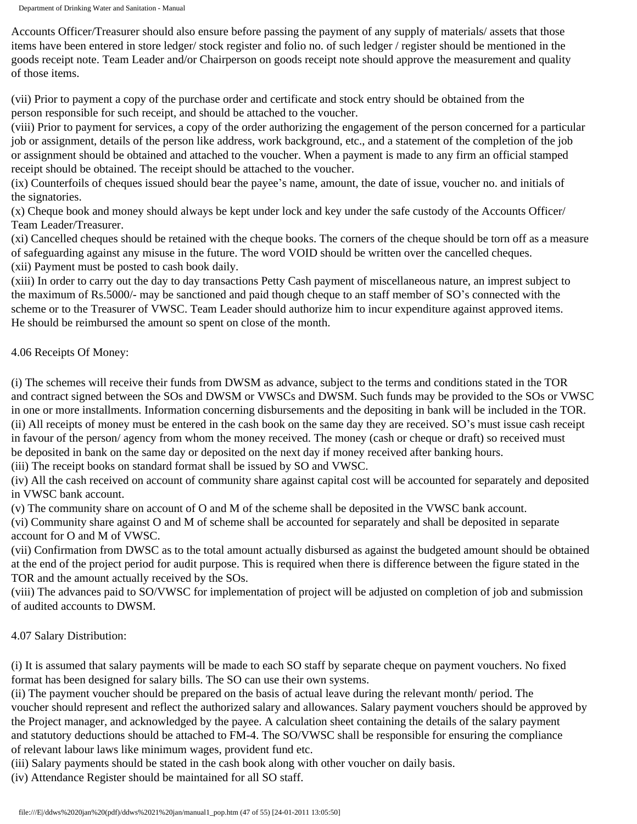Accounts Officer/Treasurer should also ensure before passing the payment of any supply of materials/ assets that those items have been entered in store ledger/ stock register and folio no. of such ledger / register should be mentioned in the goods receipt note. Team Leader and/or Chairperson on goods receipt note should approve the measurement and quality of those items.

(vii) Prior to payment a copy of the purchase order and certificate and stock entry should be obtained from the person responsible for such receipt, and should be attached to the voucher.

(viii) Prior to payment for services, a copy of the order authorizing the engagement of the person concerned for a particular job or assignment, details of the person like address, work background, etc., and a statement of the completion of the job or assignment should be obtained and attached to the voucher. When a payment is made to any firm an official stamped receipt should be obtained. The receipt should be attached to the voucher.

(ix) Counterfoils of cheques issued should bear the payee's name, amount, the date of issue, voucher no. and initials of the signatories.

(x) Cheque book and money should always be kept under lock and key under the safe custody of the Accounts Officer/ Team Leader/Treasurer.

(xi) Cancelled cheques should be retained with the cheque books. The corners of the cheque should be torn off as a measure of safeguarding against any misuse in the future. The word VOID should be written over the cancelled cheques. (xii) Payment must be posted to cash book daily.

(xiii) In order to carry out the day to day transactions Petty Cash payment of miscellaneous nature, an imprest subject to the maximum of Rs.5000/- may be sanctioned and paid though cheque to an staff member of SO's connected with the scheme or to the Treasurer of VWSC. Team Leader should authorize him to incur expenditure against approved items. He should be reimbursed the amount so spent on close of the month.

#### 4.06 Receipts Of Money:

(i) The schemes will receive their funds from DWSM as advance, subject to the terms and conditions stated in the TOR and contract signed between the SOs and DWSM or VWSCs and DWSM. Such funds may be provided to the SOs or VWSC in one or more installments. Information concerning disbursements and the depositing in bank will be included in the TOR. (ii) All receipts of money must be entered in the cash book on the same day they are received. SO's must issue cash receipt in favour of the person/ agency from whom the money received. The money (cash or cheque or draft) so received must be deposited in bank on the same day or deposited on the next day if money received after banking hours.

(iii) The receipt books on standard format shall be issued by SO and VWSC.

(iv) All the cash received on account of community share against capital cost will be accounted for separately and deposited in VWSC bank account.

(v) The community share on account of O and M of the scheme shall be deposited in the VWSC bank account.

(vi) Community share against O and M of scheme shall be accounted for separately and shall be deposited in separate account for O and M of VWSC.

(vii) Confirmation from DWSC as to the total amount actually disbursed as against the budgeted amount should be obtained at the end of the project period for audit purpose. This is required when there is difference between the figure stated in the TOR and the amount actually received by the SOs.

(viii) The advances paid to SO/VWSC for implementation of project will be adjusted on completion of job and submission of audited accounts to DWSM.

## 4.07 Salary Distribution:

(i) It is assumed that salary payments will be made to each SO staff by separate cheque on payment vouchers. No fixed format has been designed for salary bills. The SO can use their own systems.

(ii) The payment voucher should be prepared on the basis of actual leave during the relevant month/ period. The voucher should represent and reflect the authorized salary and allowances. Salary payment vouchers should be approved by the Project manager, and acknowledged by the payee. A calculation sheet containing the details of the salary payment and statutory deductions should be attached to FM-4. The SO/VWSC shall be responsible for ensuring the compliance of relevant labour laws like minimum wages, provident fund etc.

(iii) Salary payments should be stated in the cash book along with other voucher on daily basis.

(iv) Attendance Register should be maintained for all SO staff.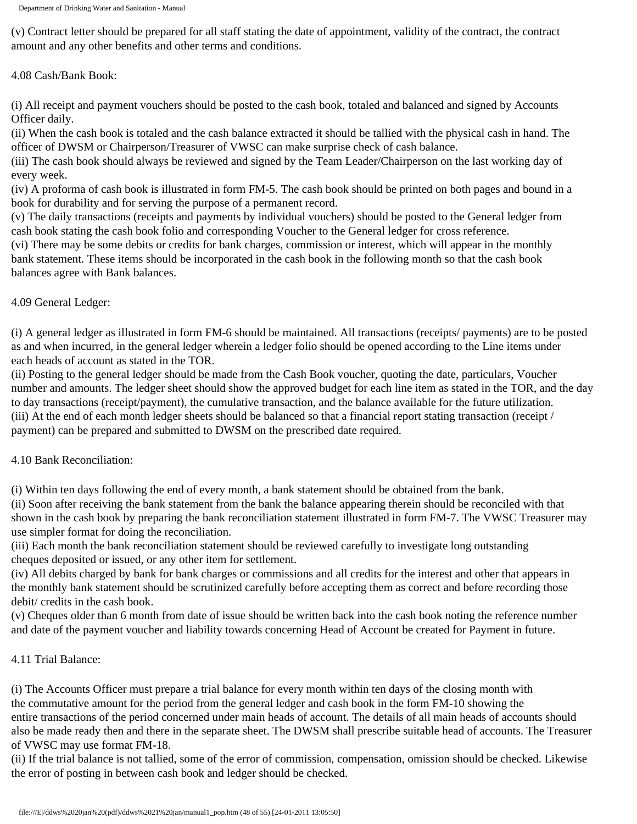(v) Contract letter should be prepared for all staff stating the date of appointment, validity of the contract, the contract amount and any other benefits and other terms and conditions.

## 4.08 Cash/Bank Book:

(i) All receipt and payment vouchers should be posted to the cash book, totaled and balanced and signed by Accounts Officer daily.

(ii) When the cash book is totaled and the cash balance extracted it should be tallied with the physical cash in hand. The officer of DWSM or Chairperson/Treasurer of VWSC can make surprise check of cash balance.

(iii) The cash book should always be reviewed and signed by the Team Leader/Chairperson on the last working day of every week.

(iv) A proforma of cash book is illustrated in form FM-5. The cash book should be printed on both pages and bound in a book for durability and for serving the purpose of a permanent record.

(v) The daily transactions (receipts and payments by individual vouchers) should be posted to the General ledger from cash book stating the cash book folio and corresponding Voucher to the General ledger for cross reference.

(vi) There may be some debits or credits for bank charges, commission or interest, which will appear in the monthly bank statement. These items should be incorporated in the cash book in the following month so that the cash book balances agree with Bank balances.

# 4.09 General Ledger:

(i) A general ledger as illustrated in form FM-6 should be maintained. All transactions (receipts/ payments) are to be posted as and when incurred, in the general ledger wherein a ledger folio should be opened according to the Line items under each heads of account as stated in the TOR.

(ii) Posting to the general ledger should be made from the Cash Book voucher, quoting the date, particulars, Voucher number and amounts. The ledger sheet should show the approved budget for each line item as stated in the TOR, and the day to day transactions (receipt/payment), the cumulative transaction, and the balance available for the future utilization. (iii) At the end of each month ledger sheets should be balanced so that a financial report stating transaction (receipt / payment) can be prepared and submitted to DWSM on the prescribed date required.

## 4.10 Bank Reconciliation:

(i) Within ten days following the end of every month, a bank statement should be obtained from the bank.

(ii) Soon after receiving the bank statement from the bank the balance appearing therein should be reconciled with that shown in the cash book by preparing the bank reconciliation statement illustrated in form FM-7. The VWSC Treasurer may use simpler format for doing the reconciliation.

(iii) Each month the bank reconciliation statement should be reviewed carefully to investigate long outstanding cheques deposited or issued, or any other item for settlement.

(iv) All debits charged by bank for bank charges or commissions and all credits for the interest and other that appears in the monthly bank statement should be scrutinized carefully before accepting them as correct and before recording those debit/ credits in the cash book.

(v) Cheques older than 6 month from date of issue should be written back into the cash book noting the reference number and date of the payment voucher and liability towards concerning Head of Account be created for Payment in future.

## 4.11 Trial Balance:

(i) The Accounts Officer must prepare a trial balance for every month within ten days of the closing month with the commutative amount for the period from the general ledger and cash book in the form FM-10 showing the entire transactions of the period concerned under main heads of account. The details of all main heads of accounts should also be made ready then and there in the separate sheet. The DWSM shall prescribe suitable head of accounts. The Treasurer of VWSC may use format FM-18.

(ii) If the trial balance is not tallied, some of the error of commission, compensation, omission should be checked. Likewise the error of posting in between cash book and ledger should be checked.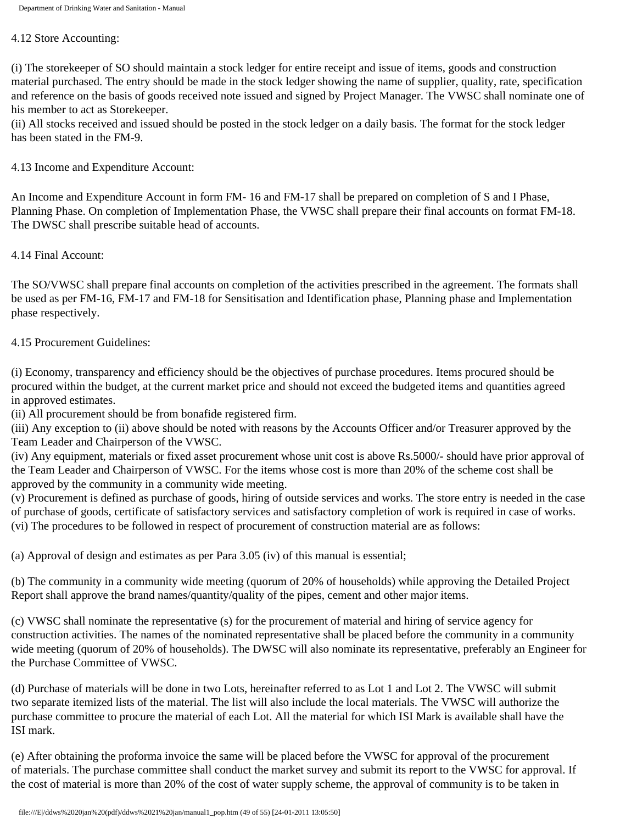#### 4.12 Store Accounting:

(i) The storekeeper of SO should maintain a stock ledger for entire receipt and issue of items, goods and construction material purchased. The entry should be made in the stock ledger showing the name of supplier, quality, rate, specification and reference on the basis of goods received note issued and signed by Project Manager. The VWSC shall nominate one of his member to act as Storekeeper.

(ii) All stocks received and issued should be posted in the stock ledger on a daily basis. The format for the stock ledger has been stated in the FM-9.

4.13 Income and Expenditure Account:

An Income and Expenditure Account in form FM- 16 and FM-17 shall be prepared on completion of S and I Phase, Planning Phase. On completion of Implementation Phase, the VWSC shall prepare their final accounts on format FM-18. The DWSC shall prescribe suitable head of accounts.

4.14 Final Account:

The SO/VWSC shall prepare final accounts on completion of the activities prescribed in the agreement. The formats shall be used as per FM-16, FM-17 and FM-18 for Sensitisation and Identification phase, Planning phase and Implementation phase respectively.

#### 4.15 Procurement Guidelines:

(i) Economy, transparency and efficiency should be the objectives of purchase procedures. Items procured should be procured within the budget, at the current market price and should not exceed the budgeted items and quantities agreed in approved estimates.

(ii) All procurement should be from bonafide registered firm.

(iii) Any exception to (ii) above should be noted with reasons by the Accounts Officer and/or Treasurer approved by the Team Leader and Chairperson of the VWSC.

(iv) Any equipment, materials or fixed asset procurement whose unit cost is above Rs.5000/- should have prior approval of the Team Leader and Chairperson of VWSC. For the items whose cost is more than 20% of the scheme cost shall be approved by the community in a community wide meeting.

(v) Procurement is defined as purchase of goods, hiring of outside services and works. The store entry is needed in the case of purchase of goods, certificate of satisfactory services and satisfactory completion of work is required in case of works. (vi) The procedures to be followed in respect of procurement of construction material are as follows:

(a) Approval of design and estimates as per Para 3.05 (iv) of this manual is essential;

(b) The community in a community wide meeting (quorum of 20% of households) while approving the Detailed Project Report shall approve the brand names/quantity/quality of the pipes, cement and other major items.

(c) VWSC shall nominate the representative (s) for the procurement of material and hiring of service agency for construction activities. The names of the nominated representative shall be placed before the community in a community wide meeting (quorum of 20% of households). The DWSC will also nominate its representative, preferably an Engineer for the Purchase Committee of VWSC.

(d) Purchase of materials will be done in two Lots, hereinafter referred to as Lot 1 and Lot 2. The VWSC will submit two separate itemized lists of the material. The list will also include the local materials. The VWSC will authorize the purchase committee to procure the material of each Lot. All the material for which ISI Mark is available shall have the ISI mark.

(e) After obtaining the proforma invoice the same will be placed before the VWSC for approval of the procurement of materials. The purchase committee shall conduct the market survey and submit its report to the VWSC for approval. If the cost of material is more than 20% of the cost of water supply scheme, the approval of community is to be taken in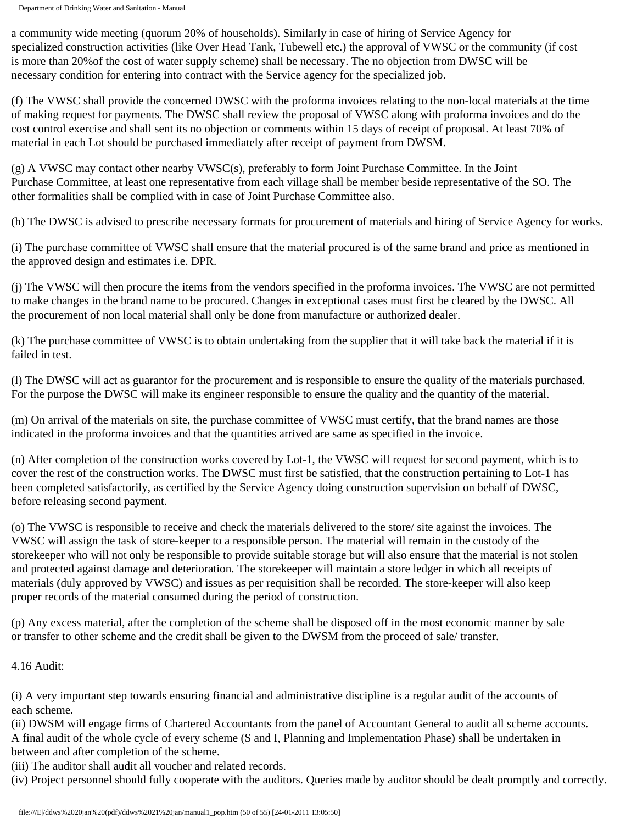a community wide meeting (quorum 20% of households). Similarly in case of hiring of Service Agency for specialized construction activities (like Over Head Tank, Tubewell etc.) the approval of VWSC or the community (if cost is more than 20%of the cost of water supply scheme) shall be necessary. The no objection from DWSC will be necessary condition for entering into contract with the Service agency for the specialized job.

(f) The VWSC shall provide the concerned DWSC with the proforma invoices relating to the non-local materials at the time of making request for payments. The DWSC shall review the proposal of VWSC along with proforma invoices and do the cost control exercise and shall sent its no objection or comments within 15 days of receipt of proposal. At least 70% of material in each Lot should be purchased immediately after receipt of payment from DWSM.

(g) A VWSC may contact other nearby VWSC(s), preferably to form Joint Purchase Committee. In the Joint Purchase Committee, at least one representative from each village shall be member beside representative of the SO. The other formalities shall be complied with in case of Joint Purchase Committee also.

(h) The DWSC is advised to prescribe necessary formats for procurement of materials and hiring of Service Agency for works.

(i) The purchase committee of VWSC shall ensure that the material procured is of the same brand and price as mentioned in the approved design and estimates i.e. DPR.

(j) The VWSC will then procure the items from the vendors specified in the proforma invoices. The VWSC are not permitted to make changes in the brand name to be procured. Changes in exceptional cases must first be cleared by the DWSC. All the procurement of non local material shall only be done from manufacture or authorized dealer.

(k) The purchase committee of VWSC is to obtain undertaking from the supplier that it will take back the material if it is failed in test.

(l) The DWSC will act as guarantor for the procurement and is responsible to ensure the quality of the materials purchased. For the purpose the DWSC will make its engineer responsible to ensure the quality and the quantity of the material.

(m) On arrival of the materials on site, the purchase committee of VWSC must certify, that the brand names are those indicated in the proforma invoices and that the quantities arrived are same as specified in the invoice.

(n) After completion of the construction works covered by Lot-1, the VWSC will request for second payment, which is to cover the rest of the construction works. The DWSC must first be satisfied, that the construction pertaining to Lot-1 has been completed satisfactorily, as certified by the Service Agency doing construction supervision on behalf of DWSC, before releasing second payment.

(o) The VWSC is responsible to receive and check the materials delivered to the store/ site against the invoices. The VWSC will assign the task of store-keeper to a responsible person. The material will remain in the custody of the storekeeper who will not only be responsible to provide suitable storage but will also ensure that the material is not stolen and protected against damage and deterioration. The storekeeper will maintain a store ledger in which all receipts of materials (duly approved by VWSC) and issues as per requisition shall be recorded. The store-keeper will also keep proper records of the material consumed during the period of construction.

(p) Any excess material, after the completion of the scheme shall be disposed off in the most economic manner by sale or transfer to other scheme and the credit shall be given to the DWSM from the proceed of sale/ transfer.

4.16 Audit:

(i) A very important step towards ensuring financial and administrative discipline is a regular audit of the accounts of each scheme.

(ii) DWSM will engage firms of Chartered Accountants from the panel of Accountant General to audit all scheme accounts. A final audit of the whole cycle of every scheme (S and I, Planning and Implementation Phase) shall be undertaken in between and after completion of the scheme.

(iii) The auditor shall audit all voucher and related records.

(iv) Project personnel should fully cooperate with the auditors. Queries made by auditor should be dealt promptly and correctly.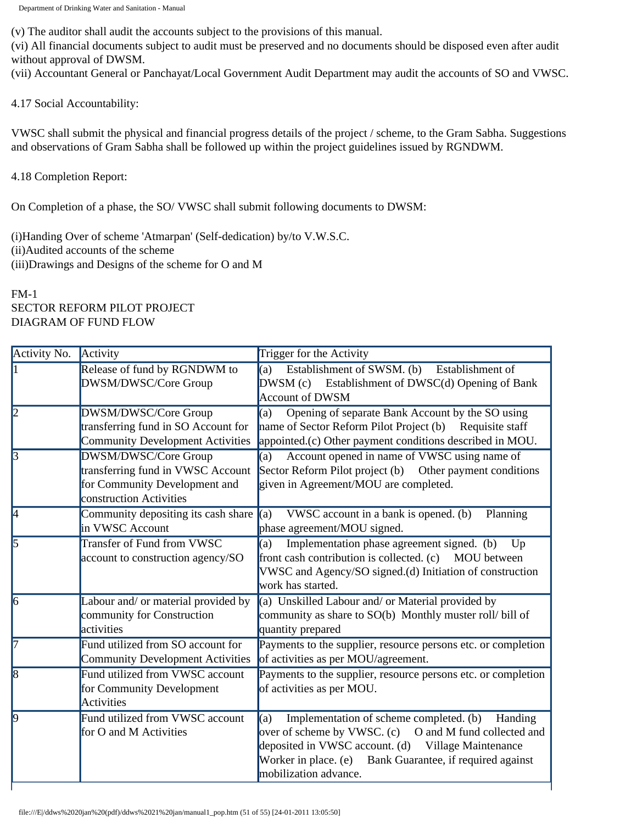(v) The auditor shall audit the accounts subject to the provisions of this manual.

(vi) All financial documents subject to audit must be preserved and no documents should be disposed even after audit without approval of DWSM.

(vii) Accountant General or Panchayat/Local Government Audit Department may audit the accounts of SO and VWSC.

4.17 Social Accountability:

VWSC shall submit the physical and financial progress details of the project / scheme, to the Gram Sabha. Suggestions and observations of Gram Sabha shall be followed up within the project guidelines issued by RGNDWM.

4.18 Completion Report:

On Completion of a phase, the SO/ VWSC shall submit following documents to DWSM:

(i)Handing Over of scheme 'Atmarpan' (Self-dedication) by/to V.W.S.C. (ii)Audited accounts of the scheme

(iii)Drawings and Designs of the scheme for O and M

## FM-1 SECTOR REFORM PILOT PROJECT DIAGRAM OF FUND FLOW

| Activity No.   | Activity                                                                                                              | Trigger for the Activity                                                                                                                                                                                                                                          |
|----------------|-----------------------------------------------------------------------------------------------------------------------|-------------------------------------------------------------------------------------------------------------------------------------------------------------------------------------------------------------------------------------------------------------------|
| 1              | Release of fund by RGNDWM to<br>DWSM/DWSC/Core Group                                                                  | Establishment of SWSM. (b)<br>Establishment of<br>(a)<br>DWSM (c) Establishment of DWSC(d) Opening of Bank<br><b>Account of DWSM</b>                                                                                                                              |
| $\overline{2}$ | DWSM/DWSC/Core Group<br>transferring fund in SO Account for<br><b>Community Development Activities</b>                | Opening of separate Bank Account by the SO using<br>(a)<br>name of Sector Reform Pilot Project (b) Requisite staff<br>appointed.(c) Other payment conditions described in MOU.                                                                                    |
| $\overline{3}$ | DWSM/DWSC/Core Group<br>transferring fund in VWSC Account<br>for Community Development and<br>construction Activities | Account opened in name of VWSC using name of<br>(a)<br>Sector Reform Pilot project (b)<br>Other payment conditions<br>given in Agreement/MOU are completed.                                                                                                       |
| I4             | Community depositing its cash share $\ $ (a)<br>in VWSC Account                                                       | VWSC account in a bank is opened. (b)<br>Planning<br>phase agreement/MOU signed.                                                                                                                                                                                  |
| 5              | Transfer of Fund from VWSC<br>account to construction agency/SO                                                       | Implementation phase agreement signed. (b)<br>(a)<br>Up<br>front cash contribution is collected. (c) MOU between<br>VWSC and Agency/SO signed.(d) Initiation of construction<br>work has started.                                                                 |
| $\overline{6}$ | Labour and/ or material provided by<br>community for Construction<br>activities                                       | (a) Unskilled Labour and/ or Material provided by<br>community as share to SO(b) Monthly muster roll/bill of<br>quantity prepared                                                                                                                                 |
| 17             | Fund utilized from SO account for<br><b>Community Development Activities</b>                                          | Payments to the supplier, resource persons etc. or completion<br>of activities as per MOU/agreement.                                                                                                                                                              |
| 18             | Fund utilized from VWSC account<br>for Community Development<br><b>Activities</b>                                     | Payments to the supplier, resource persons etc. or completion<br>of activities as per MOU.                                                                                                                                                                        |
| 0              | Fund utilized from VWSC account<br>for O and M Activities                                                             | Implementation of scheme completed. (b)<br>Handing<br>(a)<br>over of scheme by VWSC. (c)<br>O and M fund collected and<br>deposited in VWSC account. (d) Village Maintenance<br>Worker in place. (e) Bank Guarantee, if required against<br>mobilization advance. |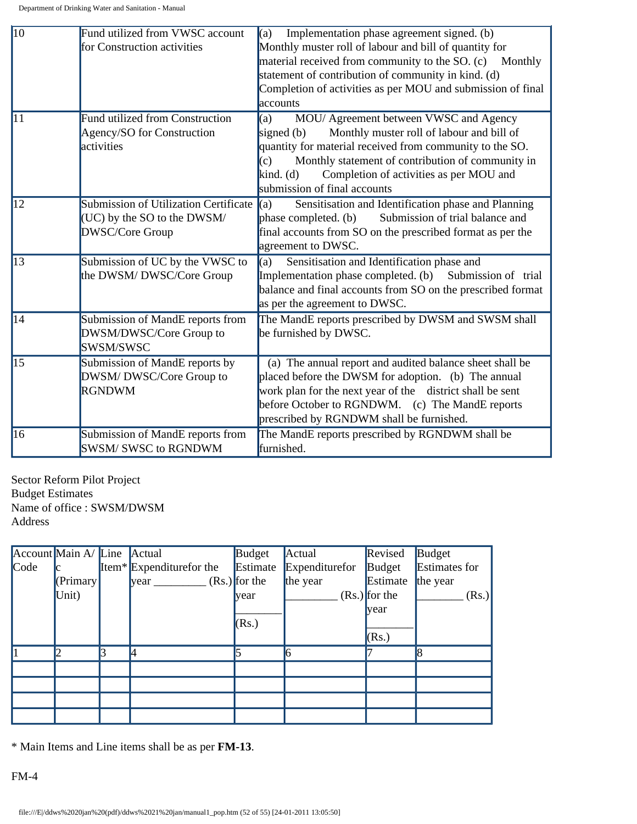| $\vert$ 10      | Fund utilized from VWSC account              | $(a)$ Implementation phase agreement signed. (b)              |  |  |  |  |
|-----------------|----------------------------------------------|---------------------------------------------------------------|--|--|--|--|
|                 | for Construction activities                  | Monthly muster roll of labour and bill of quantity for        |  |  |  |  |
|                 |                                              | material received from community to the SO. (c) Monthly       |  |  |  |  |
|                 |                                              | statement of contribution of community in kind. (d)           |  |  |  |  |
|                 |                                              | Completion of activities as per MOU and submission of final   |  |  |  |  |
|                 |                                              | accounts                                                      |  |  |  |  |
| $\overline{11}$ | <b>Fund utilized from Construction</b>       | MOU/ Agreement between VWSC and Agency<br>(a)                 |  |  |  |  |
|                 | Agency/SO for Construction                   | signed $(b)$<br>Monthly muster roll of labour and bill of     |  |  |  |  |
|                 | activities                                   | quantity for material received from community to the SO.      |  |  |  |  |
|                 |                                              | Monthly statement of contribution of community in<br>(c)      |  |  |  |  |
|                 |                                              | Completion of activities as per MOU and<br>$\text{kind.}$ (d) |  |  |  |  |
|                 |                                              | submission of final accounts                                  |  |  |  |  |
| $\overline{12}$ | <b>Submission of Utilization Certificate</b> | Sensitisation and Identification phase and Planning<br>(a)    |  |  |  |  |
|                 | (UC) by the SO to the DWSM/                  | Submission of trial balance and<br>phase completed. (b)       |  |  |  |  |
|                 | <b>DWSC/Core Group</b>                       | final accounts from SO on the prescribed format as per the    |  |  |  |  |
|                 |                                              | agreement to DWSC.                                            |  |  |  |  |
| $\overline{13}$ | Submission of UC by the VWSC to              | Sensitisation and Identification phase and<br>(a)             |  |  |  |  |
|                 | the DWSM/DWSC/Core Group                     | Implementation phase completed. (b)<br>Submission of trial    |  |  |  |  |
|                 |                                              | balance and final accounts from SO on the prescribed format   |  |  |  |  |
|                 |                                              | as per the agreement to DWSC.                                 |  |  |  |  |
| 14              | Submission of MandE reports from             | The MandE reports prescribed by DWSM and SWSM shall           |  |  |  |  |
|                 | DWSM/DWSC/Core Group to                      | be furnished by DWSC.                                         |  |  |  |  |
|                 | SWSM/SWSC                                    |                                                               |  |  |  |  |
| $\overline{15}$ | Submission of MandE reports by               | (a) The annual report and audited balance sheet shall be      |  |  |  |  |
|                 | DWSM/DWSC/Core Group to                      | placed before the DWSM for adoption. (b) The annual           |  |  |  |  |
|                 | <b>RGNDWM</b>                                | work plan for the next year of the district shall be sent     |  |  |  |  |
|                 |                                              | before October to RGNDWM. (c) The MandE reports               |  |  |  |  |
|                 |                                              | prescribed by RGNDWM shall be furnished.                      |  |  |  |  |
| 16              | Submission of MandE reports from             | The MandE reports prescribed by RGNDWM shall be               |  |  |  |  |
|                 | <b>SWSM/ SWSC to RGNDWM</b>                  | furnished.                                                    |  |  |  |  |

Sector Reform Pilot Project Budget Estimates Name of office : SWSM/DWSM Address

|               | Account Main A/ Line Actual |                                      | Budget          | Actual         | Revised         | Budget        |
|---------------|-----------------------------|--------------------------------------|-----------------|----------------|-----------------|---------------|
| $\text{Code}$ |                             | Item <sup>*</sup> Expenditurefor the | Estimate        | Expenditurefor | Budget          | Estimates for |
|               | $\sqrt{\text{Primary}}$     | year                                 | $(Rs.)$ for the | the year       | Estimate        | the year      |
|               | Unit)                       |                                      | <b>vear</b>     |                | $(Rs.)$ for the | (Rs.)         |
|               |                             |                                      |                 |                | <b>vear</b>     |               |
|               |                             |                                      | (Rs.)           |                |                 |               |
|               |                             |                                      |                 |                | (Rs.)           |               |
|               |                             |                                      |                 |                |                 |               |
|               |                             |                                      |                 |                |                 |               |
|               |                             |                                      |                 |                |                 |               |
|               |                             |                                      |                 |                |                 |               |
|               |                             |                                      |                 |                |                 |               |

\* Main Items and Line items shall be as per **FM-13**.

FM-4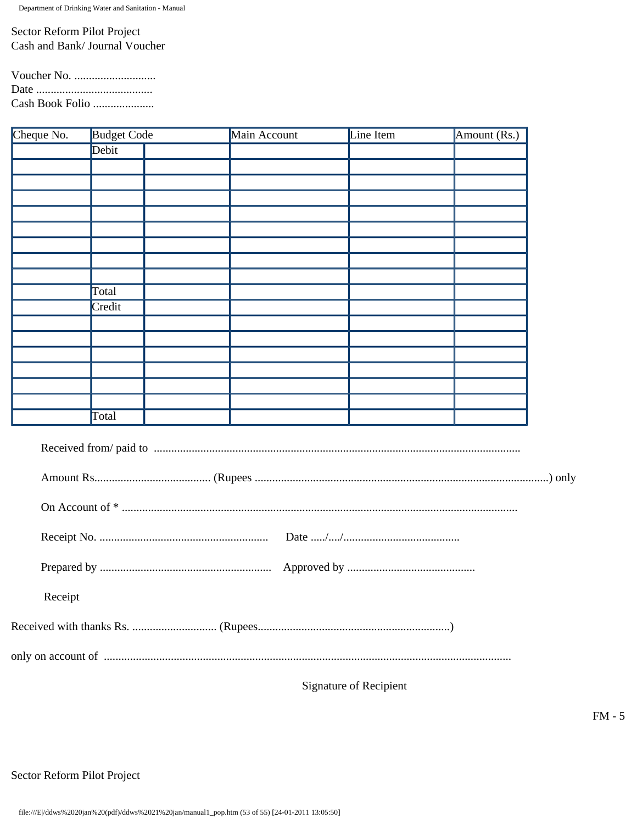Sector Reform Pilot Project Cash and Bank/ Journal Voucher

| Voucher No. $\dots \dots \dots \dots \dots \dots$ |  |
|---------------------------------------------------|--|
|                                                   |  |
| Cash Book Folio                                   |  |

| Cheque No. | <b>Budget Code</b> | Main Account | Line Item | Amount (Rs.) |  |
|------------|--------------------|--------------|-----------|--------------|--|
|            | Debit              |              |           |              |  |
|            |                    |              |           |              |  |
|            |                    |              |           |              |  |
|            |                    |              |           |              |  |
|            |                    |              |           |              |  |
|            |                    |              |           |              |  |
|            |                    |              |           |              |  |
|            |                    |              |           |              |  |
|            |                    |              |           |              |  |
|            | Total              |              |           |              |  |
|            | Credit             |              |           |              |  |
|            |                    |              |           |              |  |
|            |                    |              |           |              |  |
|            |                    |              |           |              |  |
|            |                    |              |           |              |  |
|            |                    |              |           |              |  |
|            |                    |              |           |              |  |
|            | Total              |              |           |              |  |
|            |                    |              |           |              |  |
|            |                    |              |           |              |  |
|            |                    |              |           |              |  |
|            |                    |              |           |              |  |
|            |                    |              |           |              |  |
|            |                    |              |           |              |  |
| Receipt    |                    |              |           |              |  |
|            |                    |              |           |              |  |
|            |                    |              |           |              |  |
|            |                    |              |           |              |  |

Signature of Recipient

Sector Reform Pilot Project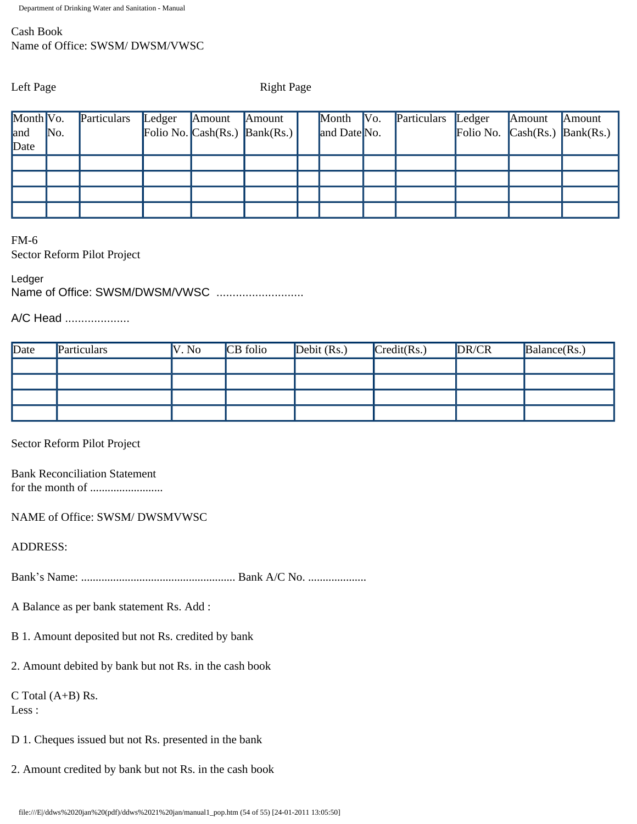# Cash Book Name of Office: SWSM/ DWSM/VWSC

Left Page Right Page

| Month Vo. |     | Particulars | Ledger | Amount | Amount                                          | Month $\vert$ Vo. | Particulars | Ledger                                                          | Amount | Amount |
|-----------|-----|-------------|--------|--------|-------------------------------------------------|-------------------|-------------|-----------------------------------------------------------------|--------|--------|
| land      | No. |             |        |        | Folio No. $\text{Cash}(Rs.)$ $\text{Bank}(Rs.)$ | and Date No.      |             | Folio No. $\operatorname{Cash}(Rs.)$ $\operatorname{Bank}(Rs.)$ |        |        |
| Date      |     |             |        |        |                                                 |                   |             |                                                                 |        |        |
|           |     |             |        |        |                                                 |                   |             |                                                                 |        |        |
|           |     |             |        |        |                                                 |                   |             |                                                                 |        |        |
|           |     |             |        |        |                                                 |                   |             |                                                                 |        |        |
|           |     |             |        |        |                                                 |                   |             |                                                                 |        |        |

FM-6 Sector Reform Pilot Project

Ledger

Name of Office: SWSM/DWSM/VWSC ...........................

A/C Head ....................

| Date | Particulars | V. No | CB folio | Debit $(Rs.)$ | $\text{Credit}(Rs.)$ | DR/CR | Balance(Rs.) |
|------|-------------|-------|----------|---------------|----------------------|-------|--------------|
|      |             |       |          |               |                      |       |              |
|      |             |       |          |               |                      |       |              |
|      |             |       |          |               |                      |       |              |
|      |             |       |          |               |                      |       |              |

Sector Reform Pilot Project

Bank Reconciliation Statement for the month of .........................

NAME of Office: SWSM/ DWSMVWSC

ADDRESS:

Bank's Name: ..................................................... Bank A/C No. ....................

A Balance as per bank statement Rs. Add :

B 1. Amount deposited but not Rs. credited by bank

2. Amount debited by bank but not Rs. in the cash book

C Total (A+B) Rs.

Less :

- D 1. Cheques issued but not Rs. presented in the bank
- 2. Amount credited by bank but not Rs. in the cash book